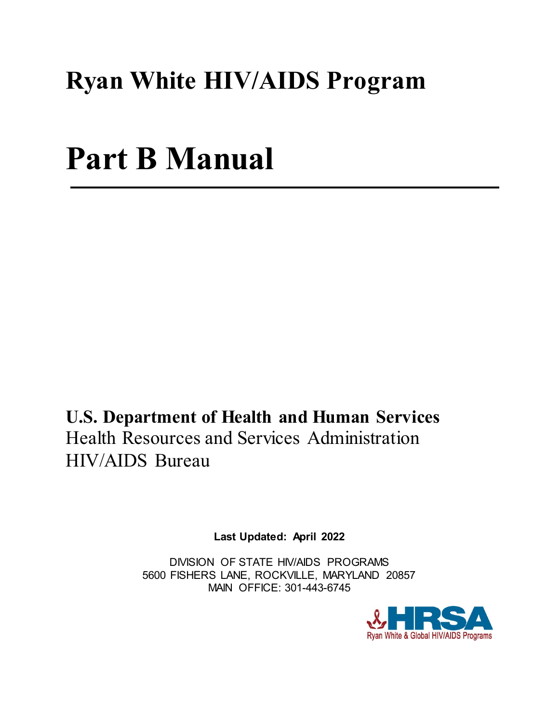# **Ryan White HIV/AIDS Program**

# **Part B Manual**

**U.S. Department of Health and Human Services** Health Resources and Services Administration HIV/AIDS Bureau

**Last Updated: April 2022**

DIVISION OF STATE HIV/AIDS PROGRAMS 5600 FISHERS LANE, ROCKVILLE, MARYLAND 20857 MAIN OFFICE: 301-443-6745

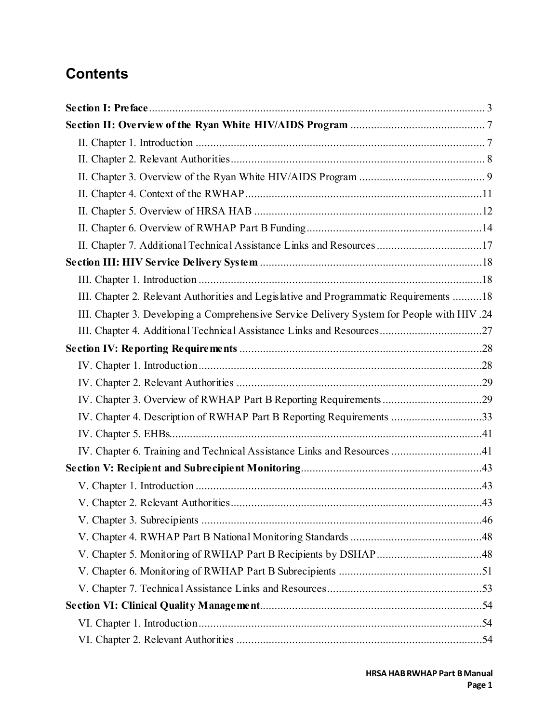# **Contents**

| II. Chapter 7. Additional Technical Assistance Links and Resources 17                      |
|--------------------------------------------------------------------------------------------|
|                                                                                            |
|                                                                                            |
| III. Chapter 2. Relevant Authorities and Legislative and Programmatic Requirements 18      |
| III. Chapter 3. Developing a Comprehensive Service Delivery System for People with HIV .24 |
|                                                                                            |
|                                                                                            |
|                                                                                            |
|                                                                                            |
|                                                                                            |
| IV. Chapter 4. Description of RWHAP Part B Reporting Requirements 33                       |
|                                                                                            |
| IV. Chapter 6. Training and Technical Assistance Links and Resources 41                    |
|                                                                                            |
|                                                                                            |
|                                                                                            |
|                                                                                            |
|                                                                                            |
|                                                                                            |
|                                                                                            |
|                                                                                            |
|                                                                                            |
|                                                                                            |
|                                                                                            |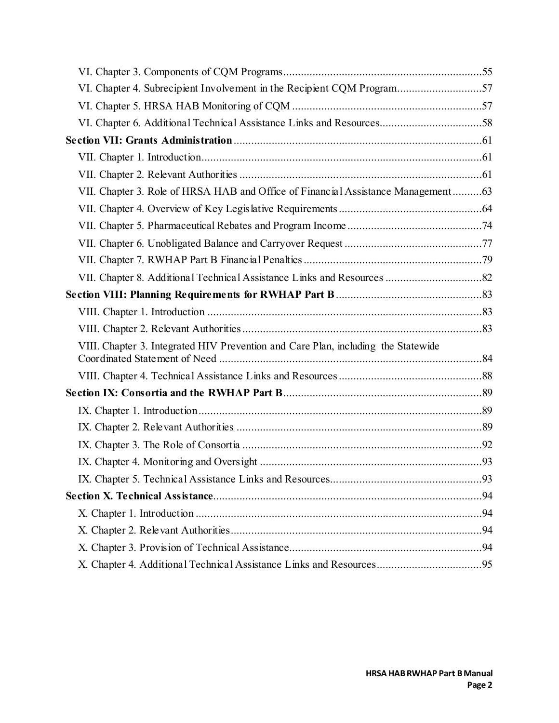| VI. Chapter 4. Subrecipient Involvement in the Recipient CQM Program57<br>VI. Chapter 6. Additional Technical Assistance Links and Resources58<br>VII. Chapter 3. Role of HRSA HAB and Office of Financial Assistance Management63<br>VIII. Chapter 3. Integrated HIV Prevention and Care Plan, including the Statewide |  |
|-------------------------------------------------------------------------------------------------------------------------------------------------------------------------------------------------------------------------------------------------------------------------------------------------------------------------|--|
|                                                                                                                                                                                                                                                                                                                         |  |
|                                                                                                                                                                                                                                                                                                                         |  |
|                                                                                                                                                                                                                                                                                                                         |  |
|                                                                                                                                                                                                                                                                                                                         |  |
|                                                                                                                                                                                                                                                                                                                         |  |
|                                                                                                                                                                                                                                                                                                                         |  |
|                                                                                                                                                                                                                                                                                                                         |  |
|                                                                                                                                                                                                                                                                                                                         |  |
|                                                                                                                                                                                                                                                                                                                         |  |
|                                                                                                                                                                                                                                                                                                                         |  |
|                                                                                                                                                                                                                                                                                                                         |  |
|                                                                                                                                                                                                                                                                                                                         |  |
|                                                                                                                                                                                                                                                                                                                         |  |
|                                                                                                                                                                                                                                                                                                                         |  |
|                                                                                                                                                                                                                                                                                                                         |  |
|                                                                                                                                                                                                                                                                                                                         |  |
|                                                                                                                                                                                                                                                                                                                         |  |
|                                                                                                                                                                                                                                                                                                                         |  |
|                                                                                                                                                                                                                                                                                                                         |  |
|                                                                                                                                                                                                                                                                                                                         |  |
|                                                                                                                                                                                                                                                                                                                         |  |
|                                                                                                                                                                                                                                                                                                                         |  |
|                                                                                                                                                                                                                                                                                                                         |  |
|                                                                                                                                                                                                                                                                                                                         |  |
|                                                                                                                                                                                                                                                                                                                         |  |
|                                                                                                                                                                                                                                                                                                                         |  |
|                                                                                                                                                                                                                                                                                                                         |  |
|                                                                                                                                                                                                                                                                                                                         |  |
|                                                                                                                                                                                                                                                                                                                         |  |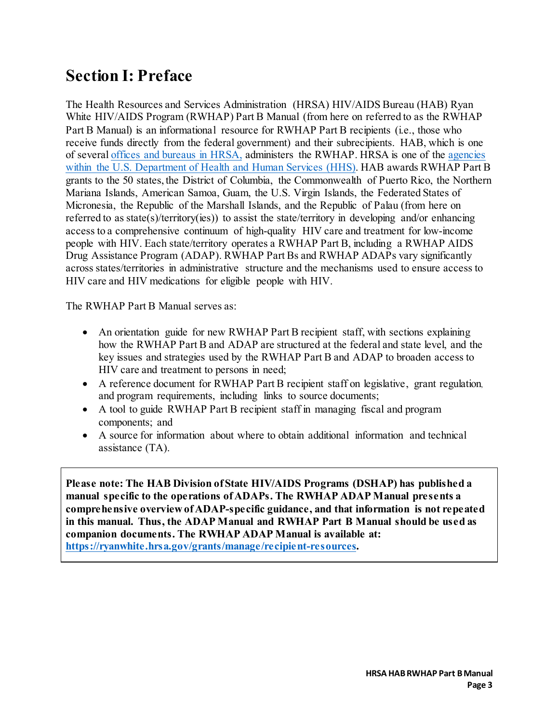# <span id="page-3-0"></span>**Section I: Preface**

The Health Resources and Services Administration (HRSA) HIV/AIDS Bureau (HAB) Ryan White HIV/AIDS Program (RWHAP) Part B Manual (from here on referred to as the RWHAP Part B Manual) is an informational resource for RWHAP Part B recipients (i.e., those who receive funds directly from the federal government) and their subrecipients. HAB, which is one of several [offices and bureaus in HRSA,](https://www.hrsa.gov/about/organization/bureaus/index.html) administers the RWHAP. HRSA is one of the [agencies](https://www.hhs.gov/about/agencies/hhs-agencies-and-offices/index.html) [within the U.S. Department of Health and Human Services \(HHS\).](https://www.hhs.gov/about/agencies/hhs-agencies-and-offices/index.html) HAB awards RWHAP Part B grants to the 50 states, the District of Columbia, the Commonwealth of Puerto Rico, the Northern Mariana Islands, American Samoa, Guam, the U.S. Virgin Islands, the Federated States of Micronesia, the Republic of the Marshall Islands, and the Republic of Palau (from here on referred to as state(s)/territory(ies)) to assist the state/territory in developing and/or enhancing access to a comprehensive continuum of high-quality HIV care and treatment for low-income people with HIV. Each state/territory operates a RWHAP Part B, including a RWHAP AIDS Drug Assistance Program (ADAP). RWHAP Part Bs and RWHAP ADAPs vary significantly across states/territories in administrative structure and the mechanisms used to ensure access to HIV care and HIV medications for eligible people with HIV.

The RWHAP Part B Manual serves as:

- An orientation guide for new RWHAP Part B recipient staff, with sections explaining how the RWHAP Part B and ADAP are structured at the federal and state level, and the key issues and strategies used by the RWHAP Part B and ADAP to broaden access to HIV care and treatment to persons in need;
- A reference document for RWHAP Part B recipient staff on legislative, grant regulation, and program requirements, including links to source documents;
- A tool to guide RWHAP Part B recipient staff in managing fiscal and program components; and
- A source for information about where to obtain additional information and technical assistance (TA).

**Please note: The HAB Division of State HIV/AIDS Programs (DSHAP) has published a manual specific to the operations of ADAPs. The RWHAP ADAP Manual presents a comprehensive overview of ADAP-specific guidance, and that information is not repeated in this manual. Thus, the ADAP Manual and RWHAP Part B Manual should be used as companion documents. The RWHAP ADAP Manual is available at: <https://ryanwhite.hrsa.gov/grants/manage/recipient-resources>.**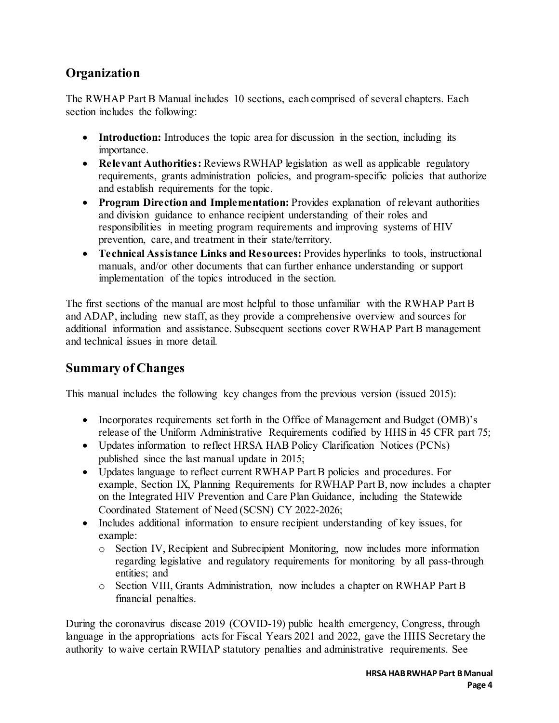## **Organization**

The RWHAP Part B Manual includes 10 sections, each comprised of several chapters. Each section includes the following:

- **Introduction:** Introduces the topic area for discussion in the section, including its importance.
- **Relevant Authorities:** Reviews RWHAP legislation as well as applicable regulatory requirements, grants administration policies, and program-specific policies that authorize and establish requirements for the topic.
- **Program Direction and Implementation:** Provides explanation of relevant authorities and division guidance to enhance recipient understanding of their roles and responsibilities in meeting program requirements and improving systems of HIV prevention, care, and treatment in their state/territory.
- **Technical Assistance Links and Resources:** Provides hyperlinks to tools, instructional manuals, and/or other documents that can further enhance understanding or support implementation of the topics introduced in the section.

The first sections of the manual are most helpful to those unfamiliar with the RWHAP Part B and ADAP, including new staff, as they provide a comprehensive overview and sources for additional information and assistance. Subsequent sections cover RWHAP Part B management and technical issues in more detail.

## **Summary of Changes**

This manual includes the following key changes from the previous version (issued 2015):

- Incorporates requirements set forth in the Office of Management and Budget (OMB)'s release of the Uniform Administrative Requirements codified by HHS in 45 CFR part 75;
- Updates information to reflect HRSA HAB Policy Clarification Notices (PCNs) published since the last manual update in 2015;
- Updates language to reflect current RWHAP Part B policies and procedures. For example, Section IX, Planning Requirements for RWHAP Part B, now includes a chapter on the Integrated HIV Prevention and Care Plan Guidance, including the Statewide Coordinated Statement of Need (SCSN) CY 2022-2026;
- Includes additional information to ensure recipient understanding of key issues, for example:
	- o Section IV, Recipient and Subrecipient Monitoring, now includes more information regarding legislative and regulatory requirements for monitoring by all pass-through entities; and
	- o Section VIII, Grants Administration, now includes a chapter on RWHAP Part B financial penalties.

During the coronavirus disease 2019 (COVID-19) public health emergency, Congress, through language in the appropriations acts for Fiscal Years 2021 and 2022, gave the HHS Secretary the authority to waive certain RWHAP statutory penalties and administrative requirements. See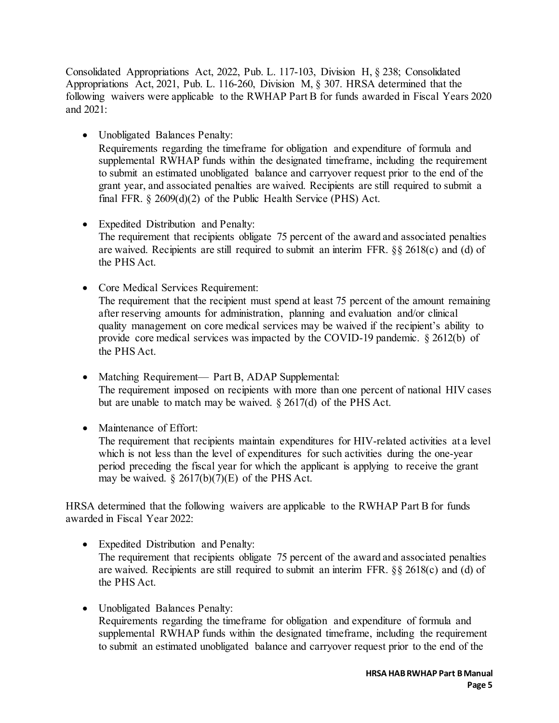Consolidated Appropriations Act, 2022, Pub. L. 117-103, Division H, § 238; Consolidated Appropriations Act, 2021, Pub. L. 116-260, Division M, § 307. HRSA determined that the following waivers were applicable to the RWHAP Part B for funds awarded in Fiscal Years 2020 and 2021:

• Unobligated Balances Penalty:

Requirements regarding the timeframe for obligation and expenditure of formula and supplemental RWHAP funds within the designated timeframe, including the requirement to submit an estimated unobligated balance and carryover request prior to the end of the grant year, and associated penalties are waived. Recipients are still required to submit a final FFR. § 2609(d)(2) of the Public Health Service (PHS) Act.

- Expedited Distribution and Penalty: The requirement that recipients obligate 75 percent of the award and associated penalties are waived. Recipients are still required to submit an interim FFR. §§ 2618(c) and (d) of the PHS Act.
- Core Medical Services Requirement: The requirement that the recipient must spend at least 75 percent of the amount remaining after reserving amounts for administration, planning and evaluation and/or clinical quality management on core medical services may be waived if the recipient's ability to provide core medical services was impacted by the COVID-19 pandemic. § 2612(b) of the PHS Act.
- Matching Requirement— Part B, ADAP Supplemental: The requirement imposed on recipients with more than one percent of national HIV cases but are unable to match may be waived. § 2617(d) of the PHS Act.
- Maintenance of Effort:

The requirement that recipients maintain expenditures for HIV-related activities at a level which is not less than the level of expenditures for such activities during the one-year period preceding the fiscal year for which the applicant is applying to receive the grant may be waived.  $\S 2617(b)(7)(E)$  of the PHS Act.

HRSA determined that the following waivers are applicable to the RWHAP Part B for funds awarded in Fiscal Year 2022:

- Expedited Distribution and Penalty: The requirement that recipients obligate 75 percent of the award and associated penalties are waived. Recipients are still required to submit an interim FFR. §§ 2618(c) and (d) of the PHS Act.
- Unobligated Balances Penalty: Requirements regarding the timeframe for obligation and expenditure of formula and supplemental RWHAP funds within the designated timeframe, including the requirement to submit an estimated unobligated balance and carryover request prior to the end of the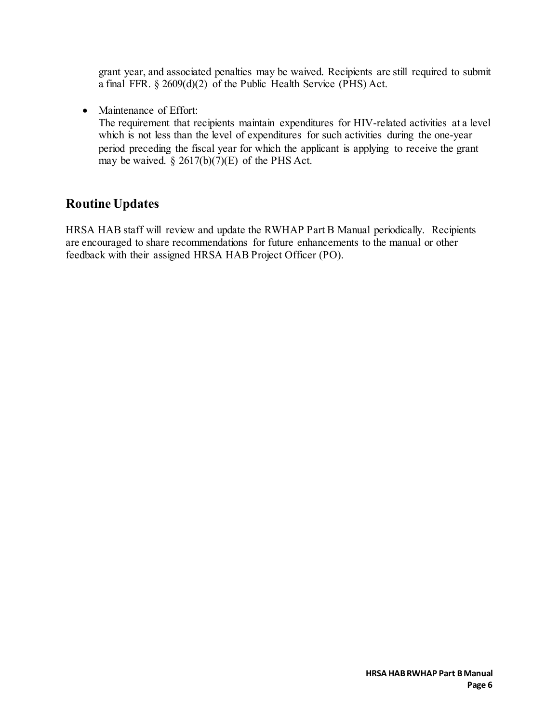grant year, and associated penalties may be waived. Recipients are still required to submit a final FFR. § 2609(d)(2) of the Public Health Service (PHS) Act.

• Maintenance of Effort:

The requirement that recipients maintain expenditures for HIV-related activities at a level which is not less than the level of expenditures for such activities during the one-year period preceding the fiscal year for which the applicant is applying to receive the grant may be waived.  $\S 2617(b)(7)(E)$  of the PHS Act.

## **Routine Updates**

HRSA HAB staff will review and update the RWHAP Part B Manual periodically. Recipients are encouraged to share recommendations for future enhancements to the manual or other feedback with their assigned HRSA HAB Project Officer (PO).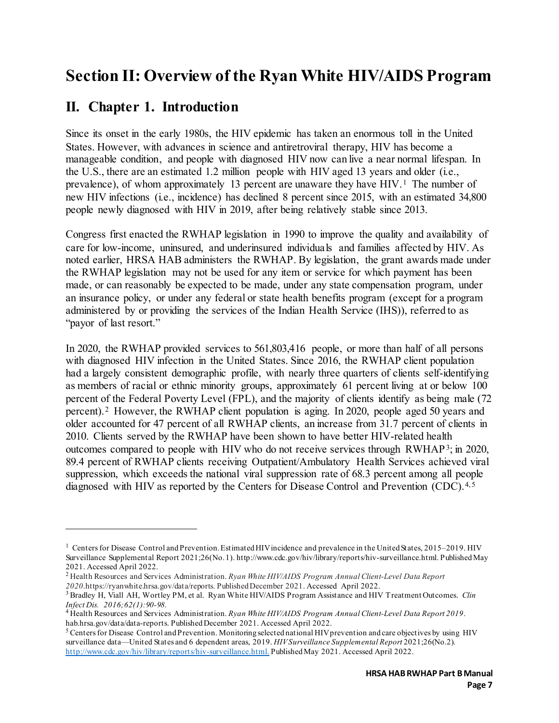# <span id="page-7-0"></span>**Section II: Overview of the Ryan White HIV/AIDS Program**

## <span id="page-7-1"></span>**II. Chapter 1. Introduction**

 $\overline{a}$ 

Since its onset in the early 1980s, the HIV epidemic has taken an enormous toll in the United States. However, with advances in science and antiretroviral therapy, HIV has become a manageable condition, and people with diagnosed HIV now can live a near normal lifespan. In the U.S., there are an estimated 1.2 million people with HIV aged 13 years and older (i.e., prevalence), of whom approximately 13 percent are unaware they have HIV.<sup>1</sup> The number of new HIV infections (i.e., incidence) has declined 8 percent since 2015, with an estimated 34,800 people newly diagnosed with HIV in 2019, after being relatively stable since 2013.

Congress first enacted the RWHAP legislation in 1990 to improve the quality and availability of care for low-income, uninsured, and underinsured individuals and families affected by HIV. As noted earlier, HRSA HAB administers the RWHAP. By legislation, the grant awards made under the RWHAP legislation may not be used for any item or service for which payment has been made, or can reasonably be expected to be made, under any state compensation program, under an insurance policy, or under any federal or state health benefits program (except for a program administered by or providing the services of the Indian Health Service (IHS)), referred to as "payor of last resort."

In 2020, the RWHAP provided services to 561,803,416 people, or more than half of all persons with diagnosed HIV infection in the United States. Since 2016, the RWHAP client population had a largely consistent demographic profile, with nearly three quarters of clients self-identifying as members of racial or ethnic minority groups, approximately 61 percent living at or below 100 percent of the Federal Poverty Level (FPL), and the majority of clients identify as being male (72 percent).[2](#page-7-3) However, the RWHAP client population is aging. In 2020, people aged 50 years and older accounted for 47 percent of all RWHAP clients, an increase from 31.7 percent of clients in 2010. Clients served by the RWHAP have been shown to have better HIV-related health outcomes compared to people with HIV who do not receive services through RWHAP[3;](#page-7-4) in 2020, 89.4 percent of RWHAP clients receiving Outpatient/Ambulatory Health Services achieved viral suppression, which exceeds the national viral suppression rate of 68.3 percent among all people diagnosed with HIV as reported by the Centers for Disease Control and Prevention (CDC).<sup>[4,](#page-7-5)[5](#page-7-6)</sup>

<span id="page-7-2"></span><sup>&</sup>lt;sup>1</sup> Centers for Disease Control and Prevention. Estimated HIV incidence and prevalence in the United States, 2015–2019. HIV Surveillance Supplemental Report 2021;26(No. 1). http://www.cdc.gov/hiv/library/reports/hiv-surveillance.html. Published May 2021. Accessed April 2022.<br><sup>2</sup> Health Resources and Services Administration. *Ryan White HIV/AIDS Program Annual Client-Level Data Report* 

<span id="page-7-3"></span>

<span id="page-7-4"></span>*<sup>2020</sup>*.https://ryanwhite.hrsa.gov/data/reports. Published December 2021. Accessed April 2022. 3 Bradley H, Viall AH, Wortley PM, et al. Ryan White HIV/AIDS Program Assistance and HIV Treatment Outcomes. *Clin Infect Dis. 2016;62(1):90-98.* 4 Health Resources and Services Administration. *Ryan White HIV/AIDS Program Annual Client-Level Data Report 2019*.

<span id="page-7-5"></span>hab.hrsa.gov/data/data-reports. Published December 2021. Accessed April 2022.<br><sup>5</sup> Centers for Disease Control and Prevention. Monitoring selected national HIV prevention and care objectives by using HIV

<span id="page-7-6"></span>surveillance data—United States and 6 dependent areas, 2019. *HIV Surveillance Supplemental Report* 2021;26(No.2). [http://www.cdc.gov/hiv/library/reports/hiv-surveillance.html.](http://www.cdc.gov/hiv/library/reports/hiv-surveillance.html) Published May 2021. Accessed April 2022.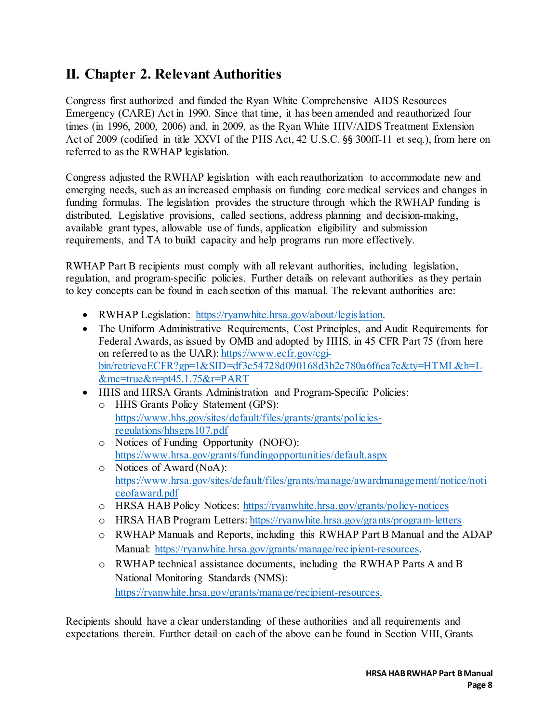## <span id="page-8-0"></span>**II. Chapter 2. Relevant Authorities**

Congress first authorized and funded the Ryan White Comprehensive AIDS Resources Emergency (CARE) Act in 1990. Since that time, it has been amended and reauthorized four times (in 1996, 2000, 2006) and, in 2009, as the Ryan White HIV/AIDS Treatment Extension Act of 2009 (codified in title XXVI of the PHS Act, 42 U.S.C. §§ 300ff-11 et seq.), from here on referred to as the RWHAP legislation.

Congress adjusted the RWHAP legislation with each reauthorization to accommodate new and emerging needs, such as an increased emphasis on funding core medical services and changes in funding formulas. The legislation provides the structure through which the RWHAP funding is distributed. Legislative provisions, called sections, address planning and decision-making, available grant types, allowable use of funds, application eligibility and submission requirements, and TA to build capacity and help programs run more effectively.

RWHAP Part B recipients must comply with all relevant authorities, including legislation, regulation, and program-specific policies. Further details on relevant authorities as they pertain to key concepts can be found in each section of this manual. The relevant authorities are:

- RWHAP Legislation: https://ryanwhite.hrsa.gov/about/legislation.
- The Uniform Administrative Requirements, Cost Principles, and Audit Requirements for Federal Awards, as issued by OMB and adopted by HHS, in 45 CFR Part 75 (from here on referred to as the UAR)[: https://www.ecfr.gov/cgi](https://www.ecfr.gov/cgi-bin/retrieveECFR?gp=1&SID=df3c54728d090168d3b2e780a6f6ca7c&ty=HTML&h=L&mc=true&n=pt45.1.75&r=PART)[bin/retrieveECFR?gp=1&SID=df3c54728d090168d3b2e780a6f6ca7c&ty=HTML&h=L](https://www.ecfr.gov/cgi-bin/retrieveECFR?gp=1&SID=df3c54728d090168d3b2e780a6f6ca7c&ty=HTML&h=L&mc=true&n=pt45.1.75&r=PART) [&mc=true&n=pt45.1.75&r=PART](https://www.ecfr.gov/cgi-bin/retrieveECFR?gp=1&SID=df3c54728d090168d3b2e780a6f6ca7c&ty=HTML&h=L&mc=true&n=pt45.1.75&r=PART)
- HHS and HRSA Grants Administration and Program-Specific Policies: o HHS Grants Policy Statement (GPS):
	- [https://www.hhs.gov/sites/default/files/grants/grants/policies](https://www.hhs.gov/sites/default/files/grants/grants/policies-regulations/hhsgps107.pdf)[regulations/hhsgps107.pdf](https://www.hhs.gov/sites/default/files/grants/grants/policies-regulations/hhsgps107.pdf)
	- o Notices of Funding Opportunity (NOFO): <https://www.hrsa.gov/grants/fundingopportunities/default.aspx>
	- o Notices of Award (NoA): [https://www.hrsa.gov/sites/default/files/grants/manage/awardmanagement/notice/noti](https://www.hrsa.gov/sites/default/files/grants/manage/awardmanagement/notice/noticeofaward.pdf) [ceofaward.pdf](https://www.hrsa.gov/sites/default/files/grants/manage/awardmanagement/notice/noticeofaward.pdf)
	- o HRSA HAB Policy Notices: <https://ryanwhite.hrsa.gov/grants/policy-notices>
	- o HRSA HAB Program Letters: <https://ryanwhite.hrsa.gov/grants/program-letters>
	- o RWHAP Manuals and Reports, including this RWHAP Part B Manual and the ADAP Manual: [https://ryanwhite.hrsa.gov/grants/manage/recipient-resources.](https://ryanwhite.hrsa.gov/grants/manage/recipient-resources)
	- o RWHAP technical assistance documents, including the RWHAP Parts A and B National Monitoring Standards (NMS): [https://ryanwhite.hrsa.gov/grants/manage/recipient-resources.](https://ryanwhite.hrsa.gov/grants/manage/recipient-resources)

Recipients should have a clear understanding of these authorities and all requirements and expectations therein. Further detail on each of the above can be found in Section VIII, Grants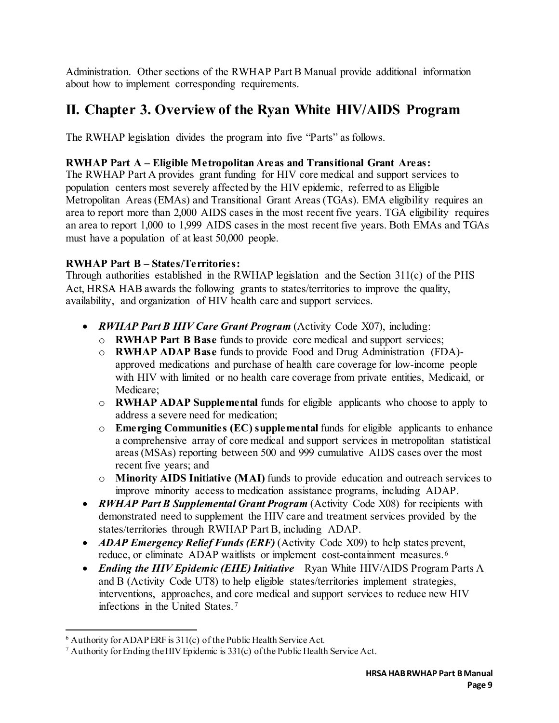Administration. Other sections of the RWHAP Part B Manual provide additional information about how to implement corresponding requirements.

## <span id="page-9-0"></span>**II. Chapter 3. Overview of the Ryan White HIV/AIDS Program**

The RWHAP legislation divides the program into five "Parts" as follows.

#### **RWHAP Part A – Eligible Metropolitan Areas and Transitional Grant Areas:**

The RWHAP Part A provides grant funding for HIV core medical and support services to population centers most severely affected by the HIV epidemic, referred to as Eligible Metropolitan Areas (EMAs) and Transitional Grant Areas (TGAs). EMA eligibility requires an area to report more than 2,000 AIDS cases in the most recent five years. TGA eligibility requires an area to report 1,000 to 1,999 AIDS cases in the most recent five years. Both EMAs and TGAs must have a population of at least 50,000 people.

#### **RWHAP Part B – States/Territories:**

Through authorities established in the RWHAP legislation and the Section 311(c) of the PHS Act, HRSA HAB awards the following grants to states/territories to improve the quality, availability, and organization of HIV health care and support services.

- *RWHAP Part B HIV Care Grant Program* (Activity Code X07), including:
	- o **RWHAP Part B Base** funds to provide core medical and support services;
	- o **RWHAP ADAP Base** funds to provide Food and Drug Administration (FDA) approved medications and purchase of health care coverage for low-income people with HIV with limited or no health care coverage from private entities, Medicaid, or Medicare;
	- o **RWHAP ADAP Supplemental** funds for eligible applicants who choose to apply to address a severe need for medication;
	- o **Emerging Communities (EC) supplemental** funds for eligible applicants to enhance a comprehensive array of core medical and support services in metropolitan statistical areas (MSAs) reporting between 500 and 999 cumulative AIDS cases over the most recent five years; and
	- o **Minority AIDS Initiative (MAI)** funds to provide education and outreach services to improve minority access to medication assistance programs, including ADAP.
- *RWHAP Part B Supplemental Grant Program* (Activity Code X08) for recipients with demonstrated need to supplement the HIV care and treatment services provided by the states/territories through RWHAP Part B, including ADAP.
- *ADAP Emergency Relief Funds (ERF)* (Activity Code X09) to help states prevent, reduce, or eliminate ADAP waitlists or implement cost-containment measures.<sup>[6](#page-9-1)</sup>
- *Ending the HIV Epidemic (EHE) Initiative* Ryan White HIV/AIDS Program Parts A and B (Activity Code UT8) to help eligible states/territories implement strategies, interventions, approaches, and core medical and support services to reduce new HIV infections in the United States.[7](#page-9-2)

<span id="page-9-1"></span> $6$  Authority for ADAP ERF is 311(c) of the Public Health Service Act.

<span id="page-9-2"></span><sup>7</sup> Authority for Ending the HIV Epidemic is 331(c) of the Public Health Service Act.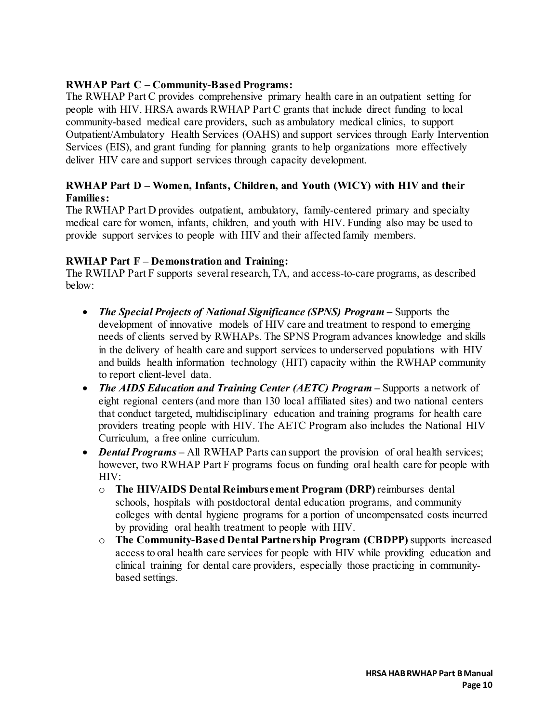#### **RWHAP Part C – Community-Based Programs:**

The RWHAP Part C provides comprehensive primary health care in an outpatient setting for people with HIV. HRSA awards RWHAP Part C grants that include direct funding to local community-based medical care providers, such as ambulatory medical clinics, to support Outpatient/Ambulatory Health Services (OAHS) and support services through Early Intervention Services (EIS), and grant funding for planning grants to help organizations more effectively deliver HIV care and support services through capacity development.

#### **RWHAP Part D – Women, Infants, Children, and Youth (WICY) with HIV and their Families:**

The RWHAP Part D provides outpatient, ambulatory, family-centered primary and specialty medical care for women, infants, children, and youth with HIV. Funding also may be used to provide support services to people with HIV and their affected family members.

#### **RWHAP Part F – Demonstration and Training:**

The RWHAP Part F supports several research, TA, and access-to-care programs, as described below:

- *The Special Projects of National Significance (SPNS) Program –* Supports the development of innovative models of HIV care and treatment to respond to emerging needs of clients served by RWHAPs. The SPNS Program advances knowledge and skills in the delivery of health care and support services to underserved populations with HIV and builds health information technology (HIT) capacity within the RWHAP community to report client-level data.
- *The AIDS Education and Training Center (AETC) Program* **–** Supports a network of eight regional centers (and more than 130 local affiliated sites) and two national centers that conduct targeted, multidisciplinary education and training programs for health care providers treating people with HIV. The AETC Program also includes the National HIV Curriculum, a free online curriculum.
- *Dental Programs* All RWHAP Parts can support the provision of oral health services; however, two RWHAP Part F programs focus on funding oral health care for people with HIV:
	- o **The HIV/AIDS Dental Reimbursement Program (DRP)** reimburses dental schools, hospitals with postdoctoral dental education programs, and community colleges with dental hygiene programs for a portion of uncompensated costs incurred by providing oral health treatment to people with HIV.
	- o **The Community-Based Dental Partnership Program (CBDPP)** supports increased access to oral health care services for people with HIV while providing education and clinical training for dental care providers, especially those practicing in communitybased settings.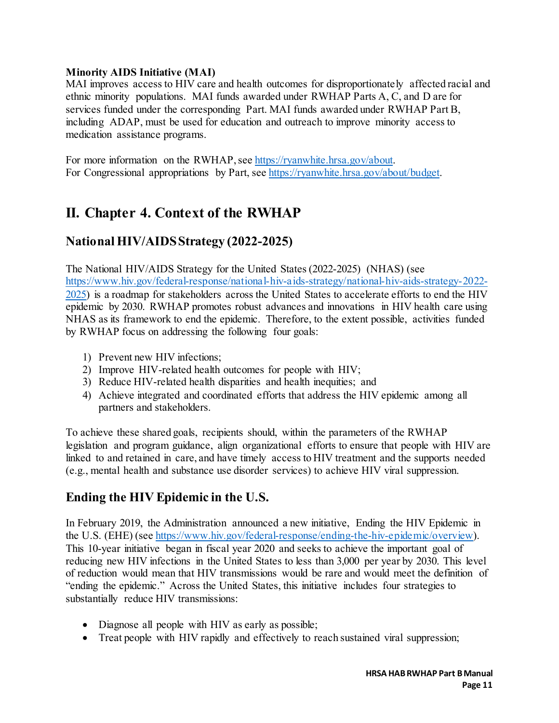#### **Minority AIDS Initiative (MAI)**

MAI improves access to HIV care and health outcomes for disproportionately affected racial and ethnic minority populations. MAI funds awarded under RWHAP Parts A, C, and D are for services funded under the corresponding Part. MAI funds awarded under RWHAP Part B, including ADAP, must be used for education and outreach to improve minority access to medication assistance programs.

For more information on the RWHAP, see [https://ryanwhite.hrsa.gov/about.](https://ryanwhite.hrsa.gov/about)  For Congressional appropriations by Part, see [https://ryanwhite.hrsa.gov/about/budget.](https://ryanwhite.hrsa.gov/about/budget) 

## <span id="page-11-0"></span>**II. Chapter 4. Context of the RWHAP**

### **National HIV/AIDS Strategy (2022-2025)**

The National HIV/AIDS Strategy for the United States (2022-2025) (NHAS) (see [https://www.hiv.gov/federal-response/national-hiv-aids-strategy/national-hiv-aids-strategy-2022-](https://www.hiv.gov/federal-response/national-hiv-aids-strategy/national-hiv-aids-strategy-2022-2025) [2025\)](https://www.hiv.gov/federal-response/national-hiv-aids-strategy/national-hiv-aids-strategy-2022-2025) is a roadmap for stakeholders across the United States to accelerate efforts to end the HIV epidemic by 2030. RWHAP promotes robust advances and innovations in HIV health care using NHAS as its framework to end the epidemic. Therefore, to the extent possible, activities funded by RWHAP focus on addressing the following four goals:

- 1) Prevent new HIV infections;
- 2) Improve HIV-related health outcomes for people with HIV;
- 3) Reduce HIV-related health disparities and health inequities; and
- 4) Achieve integrated and coordinated efforts that address the HIV epidemic among all partners and stakeholders.

To achieve these shared goals, recipients should, within the parameters of the RWHAP legislation and program guidance, align organizational efforts to ensure that people with HIV are linked to and retained in care, and have timely access to HIV treatment and the supports needed (e.g., mental health and substance use disorder services) to achieve HIV viral suppression.

## **Ending the HIV Epidemic in the U.S.**

In February 2019, the Administration announced a new initiative, Ending the HIV Epidemic in the U.S. (EHE) (see [https://www.hiv.gov/federal-response/ending-the-hiv-epidemic/overview\).](https://www.hiv.gov/federal-response/ending-the-hiv-epidemic/overview) This 10-year initiative began in fiscal year 2020 and seeks to achieve the important goal of reducing new HIV infections in the United States to less than 3,000 per year by 2030. This level of reduction would mean that HIV transmissions would be rare and would meet the definition of "ending the epidemic." Across the United States, this initiative includes four strategies to substantially reduce HIV transmissions:

- Diagnose all people with HIV as early as possible;
- Treat people with HIV rapidly and effectively to reach sustained viral suppression;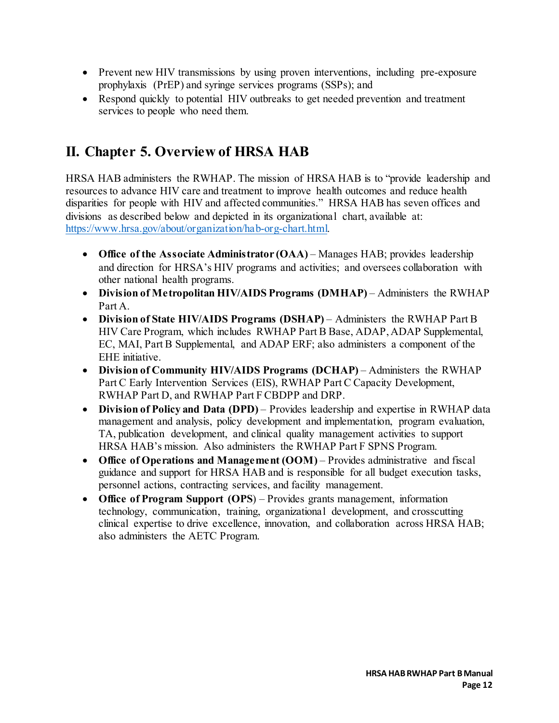- Prevent new HIV transmissions by using proven interventions, including pre-exposure prophylaxis (PrEP) and syringe services programs (SSPs); and
- Respond quickly to potential HIV outbreaks to get needed prevention and treatment services to people who need them.

# <span id="page-12-0"></span>**II. Chapter 5. Overview of HRSA HAB**

HRSA HAB administers the RWHAP. The mission of HRSA HAB is to "provide leadership and resources to advance HIV care and treatment to improve health outcomes and reduce health disparities for people with HIV and affected communities." HRSA HAB has seven offices and divisions as described below and depicted in its organizational chart, available at: [https://www.hrsa.gov/about/organization/hab-org-chart.html.](https://www.hrsa.gov/about/organization/hab-org-chart.html) 

- **Office of the Associate Administrator (OAA)** Manages HAB; provides leadership and direction for HRSA's HIV programs and activities; and oversees collaboration with other national health programs.
- **Division of Metropolitan HIV/AIDS Programs (DMHAP)** Administers the RWHAP Part A.
- **Division of State HIV/AIDS Programs (DSHAP)** Administers the RWHAP Part B HIV Care Program, which includes RWHAP Part B Base, ADAP, ADAP Supplemental, EC, MAI, Part B Supplemental, and ADAP ERF; also administers a component of the EHE initiative.
- **Division of Community HIV/AIDS Programs (DCHAP)** Administers the RWHAP Part C Early Intervention Services (EIS), RWHAP Part C Capacity Development, RWHAP Part D, and RWHAP Part F CBDPP and DRP.
- **Division of Policy and Data (DPD)** Provides leadership and expertise in RWHAP data management and analysis, policy development and implementation, program evaluation, TA, publication development, and clinical quality management activities to support HRSA HAB's mission. Also administers the RWHAP Part F SPNS Program.
- **Office of Operations and Management (OOM)** Provides administrative and fiscal guidance and support for HRSA HAB and is responsible for all budget execution tasks, personnel actions, contracting services, and facility management.
- **Office of Program Support (OPS**) Provides grants management, information technology, communication, training, organizational development, and crosscutting clinical expertise to drive excellence, innovation, and collaboration across HRSA HAB; also administers the AETC Program.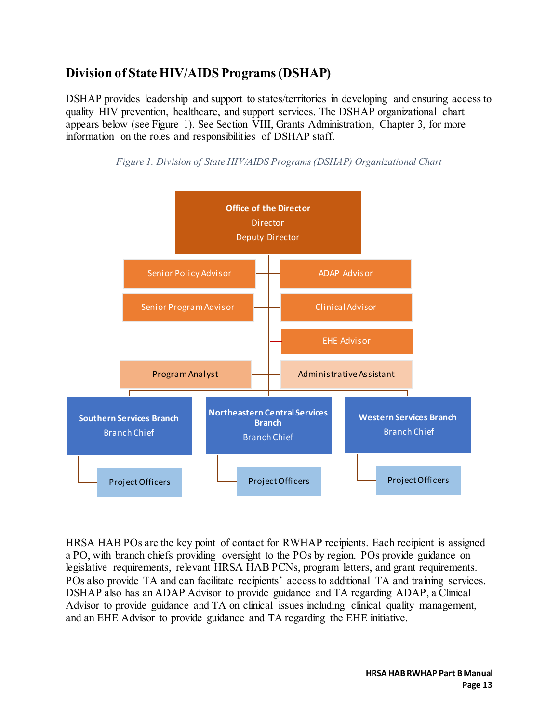## **Division of State HIV/AIDS Programs (DSHAP)**

DSHAP provides leadership and support to states/territories in developing and ensuring access to quality HIV prevention, healthcare, and support services. The DSHAP organizational chart appears below (see Figure 1). See Section VIII, Grants Administration, Chapter 3, for more information on the roles and responsibilities of DSHAP staff.



*Figure 1. Division of State HIV/AIDS Programs (DSHAP) Organizational Chart*

HRSA HAB POs are the key point of contact for RWHAP recipients. Each recipient is assigned a PO, with branch chiefs providing oversight to the POs by region. POs provide guidance on legislative requirements, relevant HRSA HAB PCNs, program letters, and grant requirements. POs also provide TA and can facilitate recipients' access to additional TA and training services. DSHAP also has an ADAP Advisor to provide guidance and TA regarding ADAP, a Clinical Advisor to provide guidance and TA on clinical issues including clinical quality management, and an EHE Advisor to provide guidance and TA regarding the EHE initiative.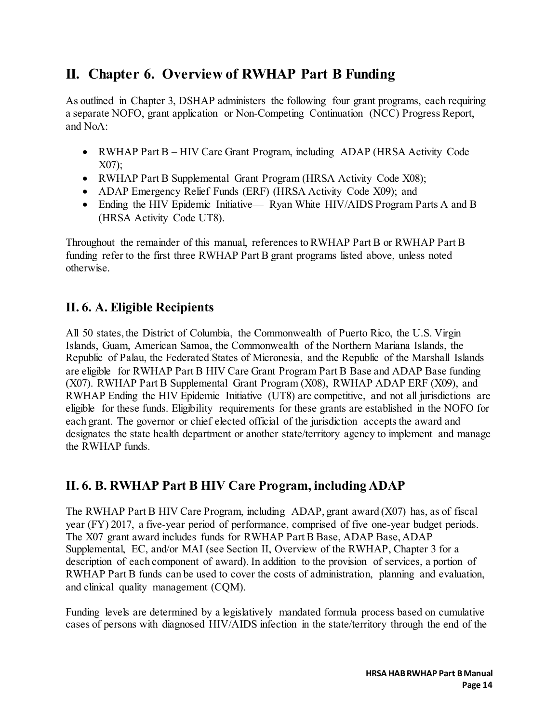## <span id="page-14-0"></span>**II. Chapter 6. Overview of RWHAP Part B Funding**

As outlined in Chapter 3, DSHAP administers the following four grant programs, each requiring a separate NOFO, grant application or Non-Competing Continuation (NCC) Progress Report, and NoA:

- RWHAP Part B HIV Care Grant Program, including ADAP (HRSA Activity Code X07);
- RWHAP Part B Supplemental Grant Program (HRSA Activity Code X08);
- ADAP Emergency Relief Funds (ERF) (HRSA Activity Code X09); and
- Ending the HIV Epidemic Initiative— Ryan White HIV/AIDS Program Parts A and B (HRSA Activity Code UT8).

Throughout the remainder of this manual, references to RWHAP Part B or RWHAP Part B funding refer to the first three RWHAP Part B grant programs listed above, unless noted otherwise.

### **II. 6. A. Eligible Recipients**

All 50 states, the District of Columbia, the Commonwealth of Puerto Rico, the U.S. Virgin Islands, Guam, American Samoa, the Commonwealth of the Northern Mariana Islands, the Republic of Palau, the Federated States of Micronesia, and the Republic of the Marshall Islands are eligible for RWHAP Part B HIV Care Grant Program Part B Base and ADAP Base funding (X07). RWHAP Part B Supplemental Grant Program (X08), RWHAP ADAP ERF (X09), and RWHAP Ending the HIV Epidemic Initiative (UT8) are competitive, and not all jurisdictions are eligible for these funds. Eligibility requirements for these grants are established in the NOFO for each grant. The governor or chief elected official of the jurisdiction accepts the award and designates the state health department or another state/territory agency to implement and manage the RWHAP funds.

## **II. 6. B. RWHAP Part B HIV Care Program, including ADAP**

The RWHAP Part B HIV Care Program, including ADAP, grant award (X07) has, as of fiscal year (FY) 2017, a five-year period of performance, comprised of five one-year budget periods. The X07 grant award includes funds for RWHAP Part B Base, ADAP Base, ADAP Supplemental, EC, and/or MAI (see Section II, Overview of the RWHAP, Chapter 3 for a description of each component of award). In addition to the provision of services, a portion of RWHAP Part B funds can be used to cover the costs of administration, planning and evaluation, and clinical quality management (CQM).

Funding levels are determined by a legislatively mandated formula process based on cumulative cases of persons with diagnosed HIV/AIDS infection in the state/territory through the end of the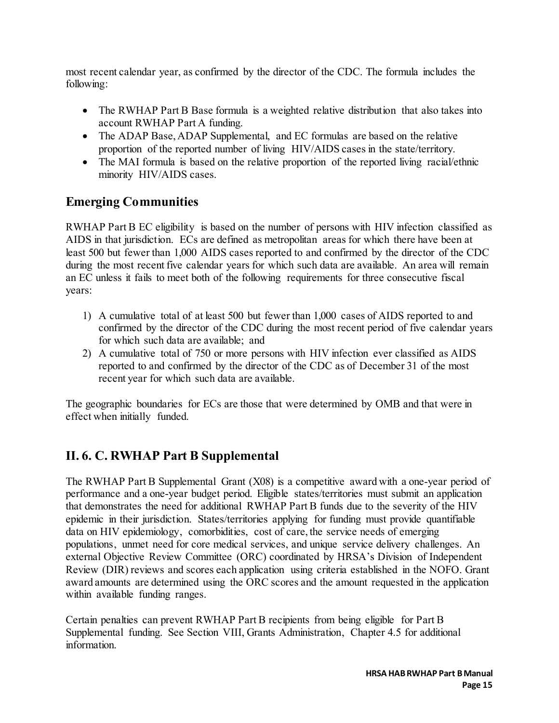most recent calendar year, as confirmed by the director of the CDC. The formula includes the following:

- The RWHAP Part B Base formula is a weighted relative distribution that also takes into account RWHAP Part A funding.
- The ADAP Base, ADAP Supplemental, and EC formulas are based on the relative proportion of the reported number of living HIV/AIDS cases in the state/territory.
- The MAI formula is based on the relative proportion of the reported living racial/ethnic minority HIV/AIDS cases.

## **Emerging Communities**

RWHAP Part B EC eligibility is based on the number of persons with HIV infection classified as AIDS in that jurisdiction. ECs are defined as metropolitan areas for which there have been at least 500 but fewer than 1,000 AIDS cases reported to and confirmed by the director of the CDC during the most recent five calendar years for which such data are available. An area will remain an EC unless it fails to meet both of the following requirements for three consecutive fiscal years:

- 1) A cumulative total of at least 500 but fewer than 1,000 cases of AIDS reported to and confirmed by the director of the CDC during the most recent period of five calendar years for which such data are available; and
- 2) A cumulative total of 750 or more persons with HIV infection ever classified as AIDS reported to and confirmed by the director of the CDC as of December 31 of the most recent year for which such data are available.

The geographic boundaries for ECs are those that were determined by OMB and that were in effect when initially funded.

## **II. 6. C. RWHAP Part B Supplemental**

The RWHAP Part B Supplemental Grant (X08) is a competitive award with a one-year period of performance and a one-year budget period. Eligible states/territories must submit an application that demonstrates the need for additional RWHAP Part B funds due to the severity of the HIV epidemic in their jurisdiction. States/territories applying for funding must provide quantifiable data on HIV epidemiology, comorbidities, cost of care, the service needs of emerging populations, unmet need for core medical services, and unique service delivery challenges. An external Objective Review Committee (ORC) coordinated by HRSA's Division of Independent Review (DIR) reviews and scores each application using criteria established in the NOFO. Grant award amounts are determined using the ORC scores and the amount requested in the application within available funding ranges.

Certain penalties can prevent RWHAP Part B recipients from being eligible for Part B Supplemental funding. See Section VIII, Grants Administration, Chapter 4.5 for additional information.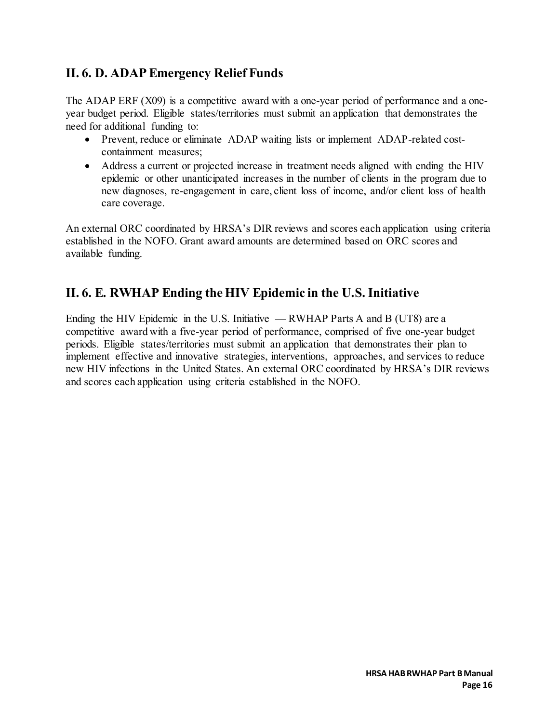## **II. 6. D. ADAP Emergency Relief Funds**

The ADAP ERF (X09) is a competitive award with a one-year period of performance and a oneyear budget period. Eligible states/territories must submit an application that demonstrates the need for additional funding to:

- Prevent, reduce or eliminate ADAP waiting lists or implement ADAP-related costcontainment measures;
- Address a current or projected increase in treatment needs aligned with ending the HIV epidemic or other unanticipated increases in the number of clients in the program due to new diagnoses, re-engagement in care, client loss of income, and/or client loss of health care coverage.

An external ORC coordinated by HRSA's DIR reviews and scores each application using criteria established in the NOFO. Grant award amounts are determined based on ORC scores and available funding.

## **II. 6. E. RWHAP Ending the HIV Epidemic in the U.S. Initiative**

Ending the HIV Epidemic in the U.S. Initiative — RWHAP Parts A and B (UT8) are a competitive award with a five-year period of performance, comprised of five one-year budget periods. Eligible states/territories must submit an application that demonstrates their plan to implement effective and innovative strategies, interventions, approaches, and services to reduce new HIV infections in the United States. An external ORC coordinated by HRSA's DIR reviews and scores each application using criteria established in the NOFO.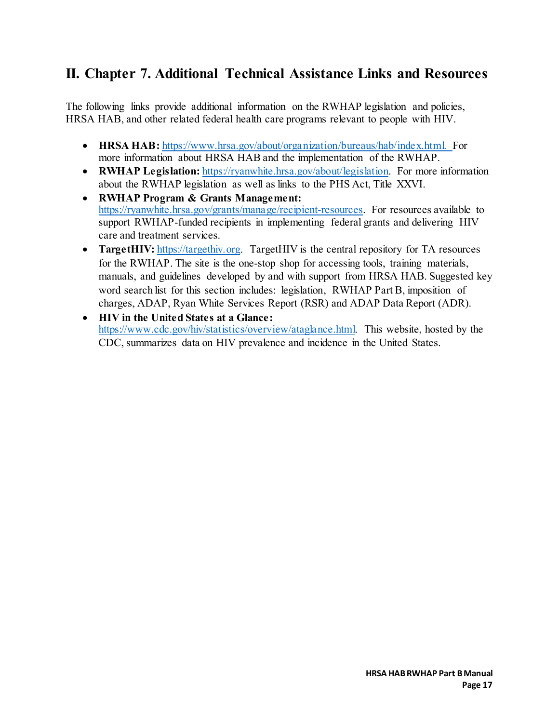# <span id="page-17-0"></span>**II. Chapter 7. Additional Technical Assistance Links and Resources**

The following links provide additional information on the RWHAP legislation and policies, HRSA HAB, and other related federal health care programs relevant to people with HIV.

- **HRSA HAB:** [https://www.hrsa.gov/about/organization/bureaus/hab/index.html.](https://www.hrsa.gov/about/organization/bureaus/hab/index.html) For more information about HRSA HAB and the implementation of the RWHAP.
- **RWHAP Legislation:** [https://ryanwhite.hrsa.gov/about/legislation.](https://ryanwhite.hrsa.gov/about/legislation) For more information about the RWHAP legislation as well as links to the PHS Act, Title XXVI.
- **RWHAP Program & Grants Management:** [https://ryanwhite.hrsa.gov/grants/manage/recipient-resources.](https://ryanwhite.hrsa.gov/grants/manage/recipient-resources) For resources available to support RWHAP-funded recipients in implementing federal grants and delivering HIV care and treatment services.
- **TargetHIV:** https://targethiv.org. TargetHIV is the central repository for TA resources for the RWHAP. The site is the one-stop shop for accessing tools, training materials, manuals, and guidelines developed by and with support from HRSA HAB. Suggested key word search list for this section includes: legislation, RWHAP Part B, imposition of charges, ADAP, Ryan White Services Report (RSR) and ADAP Data Report (ADR).
- **HIV in the United States at a Glance:** [https://www.cdc.gov/hiv/statistics/overview/ataglance.html.](https://www.cdc.gov/hiv/statistics/overview/ataglance.html) This website, hosted by the CDC, summarizes data on HIV prevalence and incidence in the United States.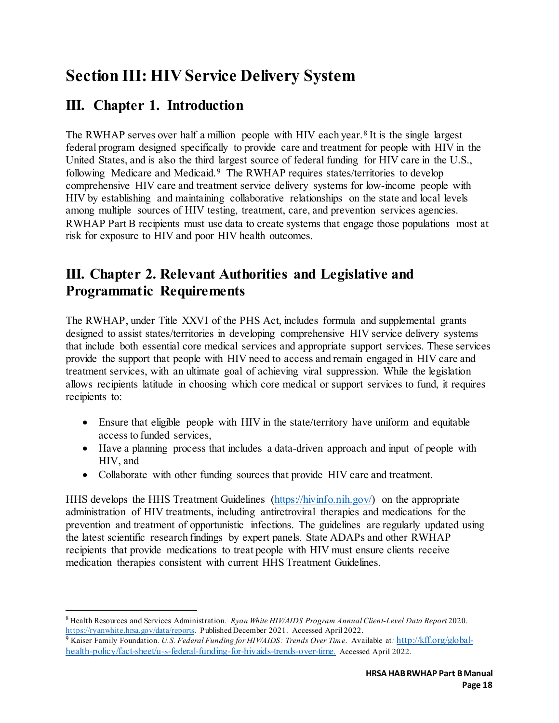# <span id="page-18-0"></span>**Section III: HIV Service Delivery System**

# <span id="page-18-1"></span>**III. Chapter 1. Introduction**

The RWHAP serves over half a million people with HIV each year.<sup>[8](#page-18-3)</sup> It is the single largest federal program designed specifically to provide care and treatment for people with HIV in the United States, and is also the third largest source of federal funding for HIV care in the U.S., following Medicare and Medicaid.<sup>[9](#page-18-4)</sup> The RWHAP requires states/territories to develop comprehensive HIV care and treatment service delivery systems for low-income people with HIV by establishing and maintaining collaborative relationships on the state and local levels among multiple sources of HIV testing, treatment, care, and prevention services agencies. RWHAP Part B recipients must use data to create systems that engage those populations most at risk for exposure to HIV and poor HIV health outcomes.

# <span id="page-18-2"></span>**III. Chapter 2. Relevant Authorities and Legislative and Programmatic Requirements**

The RWHAP, under Title XXVI of the PHS Act, includes formula and supplemental grants designed to assist states/territories in developing comprehensive HIV service delivery systems that include both essential core medical services and appropriate support services. These services provide the support that people with HIV need to access and remain engaged in HIV care and treatment services, with an ultimate goal of achieving viral suppression. While the legislation allows recipients latitude in choosing which core medical or support services to fund, it requires recipients to:

- Ensure that eligible people with HIV in the state/territory have uniform and equitable access to funded services,
- Have a planning process that includes a data-driven approach and input of people with HIV, and
- Collaborate with other funding sources that provide HIV care and treatment.

HHS develops the HHS Treatment Guidelines [\(https://hivinfo.nih.gov/\)](https://hivinfo.nih.gov/) on the appropriate administration of HIV treatments, including antiretroviral therapies and medications for the prevention and treatment of opportunistic infections. The guidelines are regularly updated using the latest scientific research findings by expert panels. State ADAPs and other RWHAP recipients that provide medications to treat people with HIV must ensure clients receive medication therapies consistent with current HHS Treatment Guidelines.

<span id="page-18-3"></span> $\overline{a}$ <sup>8</sup> Health Resources and Services Administration. *Ryan White HIV/AIDS Program Annual Client-Level Data Report* 2020. [https://ryanwhite.hrsa.gov/data/reports.](https://ryanwhite.hrsa.gov/data/reports) Published December 2021. Accessed April 2022.

<span id="page-18-4"></span><sup>9</sup> Kaiser Family Foundation. *U.S. Federal Funding for HIV/AIDS: Trends Over Time*. Available at*:* [http://kff.org/global](http://kff.org/global-health-policy/fact-sheet/u-s-federal-funding-for-hivaids-trends-over-time.)[health-policy/fact-sheet/u-s-federal-funding-for-hivaids-trends-over-time.](http://kff.org/global-health-policy/fact-sheet/u-s-federal-funding-for-hivaids-trends-over-time.) Accessed April 2022.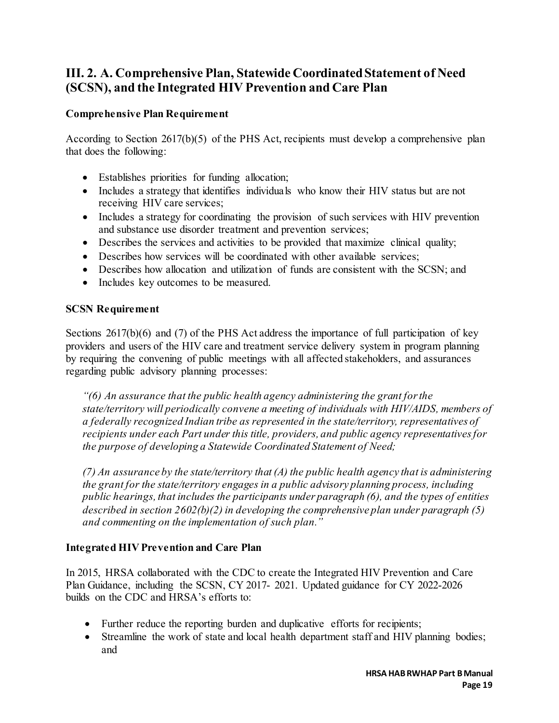## **III. 2. A. Comprehensive Plan, Statewide Coordinated Statement of Need (SCSN), and the Integrated HIV Prevention and Care Plan**

#### **Comprehensive Plan Requirement**

According to Section 2617(b)(5) of the PHS Act, recipients must develop a comprehensive plan that does the following:

- Establishes priorities for funding allocation;
- Includes a strategy that identifies individuals who know their HIV status but are not receiving HIV care services;
- Includes a strategy for coordinating the provision of such services with HIV prevention and substance use disorder treatment and prevention services;
- Describes the services and activities to be provided that maximize clinical quality;
- Describes how services will be coordinated with other available services;
- Describes how allocation and utilization of funds are consistent with the SCSN; and
- Includes key outcomes to be measured.

#### **SCSN Requirement**

Sections 2617(b)(6) and (7) of the PHS Act address the importance of full participation of key providers and users of the HIV care and treatment service delivery system in program planning by requiring the convening of public meetings with all affected stakeholders, and assurances regarding public advisory planning processes:

*"(6) An assurance that the public health agency administering the grant for the state/territory will periodically convene a meeting of individuals with HIV/AIDS, members of a federally recognized Indian tribe as represented in the state/territory, representatives of recipients under each Part under this title, providers, and public agency representatives for the purpose of developing a Statewide Coordinated Statement of Need;* 

*(7) An assurance by the state/territory that (A) the public health agency that is administering the grant for the state/territory engages in a public advisory planning process, including public hearings, that includes the participants under paragraph (6), and the types of entities described in section 2602(b)(2) in developing the comprehensive plan under paragraph (5) and commenting on the implementation of such plan."*

#### **Integrated HIV Prevention and Care Plan**

In 2015, HRSA collaborated with the CDC to create the Integrated HIV Prevention and Care Plan Guidance, including the SCSN, CY 2017- 2021. Updated guidance for CY 2022-2026 builds on the CDC and HRSA's efforts to:

- Further reduce the reporting burden and duplicative efforts for recipients;
- Streamline the work of state and local health department staff and HIV planning bodies; and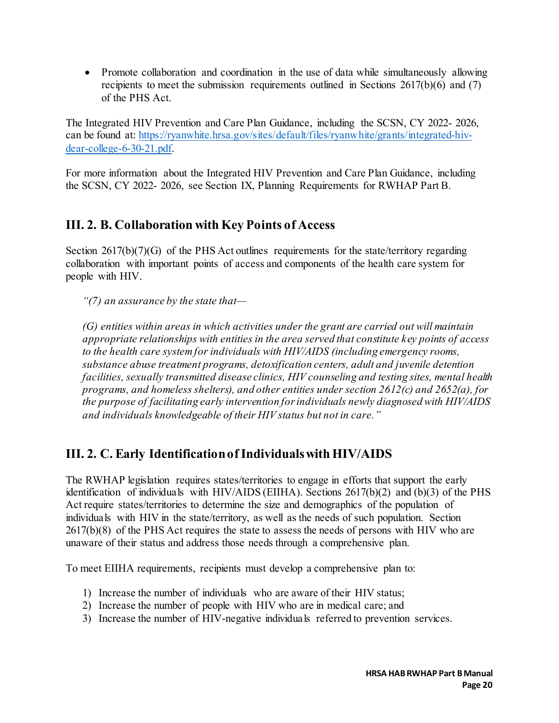• Promote collaboration and coordination in the use of data while simultaneously allowing recipients to meet the submission requirements outlined in Sections 2617(b)(6) and (7) of the PHS Act.

The Integrated HIV Prevention and Care Plan Guidance, including the SCSN, CY 2022- 2026, can be found at: [https://ryanwhite.hrsa.gov/sites/default/files/ryanwhite/grants/integrated-hiv](https://ryanwhite.hrsa.gov/sites/default/files/ryanwhite/grants/integrated-hiv-dear-college-6-30-21.pdf)[dear-college-6-30-21.pdf.](https://ryanwhite.hrsa.gov/sites/default/files/ryanwhite/grants/integrated-hiv-dear-college-6-30-21.pdf) 

For more information about the Integrated HIV Prevention and Care Plan Guidance, including the SCSN, CY 2022- 2026, see Section IX, Planning Requirements for RWHAP Part B.

## **III. 2. B. Collaboration with Key Points of Access**

Section 2617(b)(7)(G) of the PHS Act outlines requirements for the state/territory regarding collaboration with important points of access and components of the health care system for people with HIV.

*"(7) an assurance by the state that—* 

*(G) entities within areas in which activities under the grant are carried out will maintain appropriate relationships with entities in the area served that constitute key points of access to the health care system for individuals with HIV/AIDS (including emergency rooms, substance abuse treatment programs, detoxification centers, adult and juvenile detention facilities, sexually transmitted disease clinics, HIV counseling and testing sites, mental health programs, and homeless shelters), and other entities under section 2612(c) and 2652(a), for the purpose of facilitating early intervention for individuals newly diagnosed with HIV/AIDS and individuals knowledgeable of their HIV status but not in care."* 

## **III. 2. C. Early Identification of Individuals with HIV/AIDS**

The RWHAP legislation requires states/territories to engage in efforts that support the early identification of individuals with HIV/AIDS (EIIHA). Sections 2617(b)(2) and (b)(3) of the PHS Act require states/territories to determine the size and demographics of the population of individuals with HIV in the state/territory, as well as the needs of such population. Section 2617(b)(8) of the PHS Act requires the state to assess the needs of persons with HIV who are unaware of their status and address those needs through a comprehensive plan.

To meet EIIHA requirements, recipients must develop a comprehensive plan to:

- 1) Increase the number of individuals who are aware of their HIV status;
- 2) Increase the number of people with HIV who are in medical care; and
- 3) Increase the number of HIV-negative individuals referred to prevention services.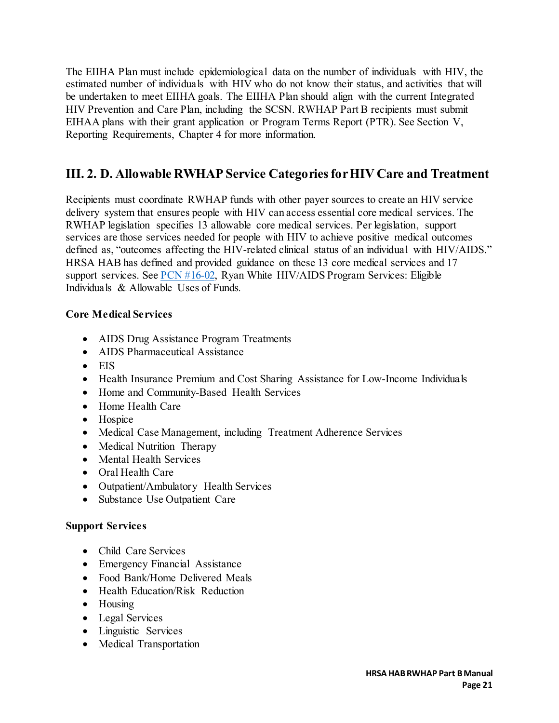The EIIHA Plan must include epidemiological data on the number of individuals with HIV, the estimated number of individuals with HIV who do not know their status, and activities that will be undertaken to meet EIIHA goals. The EIIHA Plan should align with the current Integrated HIV Prevention and Care Plan, including the SCSN. RWHAP Part B recipients must submit EIHAA plans with their grant application or Program Terms Report (PTR). See Section V, Reporting Requirements, Chapter 4 for more information.

## **III. 2. D. Allowable RWHAP Service Categories for HIV Care and Treatment**

Recipients must coordinate RWHAP funds with other payer sources to create an HIV service delivery system that ensures people with HIV can access essential core medical services. The RWHAP legislation specifies 13 allowable core medical services. Per legislation, support services are those services needed for people with HIV to achieve positive medical outcomes defined as, "outcomes affecting the HIV-related clinical status of an individual with HIV/AIDS." HRSA HAB has defined and provided guidance on these 13 core medical services and 17 support services. See  $PCN$  #16-02, Ryan White HIV/AIDS Program Services: Eligible Individuals & Allowable Uses of Funds*.* 

#### **Core Medical Services**

- AIDS Drug Assistance Program Treatments
- AIDS Pharmaceutical Assistance
- EIS
- Health Insurance Premium and Cost Sharing Assistance for Low-Income Individuals
- Home and Community-Based Health Services
- Home Health Care
- Hospice
- Medical Case Management, including Treatment Adherence Services
- Medical Nutrition Therapy
- Mental Health Services
- Oral Health Care
- Outpatient/Ambulatory Health Services
- Substance Use Outpatient Care

#### **Support Services**

- Child Care Services
- Emergency Financial Assistance
- Food Bank/Home Delivered Meals
- Health Education/Risk Reduction
- Housing
- Legal Services
- Linguistic Services
- Medical Transportation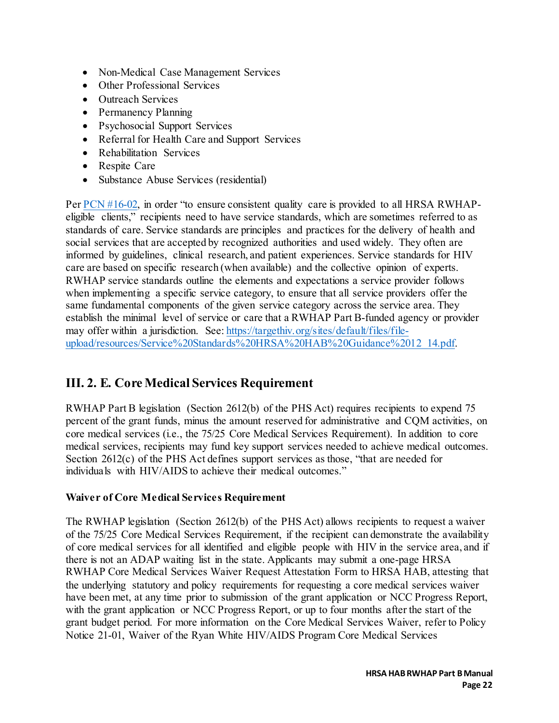- Non-Medical Case Management Services
- Other Professional Services
- Outreach Services
- Permanency Planning
- Psychosocial Support Services
- Referral for Health Care and Support Services
- Rehabilitation Services
- Respite Care
- Substance Abuse Services (residential)

Per [PCN #16-02,](https://ryanwhite.hrsa.gov/sites/default/files/ryanwhite/grants/service-category-pcn-16-02-final.pdf) in order "to ensure consistent quality care is provided to all HRSA RWHAPeligible clients," recipients need to have service standards, which are sometimes referred to as standards of care. Service standards are principles and practices for the delivery of health and social services that are accepted by recognized authorities and used widely. They often are informed by guidelines, clinical research, and patient experiences. Service standards for HIV care are based on specific research (when available) and the collective opinion of experts. RWHAP service standards outline the elements and expectations a service provider follows when implementing a specific service category, to ensure that all service providers offer the same fundamental components of the given service category across the service area. They establish the minimal level of service or care that a RWHAP Part B-funded agency or provider may offer within a jurisdiction. See: [https://targethiv.org/sites/default/files/file](https://targethiv.org/sites/default/files/file-upload/resources/Service%20Standards%20HRSA%20HAB%20Guidance%2012_14.pdf)[upload/resources/Service%20Standards%20HRSA%20HAB%20Guidance%2012\\_14.pdf.](https://targethiv.org/sites/default/files/file-upload/resources/Service%20Standards%20HRSA%20HAB%20Guidance%2012_14.pdf) 

## **III. 2. E. Core Medical Services Requirement**

RWHAP Part B legislation (Section 2612(b) of the PHS Act) requires recipients to expend 75 percent of the grant funds, minus the amount reserved for administrative and CQM activities, on core medical services (i.e., the 75/25 Core Medical Services Requirement). In addition to core medical services, recipients may fund key support services needed to achieve medical outcomes. Section 2612(c) of the PHS Act defines support services as those, "that are needed for individuals with HIV/AIDS to achieve their medical outcomes."

#### **Waiver of Core Medical Services Requirement**

The RWHAP legislation (Section 2612(b) of the PHS Act) allows recipients to request a waiver of the 75/25 Core Medical Services Requirement, if the recipient can demonstrate the availability of core medical services for all identified and eligible people with HIV in the service area, and if there is not an ADAP waiting list in the state. Applicants may submit a one-page HRSA RWHAP Core Medical Services Waiver Request Attestation Form to HRSA HAB, attesting that the underlying statutory and policy requirements for requesting a core medical services waiver have been met, at any time prior to submission of the grant application or NCC Progress Report, with the grant application or NCC Progress Report, or up to four months after the start of the grant budget period. For more information on the Core Medical Services Waiver, refer to Policy Notice 21-01, Waiver of the Ryan White HIV/AIDS Program Core Medical Services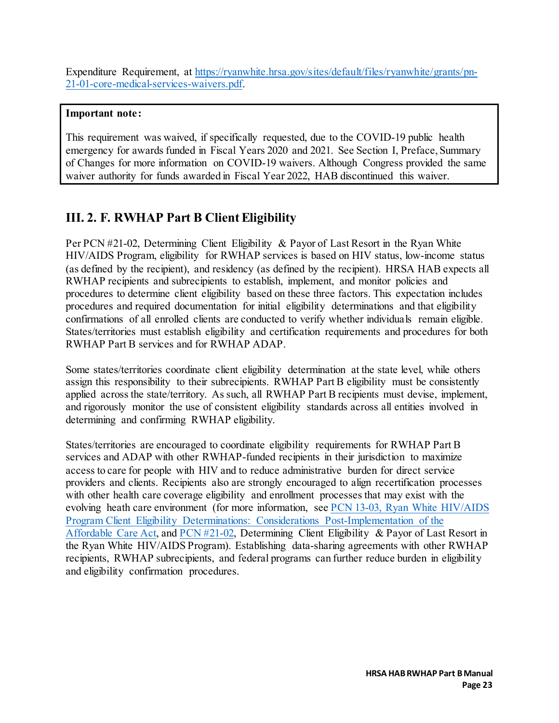Expenditure Requirement, at [https://ryanwhite.hrsa.gov/sites/default/files/ryanwhite/grants/pn-](https://ryanwhite.hrsa.gov/sites/default/files/ryanwhite/grants/pn-21-01-core-medical-services-waivers.pdf)[21-01-core-medical-services-waivers.pdf.](https://ryanwhite.hrsa.gov/sites/default/files/ryanwhite/grants/pn-21-01-core-medical-services-waivers.pdf) 

#### **Important note:**

This requirement was waived, if specifically requested, due to the COVID-19 public health emergency for awards funded in Fiscal Years 2020 and 2021. See Section I, Preface, Summary of Changes for more information on COVID-19 waivers. Although Congress provided the same waiver authority for funds awarded in Fiscal Year 2022, HAB discontinued this waiver.

## **III. 2. F. RWHAP Part B Client Eligibility**

Per PCN #21-02, Determining Client Eligibility & Payor of Last Resort in the Ryan White HIV/AIDS Program, eligibility for RWHAP services is based on HIV status, low-income status (as defined by the recipient), and residency (as defined by the recipient). HRSA HAB expects all RWHAP recipients and subrecipients to establish, implement, and monitor policies and procedures to determine client eligibility based on these three factors. This expectation includes procedures and required documentation for initial eligibility determinations and that eligibility confirmations of all enrolled clients are conducted to verify whether individuals remain eligible. States/territories must establish eligibility and certification requirements and procedures for both RWHAP Part B services and for RWHAP ADAP.

Some states/territories coordinate client eligibility determination at the state level, while others assign this responsibility to their subrecipients. RWHAP Part B eligibility must be consistently applied across the state/territory. As such, all RWHAP Part B recipients must devise, implement, and rigorously monitor the use of consistent eligibility standards across all entities involved in determining and confirming RWHAP eligibility.

States/territories are encouraged to coordinate eligibility requirements for RWHAP Part B services and ADAP with other RWHAP-funded recipients in their jurisdiction to maximize access to care for people with HIV and to reduce administrative burden for direct service providers and clients. Recipients also are strongly encouraged to align recertification processes with other health care coverage eligibility and enrollment processes that may exist with the evolving heath care environment (for more information, see [PCN 13-03, Ryan White HIV/AIDS](https://ryanwhite.hrsa.gov/sites/default/files/ryanwhite/grants/pcn-1303-eligibility-considerations.pdf)  [Program Client Eligibility Determinations: Considerations Post-Implementation of the](https://ryanwhite.hrsa.gov/sites/default/files/ryanwhite/grants/pcn-1303-eligibility-considerations.pdf)  [Affordable](https://ryanwhite.hrsa.gov/sites/default/files/ryanwhite/grants/pcn-1303-eligibility-considerations.pdf) Care Act, and [PCN #21-02,](https://ryanwhite.hrsa.gov/sites/default/files/ryanwhite/grants/pcn-21-02-determining-eligibility-polr.pdf) Determining Client Eligibility & Payor of Last Resort in the Ryan White HIV/AIDS Program). Establishing data-sharing agreements with other RWHAP recipients, RWHAP subrecipients, and federal programs can further reduce burden in eligibility and eligibility confirmation procedures.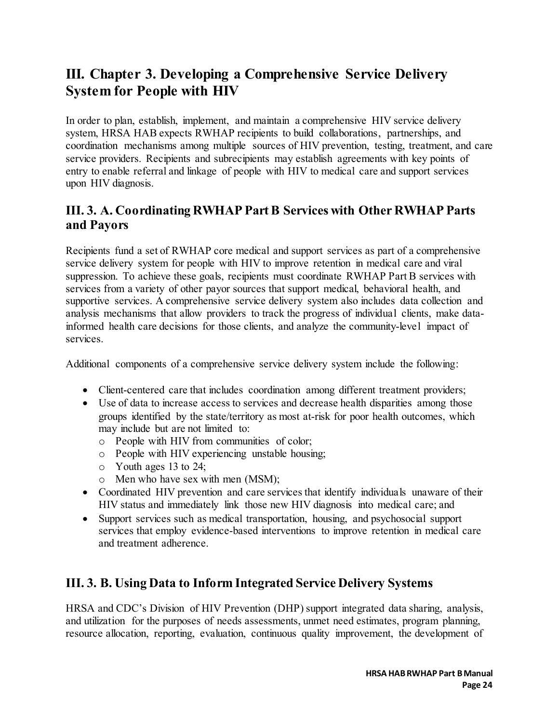# <span id="page-24-0"></span>**III. Chapter 3. Developing a Comprehensive Service Delivery System for People with HIV**

In order to plan, establish, implement, and maintain a comprehensive HIV service delivery system, HRSA HAB expects RWHAP recipients to build collaborations, partnerships, and coordination mechanisms among multiple sources of HIV prevention, testing, treatment, and care service providers. Recipients and subrecipients may establish agreements with key points of entry to enable referral and linkage of people with HIV to medical care and support services upon HIV diagnosis.

## **III. 3. A. Coordinating RWHAP Part B Services with Other RWHAP Parts and Payors**

Recipients fund a set of RWHAP core medical and support services as part of a comprehensive service delivery system for people with HIV to improve retention in medical care and viral suppression. To achieve these goals, recipients must coordinate RWHAP Part B services with services from a variety of other payor sources that support medical, behavioral health, and supportive services. A comprehensive service delivery system also includes data collection and analysis mechanisms that allow providers to track the progress of individual clients, make datainformed health care decisions for those clients, and analyze the community-level impact of services.

Additional components of a comprehensive service delivery system include the following:

- Client-centered care that includes coordination among different treatment providers;
- Use of data to increase access to services and decrease health disparities among those groups identified by the state/territory as most at-risk for poor health outcomes, which may include but are not limited to:
	- o People with HIV from communities of color;
	- o People with HIV experiencing unstable housing;
	- o Youth ages 13 to 24;
	- o Men who have sex with men (MSM);
- Coordinated HIV prevention and care services that identify individuals unaware of their HIV status and immediately link those new HIV diagnosis into medical care; and
- Support services such as medical transportation, housing, and psychosocial support services that employ evidence-based interventions to improve retention in medical care and treatment adherence.

## **III. 3. B. Using Data to Inform Integrated Service Delivery Systems**

HRSA and CDC's Division of HIV Prevention (DHP) support integrated data sharing, analysis, and utilization for the purposes of needs assessments, unmet need estimates, program planning, resource allocation, reporting, evaluation, continuous quality improvement, the development of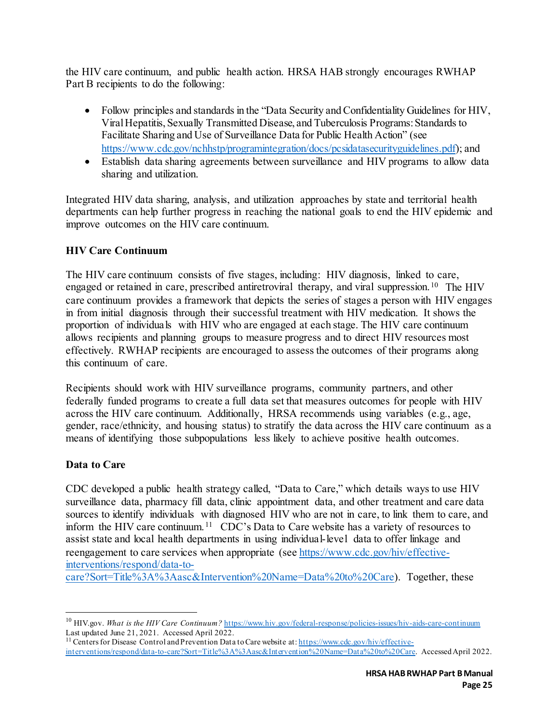the HIV care continuum, and public health action. HRSA HAB strongly encourages RWHAP Part B recipients to do the following:

- Follow principles and standards in the "Data Security and Confidentiality Guidelines for HIV, Viral Hepatitis, Sexually Transmitted Disease, and Tuberculosis Programs: Standards to Facilitate Sharing and Use of Surveillance Data for Public Health Action" (see [https://www.cdc.gov/nchhstp/programintegration/docs/pcsidatasecurityguidelines.pdf\)](https://www.cdc.gov/nchhstp/programintegration/docs/pcsidatasecurityguidelines.pdf); and
- Establish data sharing agreements between surveillance and HIV programs to allow data sharing and utilization.

Integrated HIV data sharing, analysis, and utilization approaches by state and territorial health departments can help further progress in reaching the national goals to end the HIV epidemic and improve outcomes on the HIV care continuum.

#### **HIV Care Continuum**

The HIV care continuum consists of five stages, including: HIV diagnosis, linked to care, engaged or retained in care, prescribed antiretroviral therapy, and viral suppression.<sup>[10](#page-25-0)</sup> The HIV care continuum provides a framework that depicts the series of stages a person with HIV engages in from initial diagnosis through their successful treatment with HIV medication. It shows the proportion of individuals with HIV who are engaged at each stage. The HIV care continuum allows recipients and planning groups to measure progress and to direct HIV resources most effectively. RWHAP recipients are encouraged to assess the outcomes of their programs along this continuum of care.

Recipients should work with HIV surveillance programs, community partners, and other federally funded programs to create a full data set that measures outcomes for people with HIV across the HIV care continuum. Additionally, HRSA recommends using variables (e.g., age, gender, race/ethnicity, and housing status) to stratify the data across the HIV care continuum as a means of identifying those subpopulations less likely to achieve positive health outcomes.

#### **Data to Care**

 $\overline{a}$ 

CDC developed a public health strategy called, "Data to Care," which details ways to use HIV surveillance data, pharmacy fill data, clinic appointment data, and other treatment and care data sources to identify individuals with diagnosed HIV who are not in care, to link them to care, and inform the HIV care continuum.<sup>11</sup> CDC's Data to Care website has a variety of resources to assist state and local health departments in using individual-level data to offer linkage and reengagement to care services when appropriate (see [https://www.cdc.gov/hiv/effective](https://www.cdc.gov/hiv/effective-interventions/respond/data-to-care?Sort=Title%3A%3Aasc&Intervention%20Name=Data%20to%20Care)[interventions/respond/data-to-](https://www.cdc.gov/hiv/effective-interventions/respond/data-to-care?Sort=Title%3A%3Aasc&Intervention%20Name=Data%20to%20Care)

[care?Sort=Title%3A%3Aasc&Intervention%20Name=Data%20to%20Care\).](https://www.cdc.gov/hiv/effective-interventions/respond/data-to-care?Sort=Title%3A%3Aasc&Intervention%20Name=Data%20to%20Care) Together, these

<span id="page-25-0"></span><sup>&</sup>lt;sup>10</sup> HIV.gov. What is the HIV Care Continuum? https://www.hiv.gov/federal-response/policies-issues/hiv-aids-care-continuum Last updated June 21, 2021. Accessed April 2022.

<span id="page-25-1"></span><sup>&</sup>lt;sup>11</sup> Centers for Disease Control and Prevention Data to Care website at[: https://www.cdc.gov/hiv/effective](https://www.cdc.gov/hiv/effective-interventions/respond/data-to-care?Sort=Title%3A%3Aasc&Intervention%20Name=Data%20to%20Care)[interventions/respond/data-to-care?Sort=Title%3A%3Aasc&Intervention%20Name=Data%20to%20Care](https://www.cdc.gov/hiv/effective-interventions/respond/data-to-care?Sort=Title%3A%3Aasc&Intervention%20Name=Data%20to%20Care). Accessed April 2022.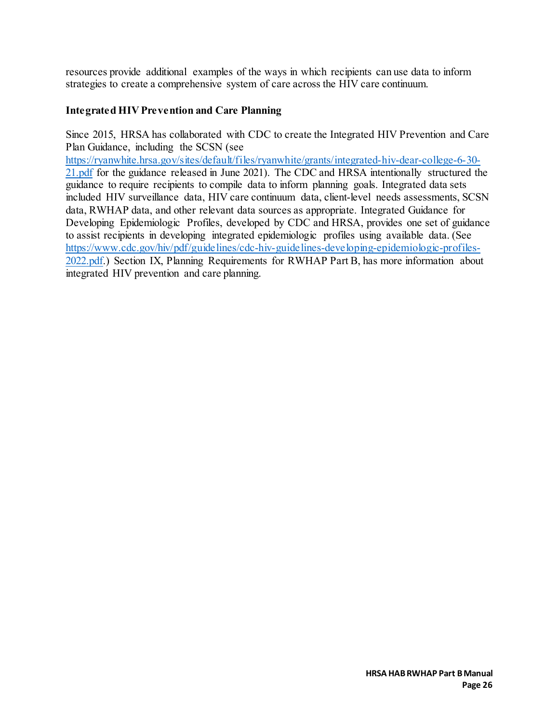resources provide additional examples of the ways in which recipients can use data to inform strategies to create a comprehensive system of care across the HIV care continuum.

#### **Integrated HIV Prevention and Care Planning**

Since 2015, HRSA has collaborated with CDC to create the Integrated HIV Prevention and Care Plan Guidance, including the SCSN (see

[https://ryanwhite.hrsa.gov/sites/default/files/ryanwhite/grants/integrated-hiv-dear-college-6-30-](https://ryanwhite.hrsa.gov/sites/default/files/ryanwhite/grants/integrated-hiv-dear-college-6-30-21.pdf) [21.pdf](https://ryanwhite.hrsa.gov/sites/default/files/ryanwhite/grants/integrated-hiv-dear-college-6-30-21.pdf) for the guidance released in June 2021). The CDC and HRSA intentionally structured the guidance to require recipients to compile data to inform planning goals. Integrated data sets included HIV surveillance data, HIV care continuum data, client-level needs assessments, SCSN data, RWHAP data, and other relevant data sources as appropriate. Integrated Guidance for Developing Epidemiologic Profiles, developed by CDC and HRSA, provides one set of guidance to assist recipients in developing integrated epidemiologic profiles using available data. (See [https://www.cdc.gov/hiv/pdf/guidelines/cdc-hiv-guidelines-developing-epidemiologic-profiles-](https://www.cdc.gov/hiv/pdf/guidelines/cdc-hiv-guidelines-developing-epidemiologic-profiles-2022.pdf)[2022.pdf.\)](https://www.cdc.gov/hiv/pdf/guidelines/cdc-hiv-guidelines-developing-epidemiologic-profiles-2022.pdf) Section IX, Planning Requirements for RWHAP Part B, has more information about integrated HIV prevention and care planning.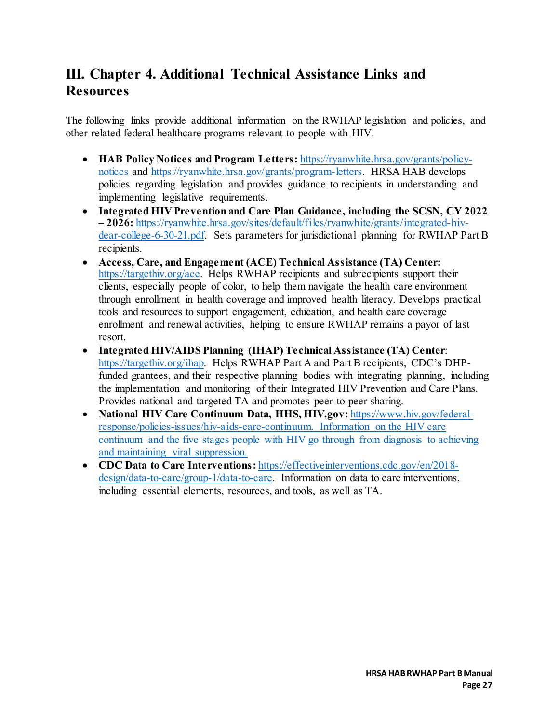# <span id="page-27-0"></span>**III. Chapter 4. Additional Technical Assistance Links and Resources**

The following links provide additional information on the RWHAP legislation and policies, and other related federal healthcare programs relevant to people with HIV.

- **HAB Policy Notices and Program Letters:** [https://ryanwhite.hrsa.gov/grants/policy](https://ryanwhite.hrsa.gov/grants/policy-notices)[notices](https://ryanwhite.hrsa.gov/grants/policy-notices) and [https://ryanwhite.hrsa.gov/grants/program-letters.](https://ryanwhite.hrsa.gov/grants/program-letters) HRSA HAB develops policies regarding legislation and provides guidance to recipients in understanding and implementing legislative requirements.
- **Integrated HIV Prevention and Care Plan Guidance, including the SCSN, CY 2022 – 2026:** [https://ryanwhite.hrsa.gov/sites/default/files/ryanwhite/grants/integrated-hiv](https://ryanwhite.hrsa.gov/sites/default/files/ryanwhite/grants/integrated-hiv-dear-college-6-30-21.pdf)[dear-college-6-30-21.pdf.](https://ryanwhite.hrsa.gov/sites/default/files/ryanwhite/grants/integrated-hiv-dear-college-6-30-21.pdf) Sets parameters for jurisdictional planning for RWHAP Part B recipients.
- **Access, Care, and Engagement (ACE) Technical Assistance (TA) Center:** [https://targethiv.org/ace.](https://targethiv.org/ace) Helps RWHAP recipients and subrecipients support their clients, especially people of color, to help them navigate the health care environment through enrollment in health coverage and improved health literacy. Develops practical tools and resources to support engagement, education, and health care coverage enrollment and renewal activities, helping to ensure RWHAP remains a payor of last resort.
- **Integrated HIV/AIDS Planning (IHAP) Technical Assistance (TA) Center**: [https://targethiv.org/ihap.](https://targethiv.org/ihap) Helps RWHAP Part A and Part B recipients, CDC's DHPfunded grantees, and their respective planning bodies with integrating planning, including the implementation and monitoring of their Integrated HIV Prevention and Care Plans. Provides national and targeted TA and promotes peer-to-peer sharing.
- **National HIV Care Continuum Data, HHS, HIV.gov:** [https://www.hiv.gov/federal](https://www.hiv.gov/federal-response/policies-issues/hiv-aids-care-continuum)[response/policies-issues/hiv-aids-care-continuum.](https://www.hiv.gov/federal-response/policies-issues/hiv-aids-care-continuum) Information on the HIV care continuum and the five stages people with HIV go through from diagnosis to achieving and maintaining viral suppression.
- **CDC Data to Care Interventions:** [https://effectiveinterventions.cdc.gov/en/2018](https://effectiveinterventions.cdc.gov/en/2018-design/data-to-care/group-1/data-to-care) [design/data-to-care/group-1/data-to-care.](https://effectiveinterventions.cdc.gov/en/2018-design/data-to-care/group-1/data-to-care) Information on data to care interventions, including essential elements, resources, and tools, as well as TA.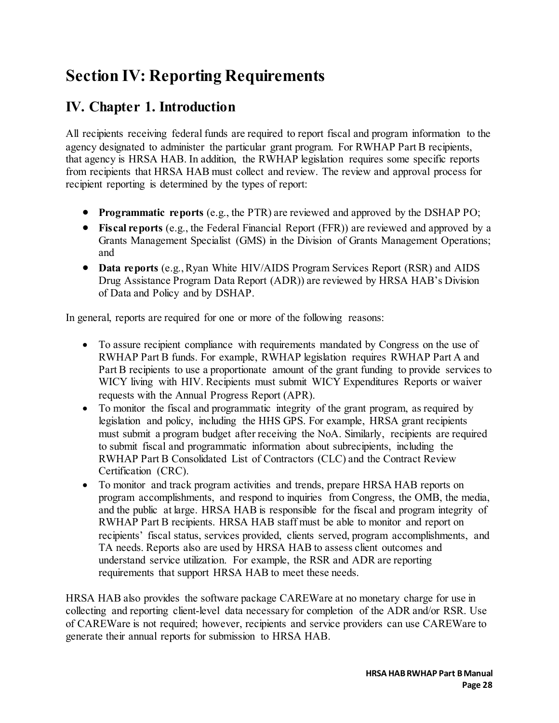# <span id="page-28-0"></span>**Section IV: Reporting Requirements**

# <span id="page-28-1"></span>**IV. Chapter 1. Introduction**

All recipients receiving federal funds are required to report fiscal and program information to the agency designated to administer the particular grant program. For RWHAP Part B recipients, that agency is HRSA HAB. In addition, the RWHAP legislation requires some specific reports from recipients that HRSA HAB must collect and review. The review and approval process for recipient reporting is determined by the types of report:

- **Programmatic reports** (e.g., the PTR) are reviewed and approved by the DSHAP PO;
- **Fiscal reports** (e.g., the Federal Financial Report (FFR)) are reviewed and approved by a Grants Management Specialist (GMS) in the Division of Grants Management Operations; and
- **Data reports** (e.g., Ryan White HIV/AIDS Program Services Report (RSR) and AIDS Drug Assistance Program Data Report (ADR)) are reviewed by HRSA HAB's Division of Data and Policy and by DSHAP.

In general, reports are required for one or more of the following reasons:

- To assure recipient compliance with requirements mandated by Congress on the use of RWHAP Part B funds. For example, RWHAP legislation requires RWHAP Part A and Part B recipients to use a proportionate amount of the grant funding to provide services to WICY living with HIV. Recipients must submit WICY Expenditures Reports or waiver requests with the Annual Progress Report (APR).
- To monitor the fiscal and programmatic integrity of the grant program, as required by legislation and policy, including the HHS GPS. For example, HRSA grant recipients must submit a program budget after receiving the NoA. Similarly, recipients are required to submit fiscal and programmatic information about subrecipients, including the RWHAP Part B Consolidated List of Contractors (CLC) and the Contract Review Certification (CRC).
- To monitor and track program activities and trends, prepare HRSA HAB reports on program accomplishments, and respond to inquiries from Congress, the OMB, the media, and the public at large. HRSA HAB is responsible for the fiscal and program integrity of RWHAP Part B recipients. HRSA HAB staff must be able to monitor and report on recipients' fiscal status, services provided, clients served, program accomplishments, and TA needs. Reports also are used by HRSA HAB to assess client outcomes and understand service utilization. For example, the RSR and ADR are reporting requirements that support HRSA HAB to meet these needs.

HRSA HAB also provides the software package CAREWare at no monetary charge for use in collecting and reporting client-level data necessary for completion of the ADR and/or RSR. Use of CAREWare is not required; however, recipients and service providers can use CAREWare to generate their annual reports for submission to HRSA HAB.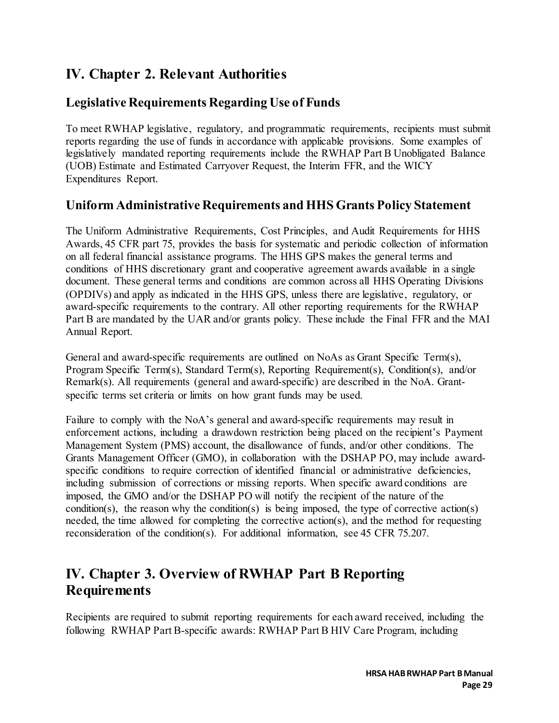# <span id="page-29-0"></span>**IV. Chapter 2. Relevant Authorities**

## **Legislative Requirements Regarding Use of Funds**

To meet RWHAP legislative, regulatory, and programmatic requirements, recipients must submit reports regarding the use of funds in accordance with applicable provisions. Some examples of legislatively mandated reporting requirements include the RWHAP Part B Unobligated Balance (UOB) Estimate and Estimated Carryover Request, the Interim FFR, and the WICY Expenditures Report.

## **Uniform Administrative Requirements and HHS Grants Policy Statement**

The Uniform Administrative Requirements, Cost Principles, and Audit Requirements for HHS Awards, 45 CFR part 75, provides the basis for systematic and periodic collection of information on all federal financial assistance programs. The HHS GPS makes the general terms and conditions of HHS discretionary grant and cooperative agreement awards available in a single document. These general terms and conditions are common across all HHS Operating Divisions (OPDIVs) and apply as indicated in the HHS GPS, unless there are legislative, regulatory, or award-specific requirements to the contrary. All other reporting requirements for the RWHAP Part B are mandated by the UAR and/or grants policy. These include the Final FFR and the MAI Annual Report.

General and award-specific requirements are outlined on NoAs as Grant Specific Term(s), Program Specific Term(s), Standard Term(s), Reporting Requirement(s), Condition(s), and/or Remark(s). All requirements (general and award-specific) are described in the NoA. Grantspecific terms set criteria or limits on how grant funds may be used.

Failure to comply with the NoA's general and award-specific requirements may result in enforcement actions, including a drawdown restriction being placed on the recipient's Payment Management System (PMS) account, the disallowance of funds, and/or other conditions. The Grants Management Officer (GMO), in collaboration with the DSHAP PO, may include awardspecific conditions to require correction of identified financial or administrative deficiencies, including submission of corrections or missing reports. When specific award conditions are imposed, the GMO and/or the DSHAP PO will notify the recipient of the nature of the condition(s), the reason why the condition(s) is being imposed, the type of corrective action(s) needed, the time allowed for completing the corrective action(s), and the method for requesting reconsideration of the condition(s). For additional information, see 45 CFR 75.207.

## <span id="page-29-1"></span>**IV. Chapter 3. Overview of RWHAP Part B Reporting Requirements**

Recipients are required to submit reporting requirements for each award received, including the following RWHAP Part B-specific awards: RWHAP Part B HIV Care Program, including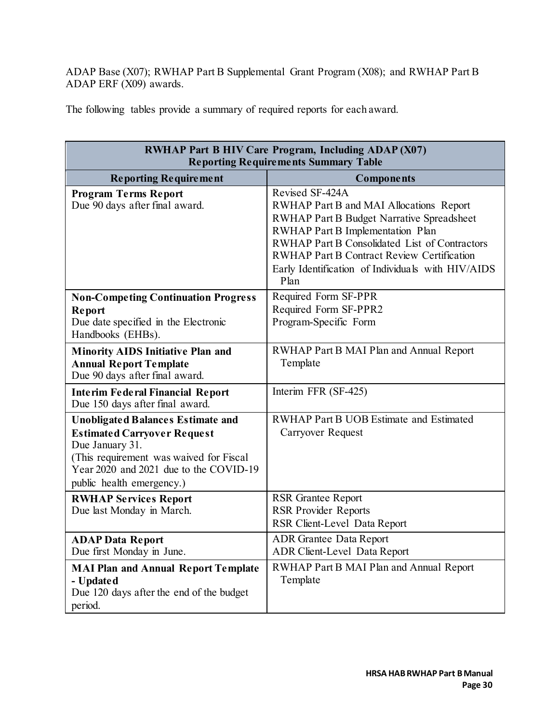ADAP Base (X07); RWHAP Part B Supplemental Grant Program (X08); and RWHAP Part B ADAP ERF (X09) awards.

The following tables provide a summary of required reports for each award.

| <b>RWHAP Part B HIV Care Program, Including ADAP (X07)</b><br><b>Reporting Requirements Summary Table</b>                                                                                                           |                                                                                                                                                                                                                                                                                                                              |  |
|---------------------------------------------------------------------------------------------------------------------------------------------------------------------------------------------------------------------|------------------------------------------------------------------------------------------------------------------------------------------------------------------------------------------------------------------------------------------------------------------------------------------------------------------------------|--|
| <b>Reporting Requirement</b>                                                                                                                                                                                        | <b>Components</b>                                                                                                                                                                                                                                                                                                            |  |
| <b>Program Terms Report</b><br>Due 90 days after final award.                                                                                                                                                       | Revised SF-424A<br>RWHAP Part B and MAI Allocations Report<br><b>RWHAP Part B Budget Narrative Spreadsheet</b><br>RWHAP Part B Implementation Plan<br><b>RWHAP Part B Consolidated List of Contractors</b><br><b>RWHAP Part B Contract Review Certification</b><br>Early Identification of Individuals with HIV/AIDS<br>Plan |  |
| <b>Non-Competing Continuation Progress</b><br>Report<br>Due date specified in the Electronic<br>Handbooks (EHBs).                                                                                                   | Required Form SF-PPR<br>Required Form SF-PPR2<br>Program-Specific Form                                                                                                                                                                                                                                                       |  |
| <b>Minority AIDS Initiative Plan and</b><br><b>Annual Report Template</b><br>Due 90 days after final award.                                                                                                         | RWHAP Part B MAI Plan and Annual Report<br>Template                                                                                                                                                                                                                                                                          |  |
| <b>Interim Federal Financial Report</b><br>Due 150 days after final award.                                                                                                                                          | Interim FFR (SF-425)                                                                                                                                                                                                                                                                                                         |  |
| <b>Unobligated Balances Estimate and</b><br><b>Estimated Carryover Request</b><br>Due January 31.<br>(This requirement was waived for Fiscal<br>Year 2020 and 2021 due to the COVID-19<br>public health emergency.) | <b>RWHAP Part B UOB Estimate and Estimated</b><br><b>Carryover Request</b>                                                                                                                                                                                                                                                   |  |
| <b>RWHAP Services Report</b><br>Due last Monday in March.                                                                                                                                                           | <b>RSR Grantee Report</b><br><b>RSR Provider Reports</b><br>RSR Client-Level Data Report                                                                                                                                                                                                                                     |  |
| <b>ADAP Data Report</b><br>Due first Monday in June.                                                                                                                                                                | <b>ADR</b> Grantee Data Report<br>ADR Client-Level Data Report                                                                                                                                                                                                                                                               |  |
| <b>MAI Plan and Annual Report Template</b><br>- Updated<br>Due 120 days after the end of the budget<br>period.                                                                                                      | RWHAP Part B MAI Plan and Annual Report<br>Template                                                                                                                                                                                                                                                                          |  |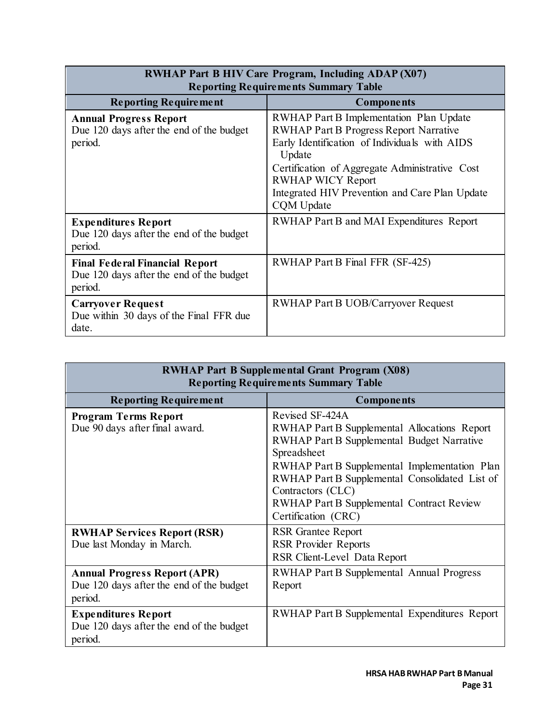| <b>RWHAP Part B HIV Care Program, Including ADAP (X07)</b>                                   |                                                                                                                                                                                                                                                                                                   |  |
|----------------------------------------------------------------------------------------------|---------------------------------------------------------------------------------------------------------------------------------------------------------------------------------------------------------------------------------------------------------------------------------------------------|--|
| <b>Reporting Requirements Summary Table</b>                                                  |                                                                                                                                                                                                                                                                                                   |  |
| <b>Reporting Requirement</b>                                                                 | <b>Components</b>                                                                                                                                                                                                                                                                                 |  |
| <b>Annual Progress Report</b><br>Due 120 days after the end of the budget<br>period.         | RWHAP Part B Implementation Plan Update<br><b>RWHAP Part B Progress Report Narrative</b><br>Early Identification of Individuals with AIDS<br>Update<br>Certification of Aggregate Administrative Cost<br><b>RWHAP WICY Report</b><br>Integrated HIV Prevention and Care Plan Update<br>CQM Update |  |
| <b>Expenditures Report</b><br>Due 120 days after the end of the budget<br>period.            | RWHAP Part B and MAI Expenditures Report                                                                                                                                                                                                                                                          |  |
| <b>Final Federal Financial Report</b><br>Due 120 days after the end of the budget<br>period. | RWHAP Part B Final FFR (SF-425)                                                                                                                                                                                                                                                                   |  |
| <b>Carryover Request</b><br>Due within 30 days of the Final FFR due<br>date.                 | <b>RWHAP Part B UOB/Carryover Request</b>                                                                                                                                                                                                                                                         |  |

T.

| <b>RWHAP Part B Supplemental Grant Program (X08)</b><br><b>Reporting Requirements Summary Table</b> |                                                                                                                                                                                                                                                                                                                                 |  |
|-----------------------------------------------------------------------------------------------------|---------------------------------------------------------------------------------------------------------------------------------------------------------------------------------------------------------------------------------------------------------------------------------------------------------------------------------|--|
| <b>Reporting Requirement</b>                                                                        | <b>Components</b>                                                                                                                                                                                                                                                                                                               |  |
| <b>Program Terms Report</b><br>Due 90 days after final award.                                       | Revised SF-424A<br>RWHAP Part B Supplemental Allocations Report<br><b>RWHAP Part B Supplemental Budget Narrative</b><br>Spreadsheet<br>RWHAP Part B Supplemental Implementation Plan<br>RWHAP Part B Supplemental Consolidated List of<br>Contractors (CLC)<br>RWHAP Part B Supplemental Contract Review<br>Certification (CRC) |  |
| <b>RWHAP Services Report (RSR)</b><br>Due last Monday in March.                                     | <b>RSR</b> Grantee Report<br><b>RSR Provider Reports</b><br>RSR Client-Level Data Report                                                                                                                                                                                                                                        |  |
| <b>Annual Progress Report (APR)</b><br>Due 120 days after the end of the budget<br>period.          | <b>RWHAP Part B Supplemental Annual Progress</b><br>Report                                                                                                                                                                                                                                                                      |  |
| <b>Expenditures Report</b><br>Due 120 days after the end of the budget<br>period.                   | RWHAP Part B Supplemental Expenditures Report                                                                                                                                                                                                                                                                                   |  |

٦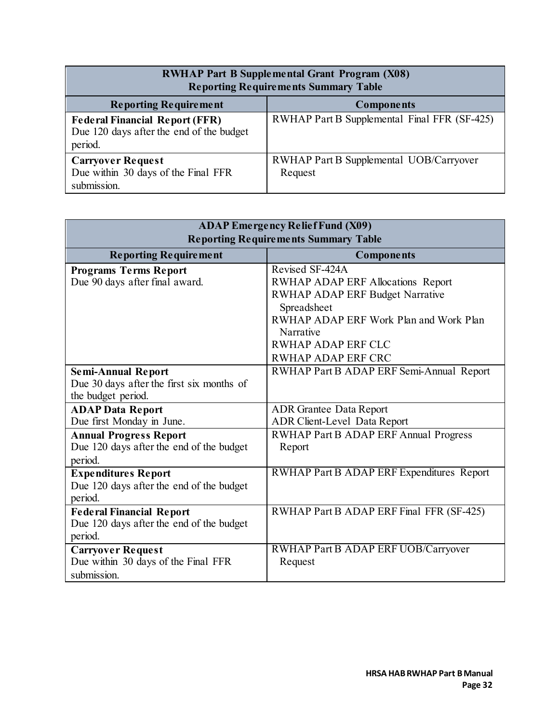| <b>RWHAP Part B Supplemental Grant Program (X08)</b><br><b>Reporting Requirements Summary Table</b> |                                                    |  |
|-----------------------------------------------------------------------------------------------------|----------------------------------------------------|--|
| <b>Reporting Requirement</b>                                                                        | <b>Components</b>                                  |  |
| <b>Federal Financial Report (FFR)</b><br>Due 120 days after the end of the budget<br>period.        | RWHAP Part B Supplemental Final FFR (SF-425)       |  |
| <b>Carryover Request</b><br>Due within 30 days of the Final FFR<br>submission.                      | RWHAP Part B Supplemental UOB/Carryover<br>Request |  |

| <b>ADAP Emergency Relief Fund (X09)</b><br><b>Reporting Requirements Summary Table</b> |                                           |  |
|----------------------------------------------------------------------------------------|-------------------------------------------|--|
| <b>Reporting Requirement</b>                                                           | Components                                |  |
| <b>Programs Terms Report</b>                                                           | Revised SF-424A                           |  |
| Due 90 days after final award.                                                         | <b>RWHAP ADAP ERF Allocations Report</b>  |  |
|                                                                                        | <b>RWHAP ADAP ERF Budget Narrative</b>    |  |
|                                                                                        | Spreadsheet                               |  |
|                                                                                        | RWHAP ADAP ERF Work Plan and Work Plan    |  |
|                                                                                        | Narrative                                 |  |
|                                                                                        | <b>RWHAP ADAP ERF CLC</b>                 |  |
|                                                                                        | <b>RWHAP ADAP ERF CRC</b>                 |  |
| <b>Semi-Annual Report</b>                                                              | RWHAP Part B ADAP ERF Semi-Annual Report  |  |
| Due 30 days after the first six months of                                              |                                           |  |
| the budget period.                                                                     |                                           |  |
| <b>ADAP Data Report</b>                                                                | <b>ADR</b> Grantee Data Report            |  |
| Due first Monday in June.                                                              | ADR Client-Level Data Report              |  |
| <b>Annual Progress Report</b>                                                          | RWHAP Part B ADAP ERF Annual Progress     |  |
| Due 120 days after the end of the budget                                               | Report                                    |  |
| period.                                                                                |                                           |  |
| <b>Expenditures Report</b>                                                             | RWHAP Part B ADAP ERF Expenditures Report |  |
| Due 120 days after the end of the budget                                               |                                           |  |
| period.                                                                                |                                           |  |
| <b>Federal Financial Report</b>                                                        | RWHAP Part B ADAP ERF Final FFR (SF-425)  |  |
| Due 120 days after the end of the budget                                               |                                           |  |
| period.                                                                                |                                           |  |
| <b>Carryover Request</b>                                                               | RWHAP Part B ADAP ERF UOB/Carryover       |  |
| Due within 30 days of the Final FFR                                                    | Request                                   |  |
| submission.                                                                            |                                           |  |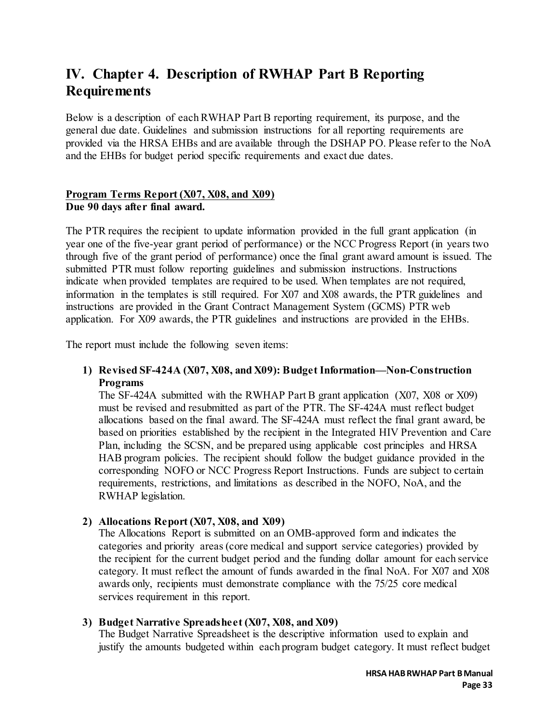# <span id="page-33-0"></span>**IV. Chapter 4. Description of RWHAP Part B Reporting Requirements**

Below is a description of eachRWHAP Part B reporting requirement, its purpose, and the general due date. Guidelines and submission instructions for all reporting requirements are provided via the HRSA EHBs and are available through the DSHAP PO. Please refer to the NoA and the EHBs for budget period specific requirements and exact due dates.

#### **Program Terms Report (X07, X08, and X09) Due 90 days after final award.**

The PTR requires the recipient to update information provided in the full grant application (in year one of the five-year grant period of performance) or the NCC Progress Report (in years two through five of the grant period of performance) once the final grant award amount is issued. The submitted PTR must follow reporting guidelines and submission instructions. Instructions indicate when provided templates are required to be used. When templates are not required, information in the templates is still required. For X07 and X08 awards, the PTR guidelines and instructions are provided in the Grant Contract Management System (GCMS) PTR web application. For X09 awards, the PTR guidelines and instructions are provided in the EHBs.

The report must include the following seven items:

#### **1) Revised SF-424A (X07, X08, and X09): Budget Information—Non-Construction Programs**

The SF-424A submitted with the RWHAP Part B grant application (X07, X08 or X09) must be revised and resubmitted as part of the PTR. The SF-424A must reflect budget allocations based on the final award. The SF-424A must reflect the final grant award, be based on priorities established by the recipient in the Integrated HIV Prevention and Care Plan, including the SCSN, and be prepared using applicable cost principles and HRSA HAB program policies. The recipient should follow the budget guidance provided in the corresponding NOFO or NCC Progress Report Instructions. Funds are subject to certain requirements, restrictions, and limitations as described in the NOFO, NoA, and the RWHAP legislation.

#### **2) Allocations Report (X07, X08, and X09)**

The Allocations Report is submitted on an OMB-approved form and indicates the categories and priority areas (core medical and support service categories) provided by the recipient for the current budget period and the funding dollar amount for each service category. It must reflect the amount of funds awarded in the final NoA. For X07 and X08 awards only, recipients must demonstrate compliance with the 75/25 core medical services requirement in this report.

#### **3) Budget Narrative Spreadsheet (X07, X08, and X09)**

The Budget Narrative Spreadsheet is the descriptive information used to explain and justify the amounts budgeted within each program budget category. It must reflect budget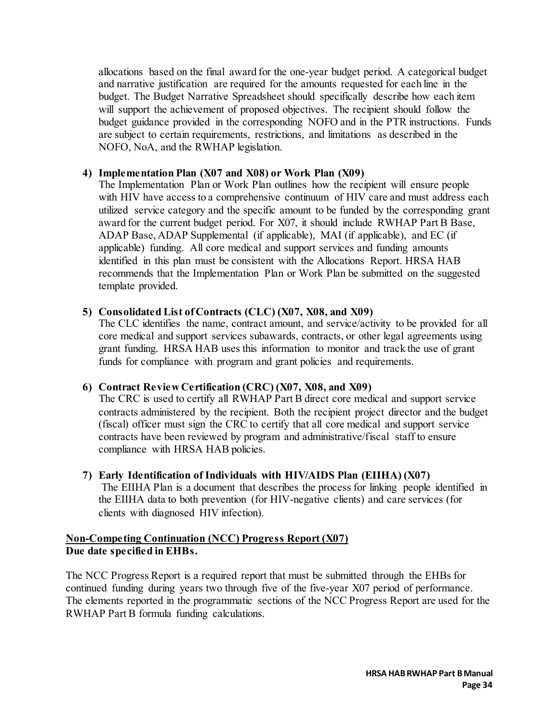allocations based on the final award for the one-year budget period. A categorical budget and narrative justification are required for the amounts requested for each line in the budget. The Budget Narrative Spreadsheet should specifically describe how each item will support the achievement of proposed objectives. The recipient should follow the budget guidance provided in the corresponding NOFO and in the PTR instructions. Funds are subject to certain requirements, restrictions, and limitations as described in the NOFO, NoA, and the RWHAP legislation.

#### **4) Implementation Plan (X07 and X08) or Work Plan (X09)**

The Implementation Plan or Work Plan outlines how the recipient will ensure people with HIV have access to a comprehensive continuum of HIV care and must address each utilized service category and the specific amount to be funded by the corresponding grant award for the current budget period. For X07, it should include RWHAP Part B Base, ADAP Base, ADAP Supplemental (if applicable), MAI (if applicable), and EC (if applicable) funding. All core medical and support services and funding amounts identified in this plan must be consistent with the Allocations Report. HRSA HAB recommends that the Implementation Plan or Work Plan be submitted on the suggested template provided.

#### **5) Consolidated List of Contracts (CLC) (X07, X08, and X09)**

The CLC identifies the name, contract amount, and service/activity to be provided for all core medical and support services subawards, contracts, or other legal agreements using grant funding. HRSA HAB uses this information to monitor and track the use of grant funds for compliance with program and grant policies and requirements.

#### **6) Contract Review Certification (CRC) (X07, X08, and X09)**

The CRC is used to certify all RWHAP Part B direct core medical and support service contracts administered by the recipient. Both the recipient project director and the budget (fiscal) officer must sign the CRC to certify that all core medical and support service contracts have been reviewed by program and administrative/fiscal staff to ensure compliance with HRSA HAB policies.

## **7) Early Identification of Individuals with HIV/AIDS Plan (EIIHA) (X07)**

The EIIHA Plan is a document that describes the process for linking people identified in the EIIHA data to both prevention (for HIV-negative clients) and care services (for clients with diagnosed HIV infection).

#### **Non-Competing Continuation (NCC) Progress Report (X07) Due date specified in EHBs.**

The NCC Progress Report is a required report that must be submitted through the EHBs for continued funding during years two through five of the five-year X07 period of performance. The elements reported in the programmatic sections of the NCC Progress Report are used for the RWHAP Part B formula funding calculations.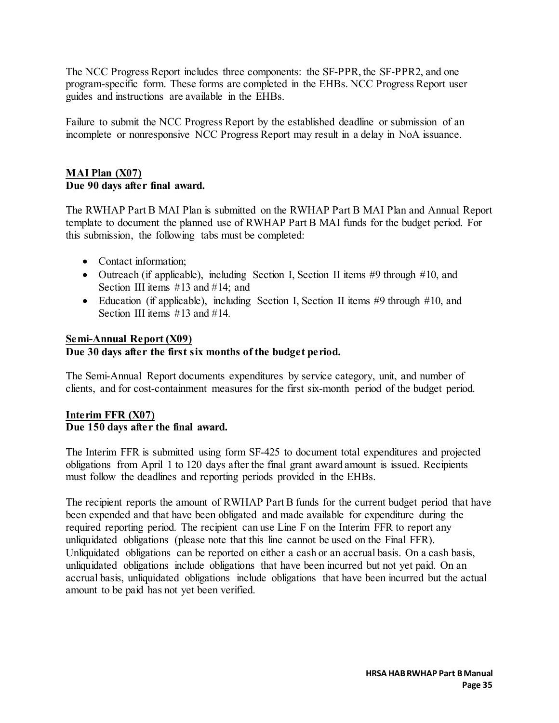The NCC Progress Report includes three components: the SF-PPR, the SF-PPR2, and one program-specific form. These forms are completed in the EHBs. NCC Progress Report user guides and instructions are available in the EHBs.

Failure to submit the NCC Progress Report by the established deadline or submission of an incomplete or nonresponsive NCC Progress Report may result in a delay in NoA issuance.

#### **MAI Plan (X07) Due 90 days after final award.**

The RWHAP Part B MAI Plan is submitted on the RWHAP Part B MAI Plan and Annual Report template to document the planned use of RWHAP Part B MAI funds for the budget period. For this submission, the following tabs must be completed:

- Contact information;
- Outreach (if applicable), including Section I, Section II items #9 through #10, and Section III items #13 and #14; and
- Education (if applicable), including Section I, Section II items  $#9$  through  $#10$ , and Section III items #13 and #14.

#### **Semi-Annual Report (X09)**

#### **Due 30 days after the first six months of the budget period.**

The Semi-Annual Report documents expenditures by service category, unit, and number of clients, and for cost-containment measures for the first six-month period of the budget period.

#### **Interim FFR (X07) Due 150 days after the final award.**

The Interim FFR is submitted using form SF-425 to document total expenditures and projected obligations from April 1 to 120 days after the final grant award amount is issued. Recipients must follow the deadlines and reporting periods provided in the EHBs.

The recipient reports the amount of RWHAP Part B funds for the current budget period that have been expended and that have been obligated and made available for expenditure during the required reporting period. The recipient can use Line F on the Interim FFR to report any unliquidated obligations (please note that this line cannot be used on the Final FFR). Unliquidated obligations can be reported on either a cash or an accrual basis. On a cash basis, unliquidated obligations include obligations that have been incurred but not yet paid. On an accrual basis, unliquidated obligations include obligations that have been incurred but the actual amount to be paid has not yet been verified.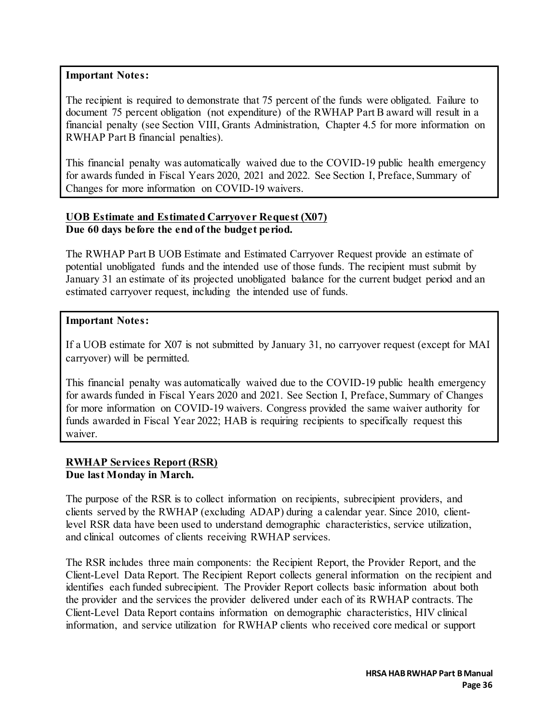#### **Important Notes:**

The recipient is required to demonstrate that 75 percent of the funds were obligated. Failure to document 75 percent obligation (not expenditure) of the RWHAP Part B award will result in a financial penalty (see Section VIII, Grants Administration, Chapter 4.5 for more information on RWHAP Part B financial penalties).

This financial penalty was automatically waived due to the COVID-19 public health emergency for awards funded in Fiscal Years 2020, 2021 and 2022. See Section I, Preface, Summary of Changes for more information on COVID-19 waivers.

#### **UOB Estimate and Estimated Carryover Request (X07) Due 60 days before the end of the budget period.**

The RWHAP Part B UOB Estimate and Estimated Carryover Request provide an estimate of potential unobligated funds and the intended use of those funds. The recipient must submit by January 31 an estimate of its projected unobligated balance for the current budget period and an estimated carryover request, including the intended use of funds.

#### **Important Notes:**

If a UOB estimate for X07 is not submitted by January 31, no carryover request (except for MAI carryover) will be permitted.

This financial penalty was automatically waived due to the COVID-19 public health emergency for awards funded in Fiscal Years 2020 and 2021. See Section I, Preface, Summary of Changes for more information on COVID-19 waivers. Congress provided the same waiver authority for funds awarded in Fiscal Year 2022; HAB is requiring recipients to specifically request this waiver.

#### **RWHAP Services Report (RSR) Due last Monday in March.**

The purpose of the RSR is to collect information on recipients, subrecipient providers, and clients served by the RWHAP (excluding ADAP) during a calendar year. Since 2010, clientlevel RSR data have been used to understand demographic characteristics, service utilization, and clinical outcomes of clients receiving RWHAP services.

The RSR includes three main components: the Recipient Report, the Provider Report, and the Client-Level Data Report. The Recipient Report collects general information on the recipient and identifies each funded subrecipient. The Provider Report collects basic information about both the provider and the services the provider delivered under each of its RWHAP contracts. The Client-Level Data Report contains information on demographic characteristics, HIV clinical information, and service utilization for RWHAP clients who received core medical or support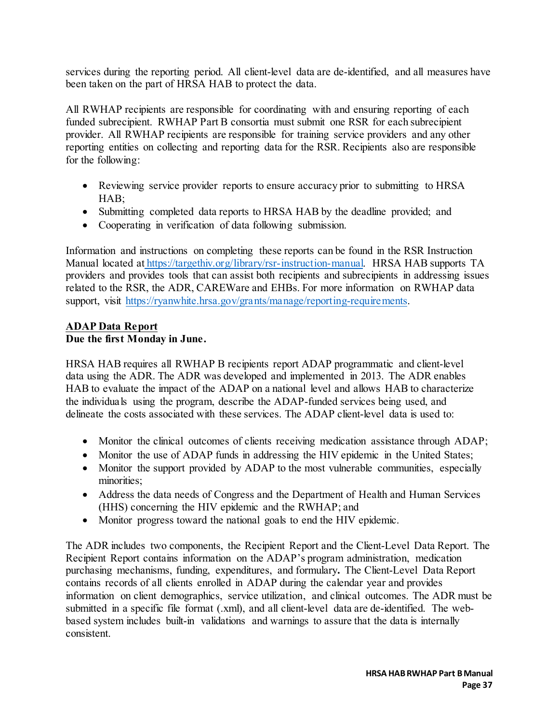services during the reporting period. All client-level data are de-identified, and all measures have been taken on the part of HRSA HAB to protect the data.

All RWHAP recipients are responsible for coordinating with and ensuring reporting of each funded subrecipient. RWHAP Part B consortia must submit one RSR for each subrecipient provider. All RWHAP recipients are responsible for training service providers and any other reporting entities on collecting and reporting data for the RSR. Recipients also are responsible for the following:

- Reviewing service provider reports to ensure accuracy prior to submitting to HRSA HAB;
- Submitting completed data reports to HRSA HAB by the deadline provided; and
- Cooperating in verification of data following submission.

Information and instructions on completing these reports can be found in the RSR Instruction Manual located at [https://targethiv.org/library/rsr-instruction-manual.](https://targethiv.org/library/rsr-instruction-manual) HRSA HAB supports TA providers and provides tools that can assist both recipients and subrecipients in addressing issues related to the RSR, the ADR, CAREWare and EHBs. For more information on RWHAP data support, visit https://ryanwhite.hrsa.gov/grants/manage/reporting-requirements.

#### **ADAP Data Report Due the first Monday in June.**

HRSA HAB requires all RWHAP B recipients report ADAP programmatic and client-level data using the ADR. The ADR was developed and implemented in 2013. The ADR enables HAB to evaluate the impact of the ADAP on a national level and allows HAB to characterize the individuals using the program, describe the ADAP-funded services being used, and delineate the costs associated with these services. The ADAP client-level data is used to:

- Monitor the clinical outcomes of clients receiving medication assistance through ADAP;
- Monitor the use of ADAP funds in addressing the HIV epidemic in the United States;
- Monitor the support provided by ADAP to the most vulnerable communities, especially minorities;
- Address the data needs of Congress and the Department of Health and Human Services (HHS) concerning the HIV epidemic and the RWHAP; and
- Monitor progress toward the national goals to end the HIV epidemic.

The ADR includes two components, the Recipient Report and the Client-Level Data Report. The Recipient Report contains information on the ADAP's program administration, medication purchasing mechanisms, funding, expenditures, and formulary**.** The Client-Level Data Report contains records of all clients enrolled in ADAP during the calendar year and provides information on client demographics, service utilization, and clinical outcomes. The ADR must be submitted in a specific file format (.xml), and all client-level data are de-identified. The webbased system includes built-in validations and warnings to assure that the data is internally consistent.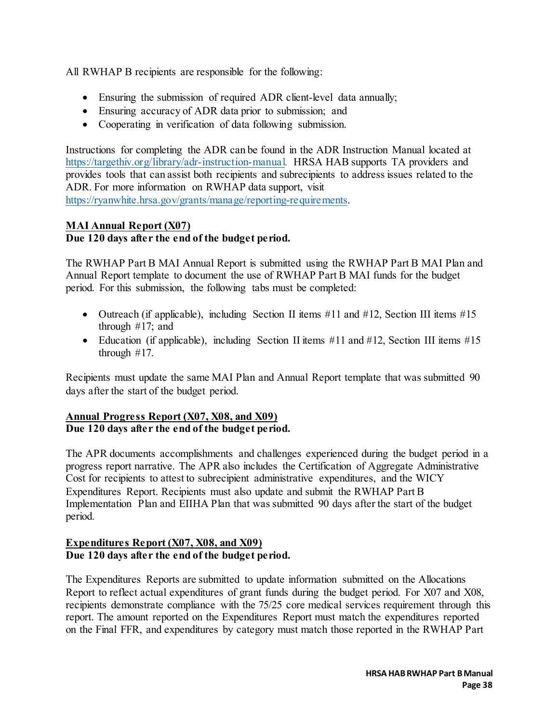All RWHAP B recipients are responsible for the following:

- Ensuring the submission of required ADR client-level data annually;
- Ensuring accuracy of ADR data prior to submission; and
- Cooperating in verification of data following submission.

Instructions for completing the ADR can be found in the [ADR Instruction Manual](https://careacttarget.org/library/adr-instruction-manual) located at [https://targethiv.org/library/adr-instruction-manual.](https://targethiv.org/library/adr-instruction-manual) HRSA HAB supports TA providers and provides tools that can assist both recipients and subrecipients to address issues related to the ADR. For more information on RWHAP data support, visit [https://ryanwhite.hrsa.gov/grants/manage/reporting-requirements.](https://ryanwhite.hrsa.gov/grants/manage/reporting-requirements) 

#### **MAI Annual Report (X07) Due 120 days after the end of the budget period.**

The RWHAP Part B MAI Annual Report is submitted using the RWHAP Part B MAI Plan and Annual Report template to document the use of RWHAP Part B MAI funds for the budget period. For this submission, the following tabs must be completed:

- Outreach (if applicable), including Section II items #11 and #12, Section III items #15 through #17; and
- Education (if applicable), including Section II items #11 and #12, Section III items #15 through #17.

Recipients must update the same MAI Plan and Annual Report template that was submitted 90 days after the start of the budget period.

#### **Annual Progress Report (X07, X08, and X09) Due 120 days after the end of the budget period.**

The APR documents accomplishments and challenges experienced during the budget period in a progress report narrative. The APR also includes the Certification of Aggregate Administrative Cost for recipients to attest to subrecipient administrative expenditures, and the WICY Expenditures Report. Recipients must also update and submit the RWHAP Part B Implementation Plan and EIIHA Plan that was submitted 90 days after the start of the budget period.

### **Expenditures Report (X07, X08, and X09) Due 120 days after the end of the budget period.**

The Expenditures Reports are submitted to update information submitted on the Allocations Report to reflect actual expenditures of grant funds during the budget period. For X07 and X08, recipients demonstrate compliance with the 75/25 core medical services requirement through this report. The amount reported on the Expenditures Report must match the expenditures reported on the Final FFR, and expenditures by category must match those reported in the RWHAP Part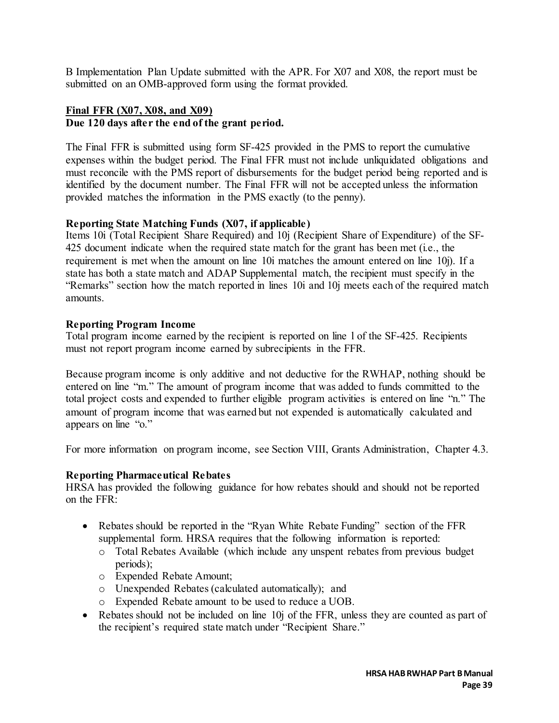B Implementation Plan Update submitted with the APR. For X07 and X08, the report must be submitted on an OMB-approved form using the format provided.

#### **Final FFR (X07, X08, and X09) Due 120 days after the end of the grant period.**

The Final FFR is submitted using form SF-425 provided in the PMS to report the cumulative expenses within the budget period. The Final FFR must not include unliquidated obligations and must reconcile with the PMS report of disbursements for the budget period being reported and is identified by the document number. The Final FFR will not be accepted unless the information provided matches the information in the PMS exactly (to the penny).

### **Reporting State Matching Funds (X07, if applicable)**

Items 10i (Total Recipient Share Required) and 10j (Recipient Share of Expenditure) of the SF-425 document indicate when the required state match for the grant has been met (i.e., the requirement is met when the amount on line 10i matches the amount entered on line 10j). If a state has both a state match and ADAP Supplemental match, the recipient must specify in the "Remarks" section how the match reported in lines 10i and 10j meets each of the required match amounts.

### **Reporting Program Income**

Total program income earned by the recipient is reported on line l of the SF-425. Recipients must not report program income earned by subrecipients in the FFR.

Because program income is only additive and not deductive for the RWHAP, nothing should be entered on line "m." The amount of program income that was added to funds committed to the total project costs and expended to further eligible program activities is entered on line "n." The amount of program income that was earned but not expended is automatically calculated and appears on line "o."

For more information on program income, see Section VIII, Grants Administration, Chapter 4.3.

### **Reporting Pharmaceutical Rebates**

HRSA has provided the following guidance for how rebates should and should not be reported on the  $\text{FFR} \cdot$ 

- Rebates should be reported in the "Ryan White Rebate Funding" section of the FFR supplemental form. HRSA requires that the following information is reported:
	- o Total Rebates Available (which include any unspent rebates from previous budget periods);
	- o Expended Rebate Amount;
	- o Unexpended Rebates (calculated automatically); and
	- o Expended Rebate amount to be used to reduce a UOB.
- Rebates should not be included on line 10j of the FFR, unless they are counted as part of the recipient's required state match under "Recipient Share."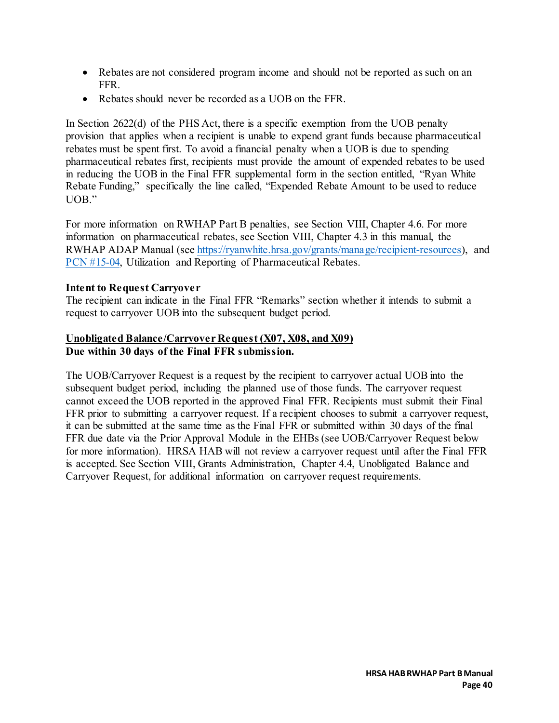- Rebates are not considered program income and should not be reported as such on an FFR.
- Rebates should never be recorded as a UOB on the FFR.

In Section 2622(d) of the PHS Act, there is a specific exemption from the UOB penalty provision that applies when a recipient is unable to expend grant funds because pharmaceutical rebates must be spent first. To avoid a financial penalty when a UOB is due to spending pharmaceutical rebates first, recipients must provide the amount of expended rebates to be used in reducing the UOB in the Final FFR supplemental form in the section entitled, "Ryan White Rebate Funding," specifically the line called, "Expended Rebate Amount to be used to reduce UOB."

For more information on RWHAP Part B penalties, see Section VIII, Chapter 4.6. For more information on pharmaceutical rebates, see Section VIII, Chapter 4.3 in this manual, the RWHAP ADAP Manual (see [https://ryanwhite.hrsa.gov/grants/manage/recipient-resources\),](https://ryanwhite.hrsa.gov/grants/manage/recipient-resources) and [PCN #15-04,](https://ryanwhite.hrsa.gov/sites/default/files/ryanwhite/grants/pcn-15-04-pharmaceutical-rebates.pdf) Utilization and Reporting of Pharmaceutical Rebates.

#### **Intent to Request Carryover**

The recipient can indicate in the Final FFR "Remarks" section whether it intends to submit a request to carryover UOB into the subsequent budget period.

### **Unobligated Balance/Carryover Request (X07, X08, and X09) Due within 30 days of the Final FFR submission.**

The UOB/Carryover Request is a request by the recipient to carryover actual UOB into the subsequent budget period, including the planned use of those funds. The carryover request cannot exceed the UOB reported in the approved Final FFR. Recipients must submit their Final FFR prior to submitting a carryover request. If a recipient chooses to submit a carryover request, it can be submitted at the same time as the Final FFR or submitted within 30 days of the final FFR due date via the Prior Approval Module in the EHBs (see UOB/Carryover Request below for more information). HRSA HAB will not review a carryover request until after the Final FFR is accepted. See Section VIII, Grants Administration, Chapter 4.4, Unobligated Balance and Carryover Request, for additional information on carryover request requirements.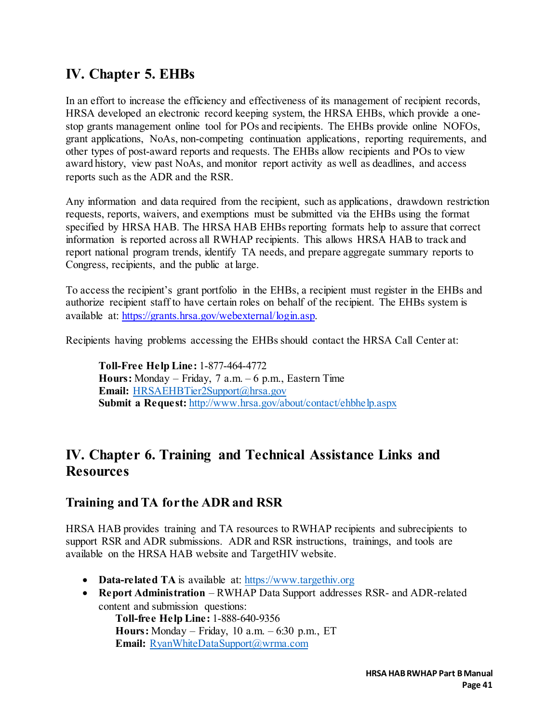# **IV. Chapter 5. EHBs**

In an effort to increase the efficiency and effectiveness of its management of recipient records, HRSA developed an electronic record keeping system, the HRSA EHBs, which provide a onestop grants management online tool for POs and recipients. The EHBs provide online NOFOs, grant applications, NoAs, non-competing continuation applications, reporting requirements, and other types of post-award reports and requests. The EHBs allow recipients and POs to view award history, view past NoAs, and monitor report activity as well as deadlines, and access reports such as the ADR and the RSR.

Any information and data required from the recipient, such as applications, drawdown restriction requests, reports, waivers, and exemptions must be submitted via the EHBs using the format specified by HRSA HAB. The HRSA HAB EHBs reporting formats help to assure that correct information is reported across all RWHAP recipients. This allows HRSA HAB to track and report national program trends, identify TA needs, and prepare aggregate summary reports to Congress, recipients, and the public at large.

To access the recipient's grant portfolio in the EHBs, a recipient must register in the EHBs and authorize recipient staff to have certain roles on behalf of the recipient. The EHBs system is available at: [https://grants.hrsa.gov/webexternal/login.asp.](https://grants.hrsa.gov/webexternal/login.asp) 

Recipients having problems accessing the EHBs should contact the HRSA Call Center at:

**Toll-Free Help Line:** 1-877-464-4772 **Hours:** Monday – Friday, 7 a.m. – 6 p.m., Eastern Time **Email:** HRSAEHBTier2Support@hrsa.gov **Submit a Request:** <http://www.hrsa.gov/about/contact/ehbhelp.aspx>

## **IV. Chapter 6. Training and Technical Assistance Links and Resources**

### **Training and TA for the ADR and RSR**

HRSA HAB provides training and TA resources to RWHAP recipients and subrecipients to support RSR and ADR submissions. ADR and RSR instructions, trainings, and tools are available on the HRSA HAB website and TargetHIV website.

- **Data-related TA** is available at: [https://www.targethiv.org](https://www.targethiv.org/)
- **Report Administration** RWHAP Data Support addresses RSR- and ADR-related content and submission questions:

**Toll-free Help Line:** 1-888-640-9356 **Hours:** Monday – Friday, 10 a.m. – 6:30 p.m., ET **Email:** [RyanWhiteDataSupport@wrma.com](mailto:RyanWhiteDataSupport@wrma.com)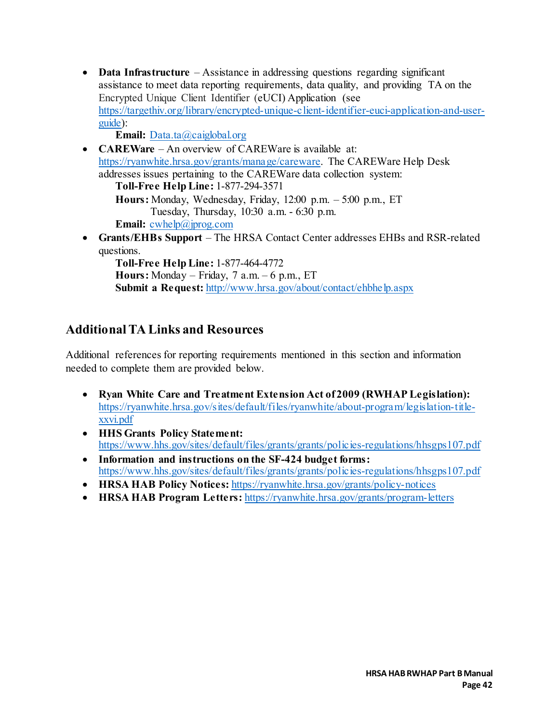• **Data Infrastructure** – Assistance in addressing questions regarding significant assistance to meet data reporting requirements, data quality, and providing TA on the Encrypted Unique Client Identifier (eUCI) Application (see [https://targethiv.org/library/encrypted-unique-client-identifier-euci-application-and-user](https://targethiv.org/library/encrypted-unique-client-identifier-euci-application-and-user-guide)[guide\):](https://targethiv.org/library/encrypted-unique-client-identifier-euci-application-and-user-guide)

Email: Data.ta@caiglobal.org

• **CAREWare** – An overview of CAREWare is available at: [https://ryanwhite.hrsa.gov/grants/manage/careware.](https://ryanwhite.hrsa.gov/grants/manage/careware) The CAREWare Help Desk addresses issues pertaining to the CAREWare data collection system: **Toll-Free Help Line:** 1-877-294-3571 **Hours:** Monday, Wednesday, Friday, 12:00 p.m. – 5:00 p.m., ET Tuesday, Thursday, 10:30 a.m. - 6:30 p.m. **Email:** [cwhelp@jprog.com](mailto:cwhelp@jprog.com) • **Grants/EHBs Support** – The HRSA Contact Center addresses EHBs and RSR-related questions. **Toll-Free Help Line:** 1-877-464-4772 **Hours:** Monday – Friday, 7 a.m. – 6 p.m., ET **Submit a Request:** <http://www.hrsa.gov/about/contact/ehbhelp.aspx>

## **Additional TA Links and Resources**

Additional references for reporting requirements mentioned in this section and information needed to complete them are provided below.

- **Ryan White Care and Treatment Extension Act of 2009 (RWHAP Legislation):** [https://ryanwhite.hrsa.gov/sites/default/files/ryanwhite/about-program/legislation-title](https://ryanwhite.hrsa.gov/sites/default/files/ryanwhite/about-program/legislation-title-xxvi.pdf)[xxvi.pdf](https://ryanwhite.hrsa.gov/sites/default/files/ryanwhite/about-program/legislation-title-xxvi.pdf)
- **HHS Grants Policy Statement:** <https://www.hhs.gov/sites/default/files/grants/grants/policies-regulations/hhsgps107.pdf>
- **Information and instructions on the SF-424 budget forms:** <https://www.hhs.gov/sites/default/files/grants/grants/policies-regulations/hhsgps107.pdf>
- **HRSA HAB Policy Notices:** <https://ryanwhite.hrsa.gov/grants/policy-notices>
- **HRSA HAB Program Letters:** <https://ryanwhite.hrsa.gov/grants/program-letters>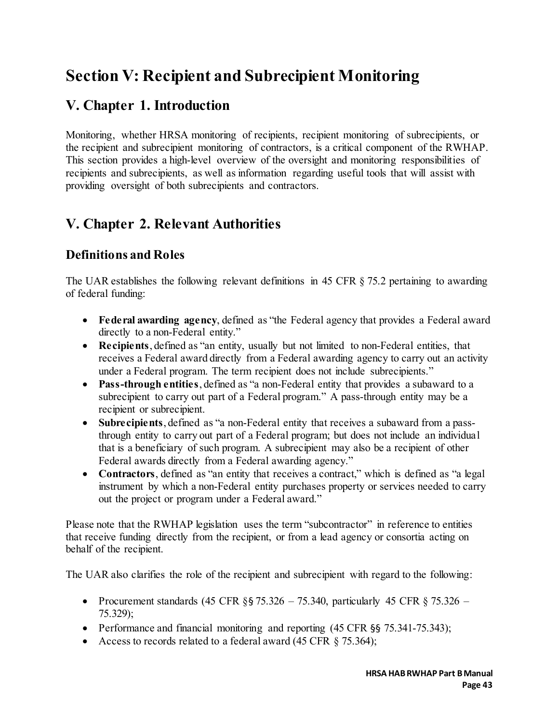# **Section V: Recipient and Subrecipient Monitoring**

# **V. Chapter 1. Introduction**

Monitoring, whether HRSA monitoring of recipients, recipient monitoring of subrecipients, or the recipient and subrecipient monitoring of contractors, is a critical component of the RWHAP. This section provides a high-level overview of the oversight and monitoring responsibilities of recipients and subrecipients, as well as information regarding useful tools that will assist with providing oversight of both subrecipients and contractors.

# **V. Chapter 2. Relevant Authorities**

# **Definitions and Roles**

The UAR establishes the following relevant definitions in 45 CFR § 75.2 pertaining to awarding of federal funding:

- **Federal awarding agency**, defined as "the Federal agency that provides a Federal award directly to a non-Federal entity."
- **Recipients**, defined as "an entity, usually but not limited to non-Federal entities, that receives a Federal award directly from a Federal awarding agency to carry out an activity under a Federal program. The term recipient does not include subrecipients."
- **Pass-through entities**, defined as "a non-Federal entity that provides a subaward to a subrecipient to carry out part of a Federal program." A pass-through entity may be a recipient or subrecipient.
- **Subrecipients**, defined as "a non-Federal entity that receives a subaward from a passthrough entity to carry out part of a Federal program; but does not include an individual that is a beneficiary of such program. A subrecipient may also be a recipient of other Federal awards directly from a Federal awarding agency."
- **Contractors**, defined as "an entity that receives a contract," which is defined as "a legal instrument by which a non-Federal entity purchases property or services needed to carry out the project or program under a Federal award."

Please note that the RWHAP legislation uses the term "subcontractor" in reference to entities that receive funding directly from the recipient, or from a lead agency or consortia acting on behalf of the recipient.

The UAR also clarifies the role of the recipient and subrecipient with regard to the following:

- Procurement standards (45 CFR  $\S$  5 75.326 75.340, particularly 45 CFR  $\S$  75.326 75.329);
- Performance and financial monitoring and reporting (45 CFR §§ 75.341-75.343);
- Access to records related to a federal award  $(45 \text{ CFR } \S$  75.364);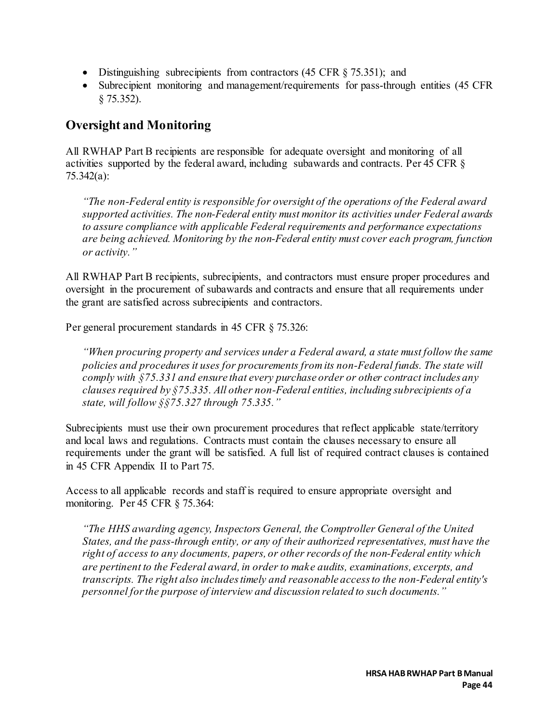- Distinguishing subrecipients from contractors (45 CFR § 75.351); and
- Subrecipient monitoring and management/requirements for pass-through entities (45 CFR § 75.352).

## **Oversight and Monitoring**

All RWHAP Part B recipients are responsible for adequate oversight and monitoring of all activities supported by the federal award, including subawards and contracts. Per 45 CFR § 75.342(a):

*"The non-Federal entity is responsible for oversight of the operations of the Federal award supported activities. The non-Federal entity must monitor its activities under Federal awards to assure compliance with applicable Federal requirements and performance expectations are being achieved. Monitoring by the non-Federal entity must cover each program, function or activity."* 

All RWHAP Part B recipients, subrecipients, and contractors must ensure proper procedures and oversight in the procurement of subawards and contracts and ensure that all requirements under the grant are satisfied across subrecipients and contractors.

Per general procurement standards in 45 CFR § 75.326:

*"When procuring property and services under a Federal award, a state must follow the same policies and procedures it uses for procurements from its non-Federal funds. The state will comply with §75.331 and ensure that every purchase order or other contract includes any clauses required by §75.335. All other non-Federal entities, including subrecipients of a state, will follow §§75.327 through 75.335."*

Subrecipients must use their own procurement procedures that reflect applicable state/territory and local laws and regulations. Contracts must contain the clauses necessary to ensure all requirements under the grant will be satisfied. A full list of required contract clauses is contained in 45 CFR Appendix II to Part 75.

Access to all applicable records and staff is required to ensure appropriate oversight and monitoring. Per 45 CFR § 75.364:

*"The HHS awarding agency, Inspectors General, the Comptroller General of the United States, and the pass-through entity, or any of their authorized representatives, must have the right of access to any documents, papers, or other records of the non-Federal entity which are pertinent to the Federal award, in order to make audits, examinations, excerpts, and transcripts. The right also includes timely and reasonable access to the non-Federal entity's personnel for the purpose of interview and discussion related to such documents."*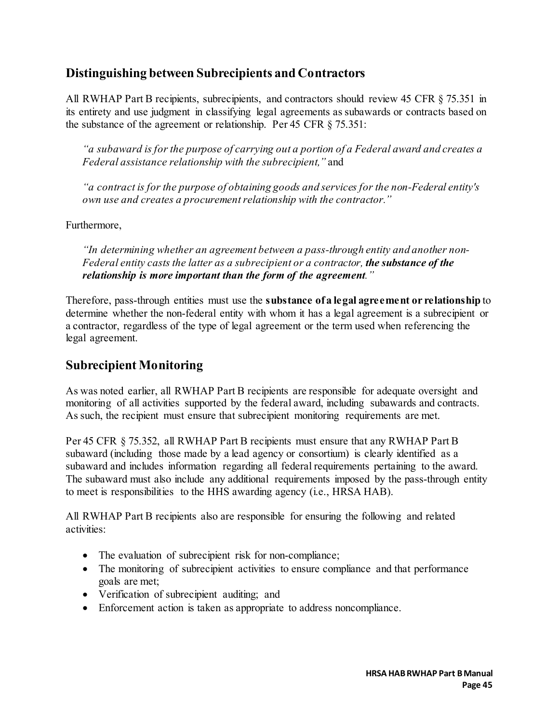## **Distinguishing between Subrecipients and Contractors**

All RWHAP Part B recipients, subrecipients, and contractors should review 45 CFR § 75.351 in its entirety and use judgment in classifying legal agreements as subawards or contracts based on the substance of the agreement or relationship. Per 45 CFR § 75.351:

*"a subaward is for the purpose of carrying out a portion of a Federal award and creates a Federal assistance relationship with the subrecipient,"* and

*"a contract is for the purpose of obtaining goods and services for the non-Federal entity's own use and creates a procurement relationship with the contractor."*

Furthermore,

*"In determining whether an agreement between a pass-through entity and another non-Federal entity casts the latter as a subrecipient or a contractor, the substance of the relationship is more important than the form of the agreement."*

Therefore, pass-through entities must use the **substance of a legal agreement or relationship** to determine whether the non-federal entity with whom it has a legal agreement is a subrecipient or a contractor, regardless of the type of legal agreement or the term used when referencing the legal agreement.

## **Subrecipient Monitoring**

As was noted earlier, all RWHAP Part B recipients are responsible for adequate oversight and monitoring of all activities supported by the federal award, including subawards and contracts. As such, the recipient must ensure that subrecipient monitoring requirements are met.

Per 45 CFR § 75.352, all RWHAP Part B recipients must ensure that any RWHAP Part B subaward (including those made by a lead agency or consortium) is clearly identified as a subaward and includes information regarding all federal requirements pertaining to the award. The subaward must also include any additional requirements imposed by the pass-through entity to meet is responsibilities to the HHS awarding agency (i.e., HRSA HAB).

All RWHAP Part B recipients also are responsible for ensuring the following and related activities:

- The evaluation of subrecipient risk for non-compliance;
- The monitoring of subrecipient activities to ensure compliance and that performance goals are met;
- Verification of subrecipient auditing; and
- Enforcement action is taken as appropriate to address noncompliance.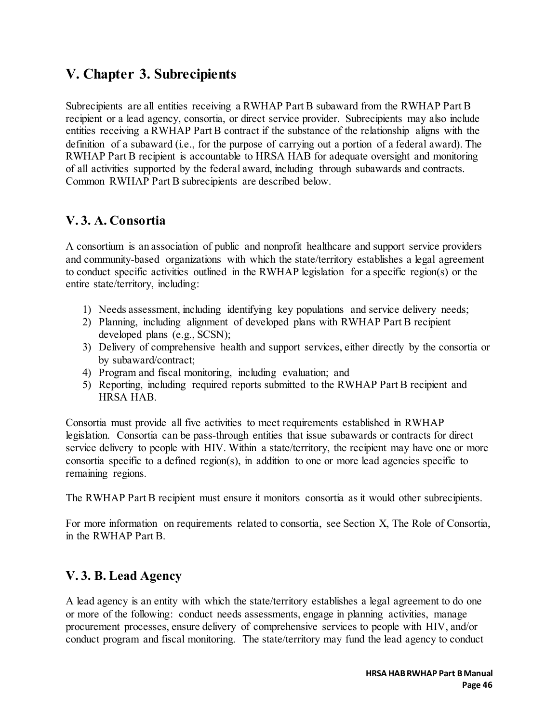# **V. Chapter 3. Subrecipients**

Subrecipients are all entities receiving a RWHAP Part B subaward from the RWHAP Part B recipient or a lead agency, consortia, or direct service provider. Subrecipients may also include entities receiving a RWHAP Part B contract if the substance of the relationship aligns with the definition of a subaward (i.e., for the purpose of carrying out a portion of a federal award). The RWHAP Part B recipient is accountable to HRSA HAB for adequate oversight and monitoring of all activities supported by the federal award, including through subawards and contracts. Common RWHAP Part B subrecipients are described below.

### **V. 3. A. Consortia**

A consortium is an association of public and nonprofit healthcare and support service providers and community-based organizations with which the state/territory establishes a legal agreement to conduct specific activities outlined in the RWHAP legislation for a specific region(s) or the entire state/territory, including:

- 1) Needs assessment, including identifying key populations and service delivery needs;
- 2) Planning, including alignment of developed plans with RWHAP Part B recipient developed plans (e.g., SCSN);
- 3) Delivery of comprehensive health and support services, either directly by the consortia or by subaward/contract;
- 4) Program and fiscal monitoring, including evaluation; and
- 5) Reporting, including required reports submitted to the RWHAP Part B recipient and HRSA HAB.

Consortia must provide all five activities to meet requirements established in RWHAP legislation. Consortia can be pass-through entities that issue subawards or contracts for direct service delivery to people with HIV. Within a state/territory, the recipient may have one or more consortia specific to a defined region(s), in addition to one or more lead agencies specific to remaining regions.

The RWHAP Part B recipient must ensure it monitors consortia as it would other subrecipients.

For more information on requirements related to consortia, see Section X, The Role of Consortia, in the RWHAP Part B.

### **V. 3. B. Lead Agency**

A lead agency is an entity with which the state/territory establishes a legal agreement to do one or more of the following: conduct needs assessments, engage in planning activities, manage procurement processes, ensure delivery of comprehensive services to people with HIV, and/or conduct program and fiscal monitoring. The state/territory may fund the lead agency to conduct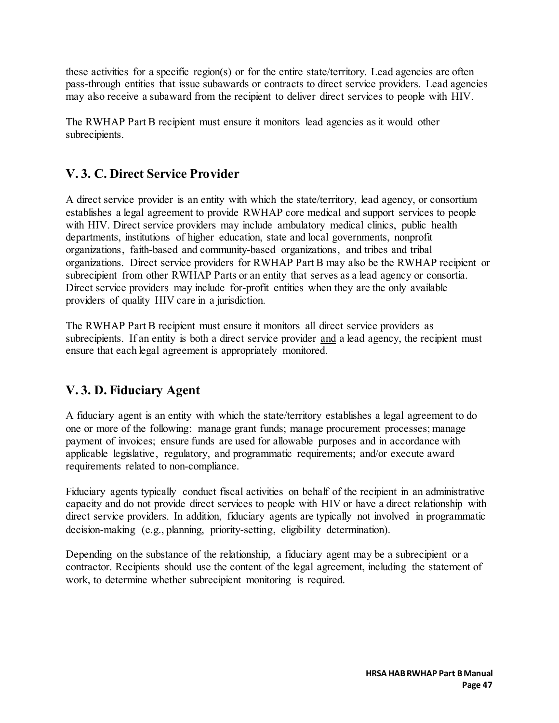these activities for a specific region(s) or for the entire state/territory. Lead agencies are often pass-through entities that issue subawards or contracts to direct service providers. Lead agencies may also receive a subaward from the recipient to deliver direct services to people with HIV.

The RWHAP Part B recipient must ensure it monitors lead agencies as it would other subrecipients.

## **V. 3. C. Direct Service Provider**

A direct service provider is an entity with which the state/territory, lead agency, or consortium establishes a legal agreement to provide RWHAP core medical and support services to people with HIV. Direct service providers may include ambulatory medical clinics, public health departments, institutions of higher education, state and local governments, nonprofit organizations, faith-based and community-based organizations, and tribes and tribal organizations. Direct service providers for RWHAP Part B may also be the RWHAP recipient or subrecipient from other RWHAP Parts or an entity that serves as a lead agency or consortia. Direct service providers may include for-profit entities when they are the only available providers of quality HIV care in a jurisdiction.

The RWHAP Part B recipient must ensure it monitors all direct service providers as subrecipients. If an entity is both a direct service provider and a lead agency, the recipient must ensure that each legal agreement is appropriately monitored.

### **V. 3. D. Fiduciary Agent**

A fiduciary agent is an entity with which the state/territory establishes a legal agreement to do one or more of the following: manage grant funds; manage procurement processes; manage payment of invoices; ensure funds are used for allowable purposes and in accordance with applicable legislative, regulatory, and programmatic requirements; and/or execute award requirements related to non-compliance.

Fiduciary agents typically conduct fiscal activities on behalf of the recipient in an administrative capacity and do not provide direct services to people with HIV or have a direct relationship with direct service providers. In addition, fiduciary agents are typically not involved in programmatic decision-making (e.g., planning, priority-setting, eligibility determination).

Depending on the substance of the relationship, a fiduciary agent may be a subrecipient or a contractor. Recipients should use the content of the legal agreement, including the statement of work, to determine whether subrecipient monitoring is required.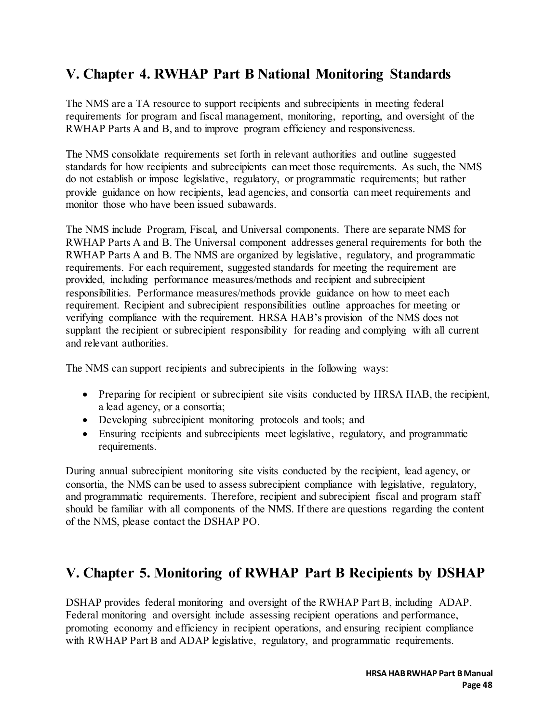# **V. Chapter 4. RWHAP Part B National Monitoring Standards**

The NMS are a TA resource to support recipients and subrecipients in meeting federal requirements for program and fiscal management, monitoring, reporting, and oversight of the RWHAP Parts A and B, and to improve program efficiency and responsiveness.

The NMS consolidate requirements set forth in relevant authorities and outline suggested standards for how recipients and subrecipients can meet those requirements. As such, the NMS do not establish or impose legislative, regulatory, or programmatic requirements; but rather provide guidance on how recipients, lead agencies, and consortia can meet requirements and monitor those who have been issued subawards.

The NMS include Program, Fiscal, and Universal components. There are separate NMS for RWHAP Parts A and B. The Universal component addresses general requirements for both the RWHAP Parts A and B. The NMS are organized by legislative, regulatory, and programmatic requirements. For each requirement, suggested standards for meeting the requirement are provided, including performance measures/methods and recipient and subrecipient responsibilities. Performance measures/methods provide guidance on how to meet each requirement. Recipient and subrecipient responsibilities outline approaches for meeting or verifying compliance with the requirement. HRSA HAB's provision of the NMS does not supplant the recipient or subrecipient responsibility for reading and complying with all current and relevant authorities.

The NMS can support recipients and subrecipients in the following ways:

- Preparing for recipient or subrecipient site visits conducted by HRSA HAB, the recipient, a lead agency, or a consortia;
- Developing subrecipient monitoring protocols and tools; and
- Ensuring recipients and subrecipients meet legislative, regulatory, and programmatic requirements.

During annual subrecipient monitoring site visits conducted by the recipient, lead agency, or consortia, the NMS can be used to assess subrecipient compliance with legislative, regulatory, and programmatic requirements. Therefore, recipient and subrecipient fiscal and program staff should be familiar with all components of the NMS. If there are questions regarding the content of the NMS, please contact the DSHAP PO.

# **V. Chapter 5. Monitoring of RWHAP Part B Recipients by DSHAP**

DSHAP provides federal monitoring and oversight of the RWHAP Part B, including ADAP. Federal monitoring and oversight include assessing recipient operations and performance, promoting economy and efficiency in recipient operations, and ensuring recipient compliance with RWHAP Part B and ADAP legislative, regulatory, and programmatic requirements.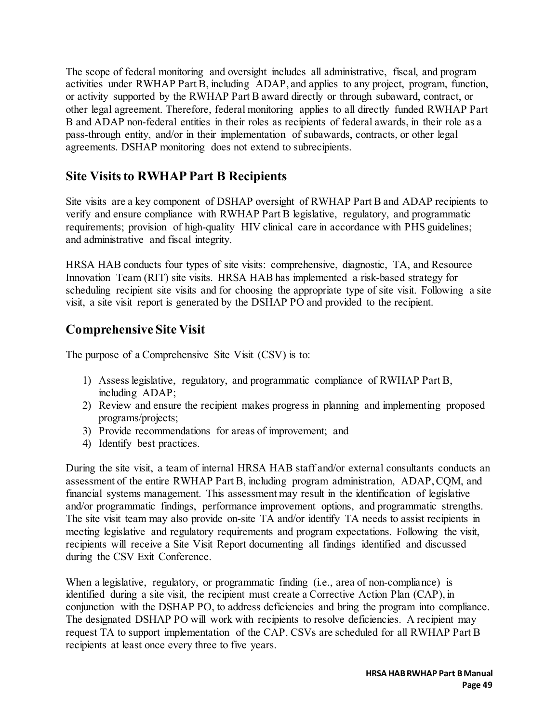The scope of federal monitoring and oversight includes all administrative, fiscal, and program activities under RWHAP Part B, including ADAP, and applies to any project, program, function, or activity supported by the RWHAP Part B award directly or through subaward, contract, or other legal agreement. Therefore, federal monitoring applies to all directly funded RWHAP Part B and ADAP non-federal entities in their roles as recipients of federal awards, in their role as a pass-through entity, and/or in their implementation of subawards, contracts, or other legal agreements. DSHAP monitoring does not extend to subrecipients.

### **Site Visits to RWHAP Part B Recipients**

Site visits are a key component of DSHAP oversight of RWHAP Part B and ADAP recipients to verify and ensure compliance with RWHAP Part B legislative, regulatory, and programmatic requirements; provision of high-quality HIV clinical care in accordance with PHS guidelines; and administrative and fiscal integrity.

HRSA HAB conducts four types of site visits: comprehensive, diagnostic, TA, and Resource Innovation Team (RIT) site visits. HRSA HAB has implemented a risk-based strategy for scheduling recipient site visits and for choosing the appropriate type of site visit. Following a site visit, a site visit report is generated by the DSHAP PO and provided to the recipient.

### **Comprehensive Site Visit**

The purpose of a Comprehensive Site Visit (CSV) is to:

- 1) Assess legislative, regulatory, and programmatic compliance of RWHAP Part B, including ADAP;
- 2) Review and ensure the recipient makes progress in planning and implementing proposed programs/projects;
- 3) Provide recommendations for areas of improvement; and
- 4) Identify best practices.

During the site visit, a team of internal HRSA HAB staff and/or external consultants conducts an assessment of the entire RWHAP Part B, including program administration, ADAP, CQM, and financial systems management. This assessment may result in the identification of legislative and/or programmatic findings, performance improvement options, and programmatic strengths. The site visit team may also provide on-site TA and/or identify TA needs to assist recipients in meeting legislative and regulatory requirements and program expectations. Following the visit, recipients will receive a Site Visit Report documenting all findings identified and discussed during the CSV Exit Conference.

When a legislative, regulatory, or programmatic finding (i.e., area of non-compliance) is identified during a site visit, the recipient must create a Corrective Action Plan (CAP), in conjunction with the DSHAP PO, to address deficiencies and bring the program into compliance. The designated DSHAP PO will work with recipients to resolve deficiencies. A recipient may request TA to support implementation of the CAP. CSVs are scheduled for all RWHAP Part B recipients at least once every three to five years.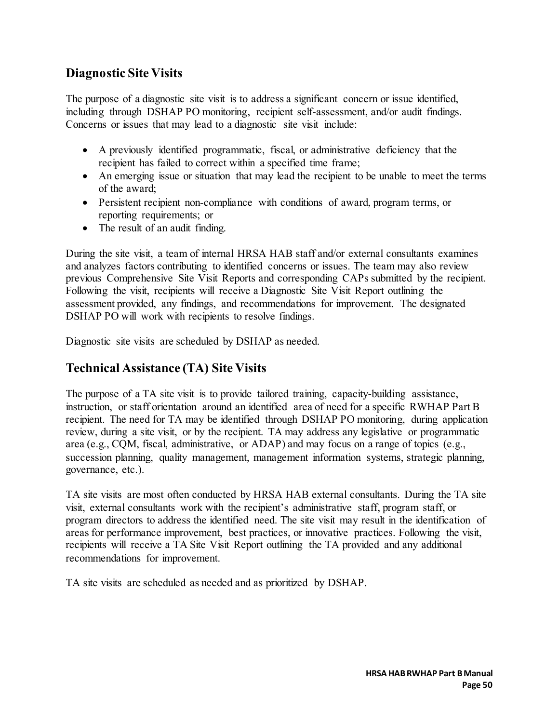### **Diagnostic Site Visits**

The purpose of a diagnostic site visit is to address a significant concern or issue identified, including through DSHAP PO monitoring, recipient self-assessment, and/or audit findings. Concerns or issues that may lead to a diagnostic site visit include:

- A previously identified programmatic, fiscal, or administrative deficiency that the recipient has failed to correct within a specified time frame;
- An emerging issue or situation that may lead the recipient to be unable to meet the terms of the award;
- Persistent recipient non-compliance with conditions of award, program terms, or reporting requirements; or
- The result of an audit finding.

During the site visit, a team of internal HRSA HAB staff and/or external consultants examines and analyzes factors contributing to identified concerns or issues. The team may also review previous Comprehensive Site Visit Reports and corresponding CAPs submitted by the recipient. Following the visit, recipients will receive a Diagnostic Site Visit Report outlining the assessment provided, any findings, and recommendations for improvement. The designated DSHAP PO will work with recipients to resolve findings.

Diagnostic site visits are scheduled by DSHAP as needed.

## **Technical Assistance (TA) Site Visits**

The purpose of a TA site visit is to provide tailored training, capacity-building assistance, instruction, or staff orientation around an identified area of need for a specific RWHAP Part B recipient. The need for TA may be identified through DSHAP PO monitoring, during application review, during a site visit, or by the recipient. TA may address any legislative or programmatic area (e.g., CQM, fiscal, administrative, or ADAP) and may focus on a range of topics (e.g., succession planning, quality management, management information systems, strategic planning, governance, etc.).

TA site visits are most often conducted by HRSA HAB external consultants. During the TA site visit, external consultants work with the recipient's administrative staff, program staff, or program directors to address the identified need. The site visit may result in the identification of areas for performance improvement, best practices, or innovative practices. Following the visit, recipients will receive a TA Site Visit Report outlining the TA provided and any additional recommendations for improvement.

TA site visits are scheduled as needed and as prioritized by DSHAP.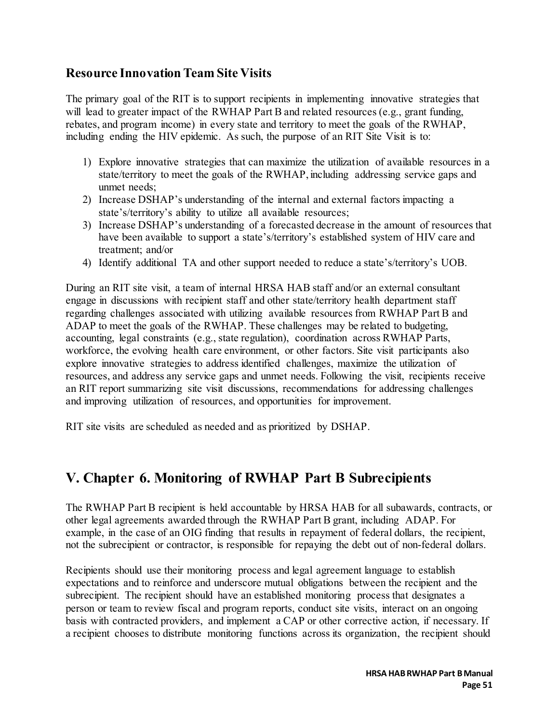### **Resource Innovation Team Site Visits**

The primary goal of the RIT is to support recipients in implementing innovative strategies that will lead to greater impact of the RWHAP Part B and related resources (e.g., grant funding, rebates, and program income) in every state and territory to meet the goals of the RWHAP, including ending the HIV epidemic. As such, the purpose of an RIT Site Visit is to:

- 1) Explore innovative strategies that can maximize the utilization of available resources in a state/territory to meet the goals of the RWHAP, including addressing service gaps and unmet needs;
- 2) Increase DSHAP's understanding of the internal and external factors impacting a state's/territory's ability to utilize all available resources;
- 3) Increase DSHAP's understanding of a forecasted decrease in the amount of resources that have been available to support a state's/territory's established system of HIV care and treatment; and/or
- 4) Identify additional TA and other support needed to reduce a state's/territory's UOB.

During an RIT site visit, a team of internal HRSA HAB staff and/or an external consultant engage in discussions with recipient staff and other state/territory health department staff regarding challenges associated with utilizing available resources from RWHAP Part B and ADAP to meet the goals of the RWHAP. These challenges may be related to budgeting, accounting, legal constraints (e.g., state regulation), coordination across RWHAP Parts, workforce, the evolving health care environment, or other factors. Site visit participants also explore innovative strategies to address identified challenges, maximize the utilization of resources, and address any service gaps and unmet needs. Following the visit, recipients receive an RIT report summarizing site visit discussions, recommendations for addressing challenges and improving utilization of resources, and opportunities for improvement.

RIT site visits are scheduled as needed and as prioritized by DSHAP.

# **V. Chapter 6. Monitoring of RWHAP Part B Subrecipients**

The RWHAP Part B recipient is held accountable by HRSA HAB for all subawards, contracts, or other legal agreements awarded through the RWHAP Part B grant, including ADAP. For example, in the case of an OIG finding that results in repayment of federal dollars, the recipient, not the subrecipient or contractor, is responsible for repaying the debt out of non-federal dollars.

Recipients should use their monitoring process and legal agreement language to establish expectations and to reinforce and underscore mutual obligations between the recipient and the subrecipient. The recipient should have an established monitoring process that designates a person or team to review fiscal and program reports, conduct site visits, interact on an ongoing basis with contracted providers, and implement a CAP or other corrective action, if necessary. If a recipient chooses to distribute monitoring functions across its organization, the recipient should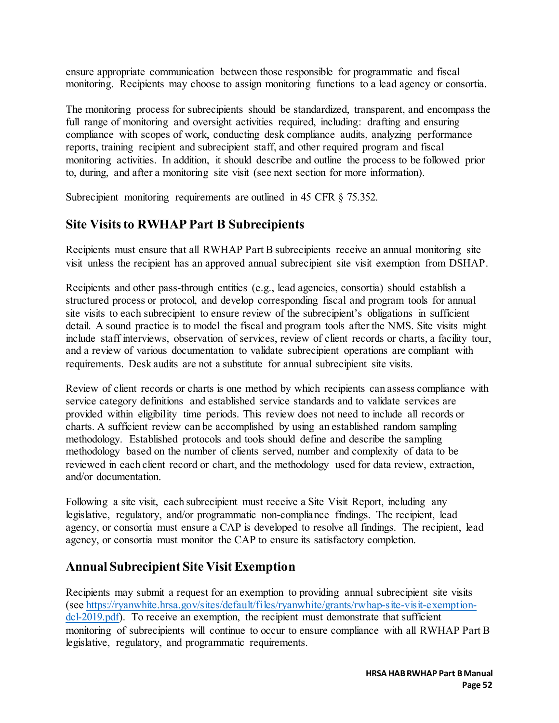ensure appropriate communication between those responsible for programmatic and fiscal monitoring. Recipients may choose to assign monitoring functions to a lead agency or consortia.

The monitoring process for subrecipients should be standardized, transparent, and encompass the full range of monitoring and oversight activities required, including: drafting and ensuring compliance with scopes of work, conducting desk compliance audits, analyzing performance reports, training recipient and subrecipient staff, and other required program and fiscal monitoring activities. In addition, it should describe and outline the process to be followed prior to, during, and after a monitoring site visit (see next section for more information).

Subrecipient monitoring requirements are outlined in 45 CFR  $\S$  75.352.

### **Site Visits to RWHAP Part B Subrecipients**

Recipients must ensure that all RWHAP Part B subrecipients receive an annual monitoring site visit unless the recipient has an approved annual subrecipient site visit exemption from DSHAP.

Recipients and other pass-through entities (e.g., lead agencies, consortia) should establish a structured process or protocol, and develop corresponding fiscal and program tools for annual site visits to each subrecipient to ensure review of the subrecipient's obligations in sufficient detail. A sound practice is to model the fiscal and program tools after the NMS. Site visits might include staff interviews, observation of services, review of client records or charts, a facility tour, and a review of various documentation to validate subrecipient operations are compliant with requirements. Desk audits are not a substitute for annual subrecipient site visits.

Review of client records or charts is one method by which recipients can assess compliance with service category definitions and established service standards and to validate services are provided within eligibility time periods. This review does not need to include all records or charts. A sufficient review can be accomplished by using an established random sampling methodology. Established protocols and tools should define and describe the sampling methodology based on the number of clients served, number and complexity of data to be reviewed in each client record or chart, and the methodology used for data review, extraction, and/or documentation.

Following a site visit, each subrecipient must receive a Site Visit Report, including any legislative, regulatory, and/or programmatic non-compliance findings. The recipient, lead agency, or consortia must ensure a CAP is developed to resolve all findings. The recipient, lead agency, or consortia must monitor the CAP to ensure its satisfactory completion.

### **Annual Subrecipient Site Visit Exemption**

Recipients may submit a request for an exemption to providing annual subrecipient site visits (see [https://ryanwhite.hrsa.gov/sites/default/files/ryanwhite/grants/rwhap-site-visit-exemption](https://ryanwhite.hrsa.gov/sites/default/files/ryanwhite/grants/rwhap-site-visit-exemption-dcl-2019.pdf)[dcl-2019.pdf\).](https://ryanwhite.hrsa.gov/sites/default/files/ryanwhite/grants/rwhap-site-visit-exemption-dcl-2019.pdf) To receive an exemption, the recipient must demonstrate that sufficient monitoring of subrecipients will continue to occur to ensure compliance with all RWHAP Part B legislative, regulatory, and programmatic requirements.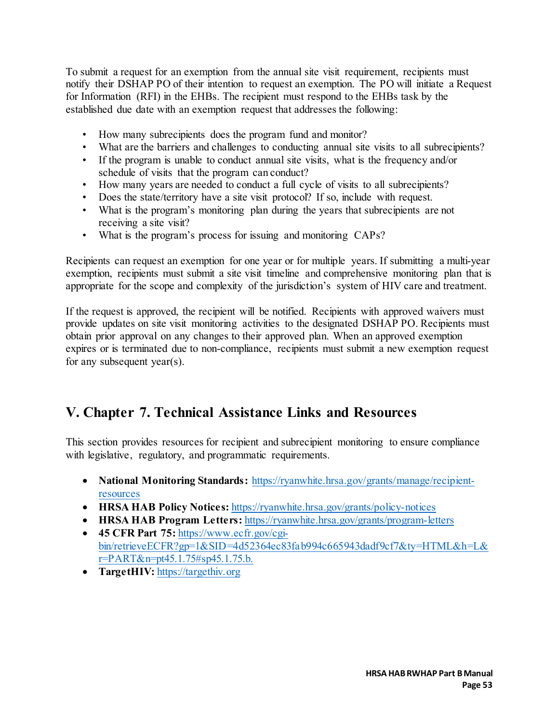To submit a request for an exemption from the annual site visit requirement, recipients must notify their DSHAP PO of their intention to request an exemption. The PO will initiate a Request for Information (RFI) in the EHBs. The recipient must respond to the EHBs task by the established due date with an exemption request that addresses the following:

- How many subrecipients does the program fund and monitor?
- What are the barriers and challenges to conducting annual site visits to all subrecipients?
- If the program is unable to conduct annual site visits, what is the frequency and/or schedule of visits that the program can conduct?
- How many years are needed to conduct a full cycle of visits to all subrecipients?
- Does the state/territory have a site visit protocol? If so, include with request.
- What is the program's monitoring plan during the years that subrecipients are not receiving a site visit?
- What is the program's process for issuing and monitoring CAPs?

Recipients can request an exemption for one year or for multiple years. If submitting a multi-year exemption, recipients must submit a site visit timeline and comprehensive monitoring plan that is appropriate for the scope and complexity of the jurisdiction's system of HIV care and treatment.

If the request is approved, the recipient will be notified. Recipients with approved waivers must provide updates on site visit monitoring activities to the designated DSHAP PO. Recipients must obtain prior approval on any changes to their approved plan. When an approved exemption expires or is terminated due to non-compliance, recipients must submit a new exemption request for any subsequent year(s).

# **V. Chapter 7. Technical Assistance Links and Resources**

This section provides resources for recipient and subrecipient monitoring to ensure compliance with legislative, regulatory, and programmatic requirements.

- **National Monitoring Standards:** [https://ryanwhite.hrsa.gov/grants/manage/recipient](https://ryanwhite.hrsa.gov/grants/manage/recipient-resources)[resources](https://ryanwhite.hrsa.gov/grants/manage/recipient-resources)
- **HRSA HAB Policy Notices:** <https://ryanwhite.hrsa.gov/grants/policy-notices>
- **HRSA HAB Program Letters:** https://ryanwhite.hrsa.gov/grants/program-letters
- **45 CFR Part 75:** [https://www.ecfr.gov/cgi](https://www.ecfr.gov/cgi-bin/retrieveECFR?gp=1&SID=4d52364ec83fab994c665943dadf9cf7&ty=HTML&h=L&r=PART&n=pt45.1.75#sp45.1.75.b)[bin/retrieveECFR?gp=1&SID=4d52364ec83fab994c665943dadf9cf7&ty=HTML&h=L&](https://www.ecfr.gov/cgi-bin/retrieveECFR?gp=1&SID=4d52364ec83fab994c665943dadf9cf7&ty=HTML&h=L&r=PART&n=pt45.1.75#sp45.1.75.b) [r=PART&n=pt45.1.75#sp45.1.75.b.](https://www.ecfr.gov/cgi-bin/retrieveECFR?gp=1&SID=4d52364ec83fab994c665943dadf9cf7&ty=HTML&h=L&r=PART&n=pt45.1.75#sp45.1.75.b)
- **TargetHIV:** https://targethiv.org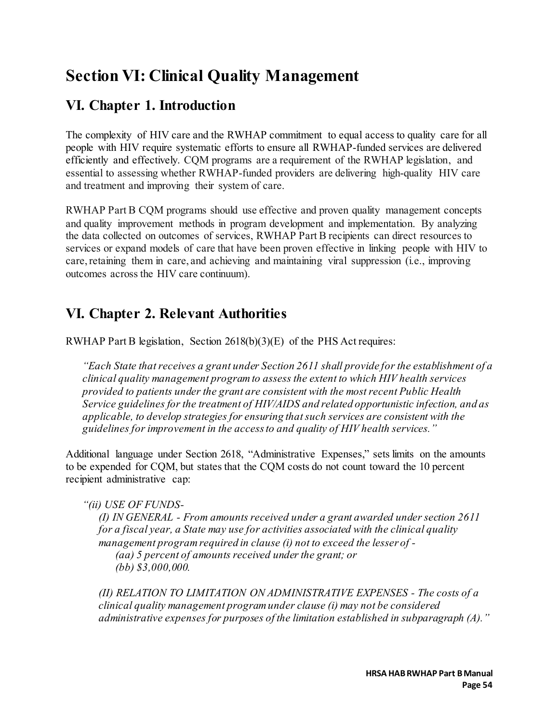# **Section VI: Clinical Quality Management**

# **VI. Chapter 1. Introduction**

The complexity of HIV care and the RWHAP commitment to equal access to quality care for all people with HIV require systematic efforts to ensure all RWHAP-funded services are delivered efficiently and effectively. CQM programs are a requirement of the RWHAP legislation, and essential to assessing whether RWHAP-funded providers are delivering high-quality HIV care and treatment and improving their system of care.

RWHAP Part B CQM programs should use effective and proven quality management concepts and quality improvement methods in program development and implementation. By analyzing the data collected on outcomes of services, RWHAP Part B recipients can direct resources to services or expand models of care that have been proven effective in linking people with HIV to care, retaining them in care, and achieving and maintaining viral suppression (i.e., improving outcomes across the HIV care continuum).

# **VI. Chapter 2. Relevant Authorities**

RWHAP Part B legislation, Section 2618(b)(3)(E) of the PHS Act requires:

*"Each State that receives a grant under Section 2611 shall provide for the establishment of a clinical quality management program to assess the extent to which HIV health services provided to patients under the grant are consistent with the most recent Public Health Service guidelines for the treatment of HIV/AIDS and related opportunistic infection, and as applicable, to develop strategies for ensuring that such services are consistent with the guidelines for improvement in the access to and quality of HIV health services."*

Additional language under Section 2618, "Administrative Expenses," sets limits on the amounts to be expended for CQM, but states that the CQM costs do not count toward the 10 percent recipient administrative cap:

*"(ii) USE OF FUNDS-*

*(I) IN GENERAL - From amounts received under a grant awarded under section 2611 for a fiscal year, a State may use for activities associated with the clinical quality management program required in clause (i) not to exceed the lesser of - (aa) 5 percent of amounts received under the grant; or (bb) \$3,000,000.*

*(II) RELATION TO LIMITATION ON ADMINISTRATIVE EXPENSES - The costs of a clinical quality management program under clause (i) may not be considered administrative expenses for purposes of the limitation established in subparagraph (A)."*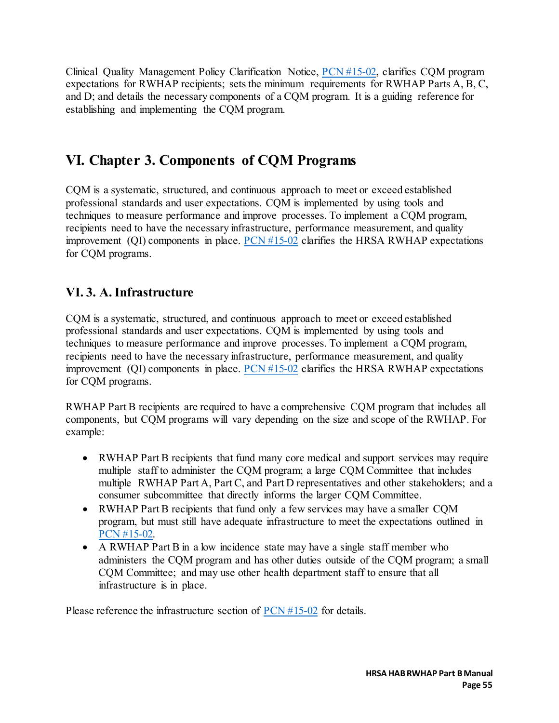Clinical Quality Management Policy Clarification Notice, [PCN #15-02,](https://ryanwhite.hrsa.gov/sites/default/files/ryanwhite/grants/pcn-15-02-cqm.pdf) clarifies CQM program expectations for RWHAP recipients; sets the minimum requirements for RWHAP Parts A, B, C, and D; and details the necessary components of a CQM program. It is a guiding reference for establishing and implementing the CQM program.

## **VI. Chapter 3. Components of CQM Programs**

CQM is a systematic, structured, and continuous approach to meet or exceed established professional standards and user expectations. CQM is implemented by using tools and techniques to measure performance and improve processes. To implement a CQM program, recipients need to have the necessary infrastructure, performance measurement, and quality improvement (QI) components in place.  $PCN #15-02$  clarifies the HRSA RWHAP expectations for CQM programs.

## **VI. 3. A. Infrastructure**

CQM is a systematic, structured, and continuous approach to meet or exceed established professional standards and user expectations. CQM is implemented by using tools and techniques to measure performance and improve processes. To implement a CQM program, recipients need to have the necessary infrastructure, performance measurement, and quality improvement (QI) components in place.  $PCN #15-02$  clarifies the HRSA RWHAP expectations for CQM programs.

RWHAP Part B recipients are required to have a comprehensive CQM program that includes all components, but CQM programs will vary depending on the size and scope of the RWHAP. For example:

- RWHAP Part B recipients that fund many core medical and support services may require multiple staff to administer the CQM program; a large CQM Committee that includes multiple RWHAP Part A, Part C, and Part D representatives and other stakeholders; and a consumer subcommittee that directly informs the larger CQM Committee.
- RWHAP Part B recipients that fund only a few services may have a smaller CQM program, but must still have adequate infrastructure to meet the expectations outlined in [PCN #15-02.](https://ryanwhite.hrsa.gov/sites/default/files/ryanwhite/grants/pcn-15-02-cqm.pdf)
- A RWHAP Part B in a low incidence state may have a single staff member who administers the CQM program and has other duties outside of the CQM program; a small CQM Committee; and may use other health department staff to ensure that all infrastructure is in place.

Please reference the infrastructure section of [PCN #15-02](https://ryanwhite.hrsa.gov/sites/default/files/ryanwhite/grants/pcn-15-02-cqm.pdf) for details.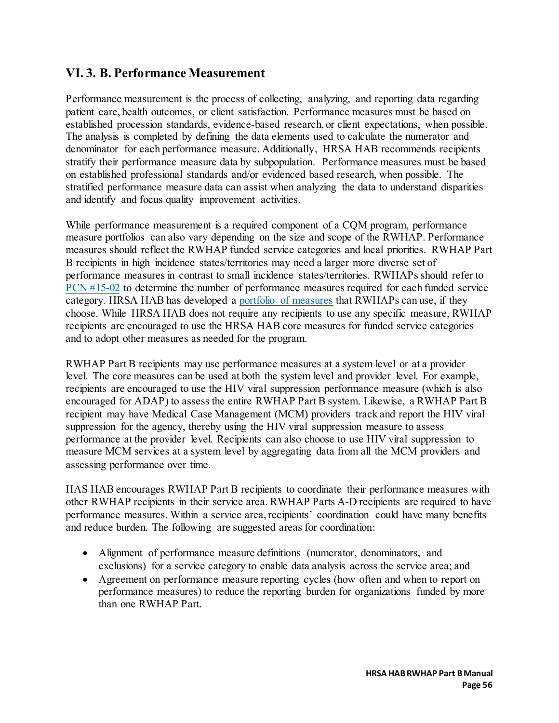### **VI. 3. B. Performance Measurement**

Performance measurement is the process of collecting, analyzing, and reporting data regarding patient care, health outcomes, or client satisfaction. Performance measures must be based on established procession standards, evidence-based research, or client expectations, when possible. The analysis is completed by defining the data elements used to calculate the numerator and denominator for each performance measure. Additionally, HRSA HAB recommends recipients stratify their performance measure data by subpopulation. Performance measures must be based on established professional standards and/or evidenced based research, when possible. The stratified performance measure data can assist when analyzing the data to understand disparities and identify and focus quality improvement activities.

While performance measurement is a required component of a CQM program, performance measure portfolios can also vary depending on the size and scope of the RWHAP. Performance measures should reflect the RWHAP funded service categories and local priorities. RWHAP Part B recipients in high incidence states/territories may need a larger more diverse set of performance measures in contrast to small incidence states/territories. RWHAPs should refer to [PCN #15-02](https://ryanwhite.hrsa.gov/sites/default/files/ryanwhite/grants/pcn-15-02-cqm.pdf) to determine the number of performance measures required for each funded service category. HRSA HAB has developed a [portfolio of measures](https://ryanwhite.hrsa.gov/grants/performance-measure-portfolio) that RWHAPs can use, if they choose. While HRSA HAB does not require any recipients to use any specific measure, RWHAP recipients are encouraged to use the HRSA HAB core measures for funded service categories and to adopt other measures as needed for the program.

RWHAP Part B recipients may use performance measures at a system level or at a provider level. The core measures can be used at both the system level and provider level. For example, recipients are encouraged to use the HIV viral suppression performance measure (which is also encouraged for ADAP) to assess the entire RWHAP Part B system. Likewise, a RWHAP Part B recipient may have Medical Case Management (MCM) providers track and report the HIV viral suppression for the agency, thereby using the HIV viral suppression measure to assess performance at the provider level. Recipients can also choose to use HIV viral suppression to measure MCM services at a system level by aggregating data from all the MCM providers and assessing performance over time.

HAS HAB encourages RWHAP Part B recipients to coordinate their performance measures with other RWHAP recipients in their service area. RWHAP Parts A-D recipients are required to have performance measures. Within a service area, recipients' coordination could have many benefits and reduce burden. The following are suggested areas for coordination:

- Alignment of performance measure definitions (numerator, denominators, and exclusions) for a service category to enable data analysis across the service area; and
- Agreement on performance measure reporting cycles (how often and when to report on performance measures) to reduce the reporting burden for organizations funded by more than one RWHAP Part.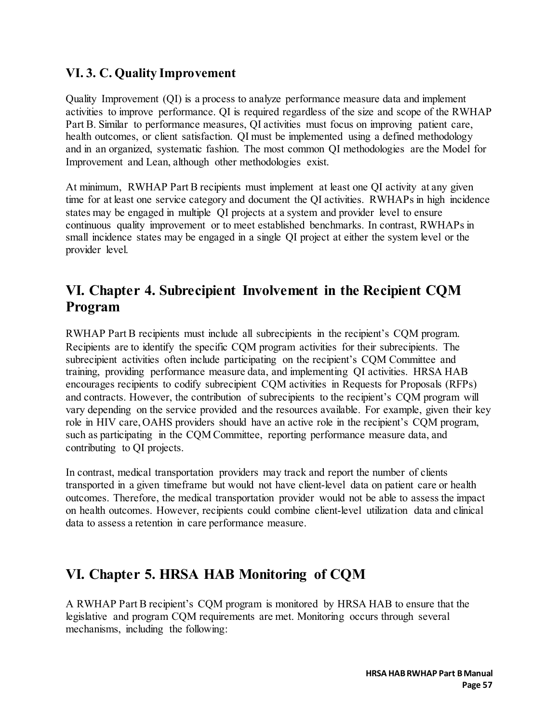### **VI. 3. C. Quality Improvement**

Quality Improvement (QI) is a process to analyze performance measure data and implement activities to improve performance. QI is required regardless of the size and scope of the RWHAP Part B. Similar to performance measures, QI activities must focus on improving patient care, health outcomes, or client satisfaction. QI must be implemented using a defined methodology and in an organized, systematic fashion. The most common QI methodologies are the Model for Improvement and Lean, although other methodologies exist.

At minimum, RWHAP Part B recipients must implement at least one QI activity at any given time for at least one service category and document the QI activities. RWHAPs in high incidence states may be engaged in multiple QI projects at a system and provider level to ensure continuous quality improvement or to meet established benchmarks. In contrast, RWHAPs in small incidence states may be engaged in a single QI project at either the system level or the provider level.

# **VI. Chapter 4. Subrecipient Involvement in the Recipient CQM Program**

RWHAP Part B recipients must include all subrecipients in the recipient's CQM program. Recipients are to identify the specific CQM program activities for their subrecipients. The subrecipient activities often include participating on the recipient's CQM Committee and training, providing performance measure data, and implementing QI activities. HRSA HAB encourages recipients to codify subrecipient CQM activities in Requests for Proposals (RFPs) and contracts. However, the contribution of subrecipients to the recipient's CQM program will vary depending on the service provided and the resources available. For example, given their key role in HIV care, OAHS providers should have an active role in the recipient's CQM program, such as participating in the CQM Committee, reporting performance measure data, and contributing to QI projects.

In contrast, medical transportation providers may track and report the number of clients transported in a given timeframe but would not have client-level data on patient care or health outcomes. Therefore, the medical transportation provider would not be able to assess the impact on health outcomes. However, recipients could combine client-level utilization data and clinical data to assess a retention in care performance measure.

## **VI. Chapter 5. HRSA HAB Monitoring of CQM**

A RWHAP Part B recipient's CQM program is monitored by HRSA HAB to ensure that the legislative and program CQM requirements are met. Monitoring occurs through several mechanisms, including the following: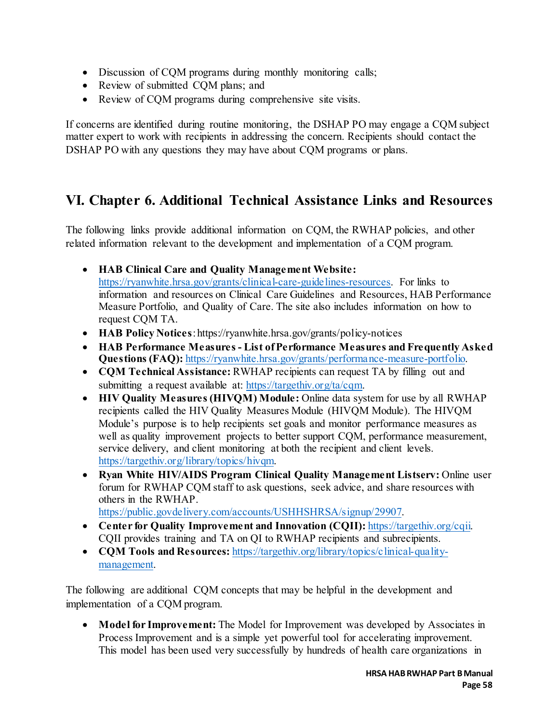- Discussion of CQM programs during monthly monitoring calls;
- Review of submitted CQM plans; and
- Review of COM programs during comprehensive site visits.

If concerns are identified during routine monitoring, the DSHAP PO may engage a CQM subject matter expert to work with recipients in addressing the concern. Recipients should contact the DSHAP PO with any questions they may have about CQM programs or plans.

# **VI. Chapter 6. Additional Technical Assistance Links and Resources**

The following links provide additional information on CQM, the RWHAP policies, and other related information relevant to the development and implementation of a CQM program.

- **HAB Clinical Care and Quality Management Website:** [https://ryanwhite.hrsa.gov/grants/clinical-care-guidelines-resources.](https://ryanwhite.hrsa.gov/grants/clinical-care-guidelines-resources) For links to information and resources on Clinical Care Guidelines and Resources, HAB Performance Measure Portfolio, and Quality of Care. The site also includes information on how to request CQM TA.
- **HAB Policy Notices**: https://ryanwhite.hrsa.gov/grants/policy-notices
- **HAB Performance Measures List of Performance Measures and Frequently Asked Questions (FAQ):** [https://ryanwhite.hrsa.gov/grants/performance-measure-portfolio.](https://ryanwhite.hrsa.gov/grants/performance-measure-portfolio)
- **CQM Technical Assistance:** RWHAP recipients can request TA by filling out and submitting a request available at: [https://targethiv.org/ta/cqm.](https://targethiv.org/ta/cqm)
- **HIV Quality Measures (HIVQM) Module:** Online data system for use by all RWHAP recipients called the HIV Quality Measures Module (HIVQM Module). The HIVQM Module's purpose is to help recipients set goals and monitor performance measures as well as quality improvement projects to better support CQM, performance measurement, service delivery, and client monitoring at both the recipient and client levels. [https://targethiv.org/library/topics/hivqm.](https://targethiv.org/library/topics/hivqm)
- **Ryan White HIV/AIDS Program Clinical Quality Management Listserv:** Online user forum for RWHAP CQM staff to ask questions, seek advice, and share resources with others in the RWHAP.

[https://public.govdelivery.com/accounts/USHHSHRSA/signup/29907.](https://public.govdelivery.com/accounts/USHHSHRSA/signup/29907) 

- **Center for Quality Improvement and Innovation (CQII):** https://targethiv.org/cqii. CQII provides training and TA on QI to RWHAP recipients and subrecipients.
- **CQM Tools and Resources:** [https://targethiv.org/library/topics/clinical-quality](https://targethiv.org/library/topics/clinical-quality-management)[management.](https://targethiv.org/library/topics/clinical-quality-management)

The following are additional CQM concepts that may be helpful in the development and implementation of a CQM program.

• **Model for Improvement:** The Model for Improvement was developed by [Associates in](http://www.apiweb.org/API_home_page.htm)  [Process Improvement a](http://www.apiweb.org/API_home_page.htm)nd is a simple yet powerful tool for accelerating improvement. This model has been used very successfully by hundreds of health care organizations in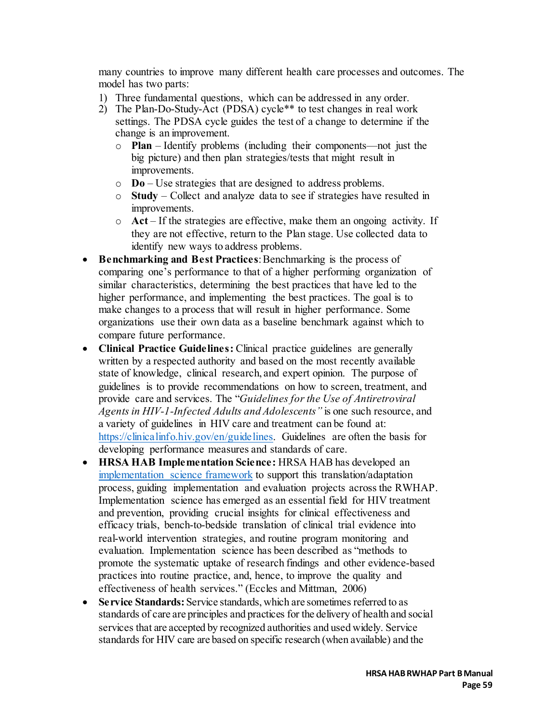many countries to improve many different health care processes and outcomes. The model has two parts:

- 1) Three fundamental questions, which can be addressed in any order.
- 2) The Plan-Do-Study-Act (PDSA) cycle\*\* to test changes in real work settings. The PDSA cycle guides the test of a change to determine if the change is an improvement.
	- o **Plan** Identify problems (including their components—not just the big picture) and then plan strategies/tests that might result in improvements.
	- o **Do**  Use strategies that are designed to address problems.
	- o **Study** Collect and analyze data to see if strategies have resulted in improvements.
	- o **Act** If the strategies are effective, make them an ongoing activity. If they are not effective, return to the Plan stage. Use collected data to identify new ways to address problems.
- **Benchmarking and Best Practices**: Benchmarking is the process of comparing one's performance to that of a higher performing organization of similar characteristics, determining the best practices that have led to the higher performance, and implementing the best practices. The goal is to make changes to a process that will result in higher performance. Some organizations use their own data as a baseline benchmark against which to compare future performance.
- **Clinical Practice Guidelines:** Clinical practice guidelines are generally written by a respected authority and based on the most recently available state of knowledge, clinical research, and expert opinion. The purpose of guidelines is to provide recommendations on how to screen, treatment, and provide care and services. The "*Guidelines for the Use of Antiretroviral Agents in HIV-1-Infected Adults and Adolescents"* is one such resource, and a variety of guidelines in HIV care and treatment can be found at: [https://clinicalinfo.hiv.gov/en/guidelines.](https://clinicalinfo.hiv.gov/en/guidelines) Guidelines are often the basis for developing performance measures and standards of care.
- **HRSA HAB Implementation Science:** HRSA HAB has developed an [implementation science framework](https://pubmed.ncbi.nlm.nih.gov/33156852/) to support this translation/adaptation process, guiding implementation and evaluation projects across the RWHAP. Implementation science has emerged as an essential field for HIV treatment and prevention, providing crucial insights for clinical effectiveness and efficacy trials, bench-to-bedside translation of clinical trial evidence into real-world intervention strategies, and routine program monitoring and evaluation. Implementation science has been described as "methods to promote the systematic uptake of research findings and other evidence-based practices into routine practice, and, hence, to improve the quality and effectiveness of health services." (Eccles and Mittman, 2006)
- **Service Standards:** Service standards, which are sometimes referred to as standards of care are principles and practices for the delivery of health and social services that are accepted by recognized authorities and used widely. Service standards for HIV care are based on specific research (when available) and the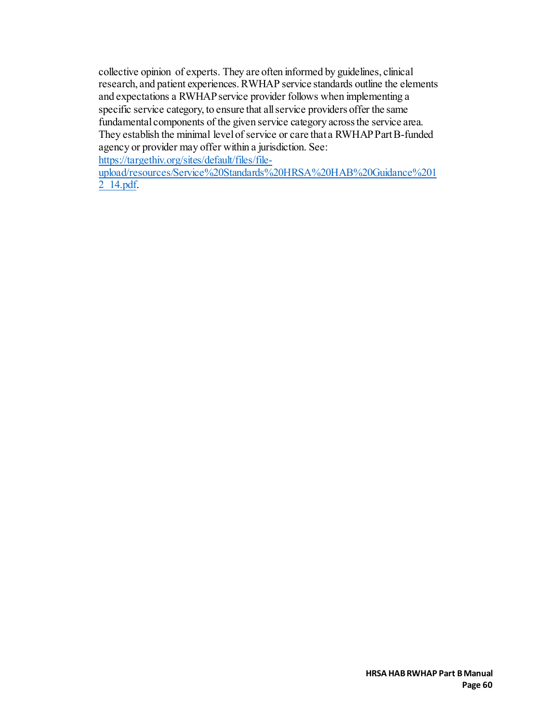collective opinion of experts. They are often informed by guidelines, clinical research, and patient experiences.RWHAP service standards outline the elements and expectations a RWHAP service provider follows when implementing a specific service category, to ensure that all service providers offer the same fundamental components of the given service category across the service area. They establish the minimal level of service or care that a RWHAP Part B-funded agency or provider may offer within a jurisdiction. See:

[https://targethiv.org/sites/default/files/file-](https://targethiv.org/sites/default/files/file-upload/resources/Service%20Standards%20HRSA%20HAB%20Guidance%2012_14.pdf)

[upload/resources/Service%20Standards%20HRSA%20HAB%20Guidance%201](https://targethiv.org/sites/default/files/file-upload/resources/Service%20Standards%20HRSA%20HAB%20Guidance%2012_14.pdf) [2\\_14.pdf.](https://targethiv.org/sites/default/files/file-upload/resources/Service%20Standards%20HRSA%20HAB%20Guidance%2012_14.pdf)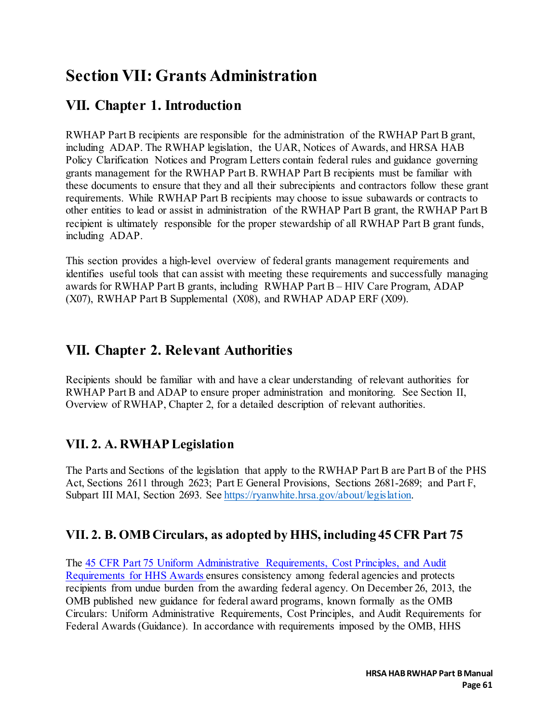# **Section VII: Grants Administration**

# **VII. Chapter 1. Introduction**

RWHAP Part B recipients are responsible for the administration of the RWHAP Part B grant, including ADAP. The RWHAP legislation, the UAR, Notices of Awards, and HRSA HAB Policy Clarification Notices and Program Letters contain federal rules and guidance governing grants management for the RWHAP Part B. RWHAP Part B recipients must be familiar with these documents to ensure that they and all their subrecipients and contractors follow these grant requirements. While RWHAP Part B recipients may choose to issue subawards or contracts to other entities to lead or assist in administration of the RWHAP Part B grant, the RWHAP Part B recipient is ultimately responsible for the proper stewardship of all RWHAP Part B grant funds, including ADAP.

This section provides a high-level overview of federal grants management requirements and identifies useful tools that can assist with meeting these requirements and successfully managing awards for RWHAP Part B grants, including RWHAP Part B – HIV Care Program, ADAP (X07), RWHAP Part B Supplemental (X08), and RWHAP ADAP ERF (X09).

# **VII. Chapter 2. Relevant Authorities**

Recipients should be familiar with and have a clear understanding of relevant authorities for RWHAP Part B and ADAP to ensure proper administration and monitoring. See Section II, Overview of RWHAP, Chapter 2, for a detailed description of relevant authorities.

### **VII. 2. A. RWHAP Legislation**

The Parts and Sections of the legislation that apply to the RWHAP Part B are Part B of the PHS Act, Sections 2611 through 2623; Part E General Provisions, Sections 2681-2689; and Part F, Subpart III MAI, Section 2693. See [https://ryanwhite.hrsa.gov/about/legislation.](https://ryanwhite.hrsa.gov/about/legislation) 

## **VII. 2. B. OMB Circulars, as adopted by HHS, including 45 CFR Part 75**

The 45 CFR Part 75 Uniform [Administrative Requirements, Cost Principles, and Audit](https://www.ecfr.gov/cgi-bin/retrieveECFR?gp=1&SID=df3c54728d090168d3b2e780a6f6ca7c&ty=HTML&h=L&mc=true&n=pt45.1.75&r=PART)  [Requirements for HHS Awards](https://www.ecfr.gov/cgi-bin/retrieveECFR?gp=1&SID=df3c54728d090168d3b2e780a6f6ca7c&ty=HTML&h=L&mc=true&n=pt45.1.75&r=PART) ensures consistency among federal agencies and protects recipients from undue burden from the awarding federal agency. On December 26, 2013, the OMB published new guidance for federal award programs, known formally as the OMB Circulars: Uniform Administrative Requirements, Cost Principles, and Audit Requirements for Federal Awards (Guidance). In accordance with requirements imposed by the OMB, HHS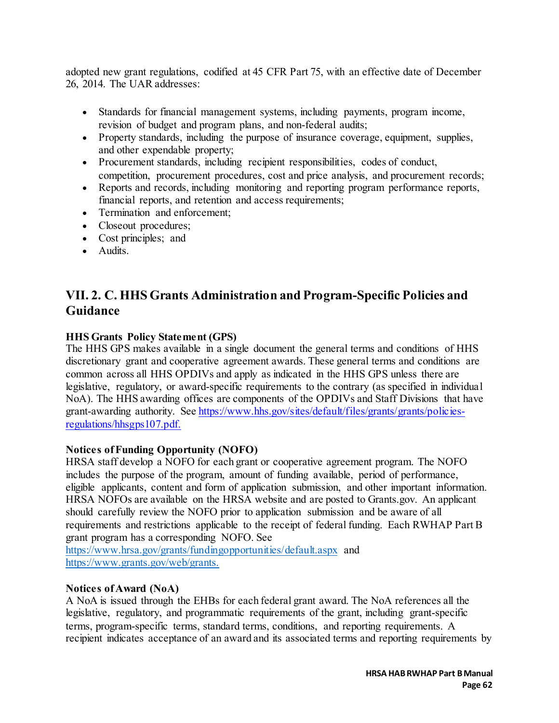adopted new grant regulations, codified at 45 CFR Part 75, with an effective date of December 26, 2014. The UAR addresses:

- Standards for financial management systems, including payments, program income, revision of budget and program plans, and non-federal audits;
- Property standards, including the purpose of insurance coverage, equipment, supplies, and other expendable property;
- Procurement standards, including recipient responsibilities, codes of conduct, competition, procurement procedures, cost and price analysis, and procurement records;
- Reports and records, including monitoring and reporting program performance reports, financial reports, and retention and access requirements;
- Termination and enforcement;
- Closeout procedures;
- Cost principles; and
- Audits.

## **VII. 2. C. HHS Grants Administration and Program-Specific Policies and Guidance**

### **HHS Grants Policy Statement (GPS)**

The HHS GPS makes available in a single document the general terms and conditions of HHS discretionary grant and cooperative agreement awards. These general terms and conditions are common across all HHS OPDIVs and apply as indicated in the HHS GPS unless there are legislative, regulatory, or award-specific requirements to the contrary (as specified in individual NoA). The HHS awarding offices are components of the OPDIVs and Staff Divisions that have grant-awarding authority. See [https://www.hhs.gov/sites/default/files/grants/grants/policies](https://www.hhs.gov/sites/default/files/grants/grants/policies-regulations/hhsgps107.pdf)[regulations/hhsgps107.pdf.](https://www.hhs.gov/sites/default/files/grants/grants/policies-regulations/hhsgps107.pdf) 

### **Notices of Funding Opportunity (NOFO)**

HRSA staff develop a NOFO for each grant or cooperative agreement program. The NOFO includes the purpose of the program, amount of funding available, period of performance, eligible applicants, content and form of application submission, and other important information. HRSA NOFOs are available on the HRSA website and are posted to Grants.gov. An applicant should carefully review the NOFO prior to application submission and be aware of all requirements and restrictions applicable to the receipt of federal funding. Each RWHAP Part B grant program has a corresponding NOFO. See

<https://www.hrsa.gov/grants/fundingopportunities/default.aspx> and [https://www.grants.gov/web/grants.](https://www.grants.gov/web/grants)

### **Notices of Award (NoA)**

A NoA is issued through the EHBs for each federal grant award. The NoA references all the legislative, regulatory, and programmatic requirements of the grant, including grant-specific terms, program-specific terms, standard terms, conditions, and reporting requirements. A recipient indicates acceptance of an award and its associated terms and reporting requirements by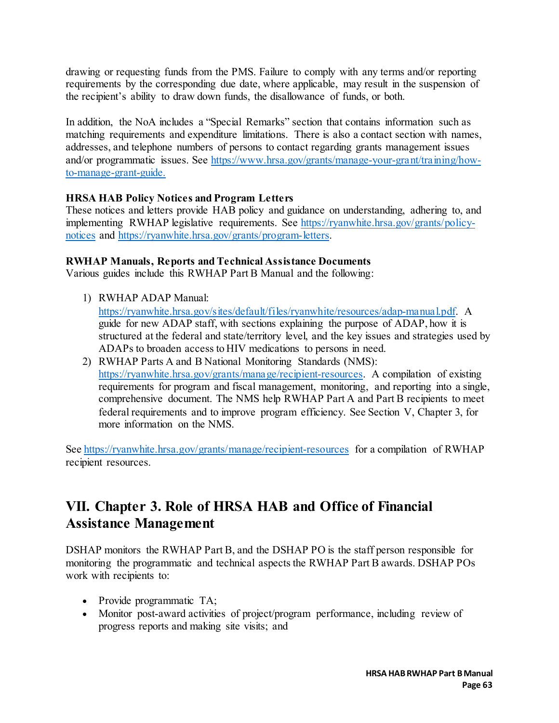drawing or requesting funds from the PMS. Failure to comply with any terms and/or reporting requirements by the corresponding due date, where applicable, may result in the suspension of the recipient's ability to draw down funds, the disallowance of funds, or both.

In addition, the NoA includes a "Special Remarks" section that contains information such as matching requirements and expenditure limitations. There is also a contact section with names, addresses, and telephone numbers of persons to contact regarding grants management issues and/or programmatic issues. See [https://www.hrsa.gov/grants/manage-your-grant/training/how](https://www.hrsa.gov/grants/manage-your-grant/training/how-to-manage-grant-guide)[to-manage-grant-guide.](https://www.hrsa.gov/grants/manage-your-grant/training/how-to-manage-grant-guide)

### **HRSA HAB Policy Notices and Program Letters**

These notices and letters provide HAB policy and guidance on understanding, adhering to, and implementing RWHAP legislative requirements. See [https://ryanwhite.hrsa.gov/grants/policy](https://ryanwhite.hrsa.gov/grants/policy-notices)[notices](https://ryanwhite.hrsa.gov/grants/policy-notices) and [https://ryanwhite.hrsa.gov/grants/program-letters.](https://ryanwhite.hrsa.gov/grants/program-letters) 

### **RWHAP Manuals, Reports and Technical Assistance Documents**

Various guides include this RWHAP Part B Manual and the following:

- 1) RWHAP ADAP Manual: [https://ryanwhite.hrsa.gov/sites/default/files/ryanwhite/resources/adap-manual.pdf.](https://ryanwhite.hrsa.gov/sites/default/files/ryanwhite/resources/adap-manual.pdf) A guide for new ADAP staff, with sections explaining the purpose of ADAP, how it is structured at the federal and state/territory level, and the key issues and strategies used by ADAPs to broaden access to HIV medications to persons in need.
- 2) RWHAP Parts A and B National Monitoring Standards (NMS): [https://ryanwhite.hrsa.gov/grants/manage/recipient-resources.](https://ryanwhite.hrsa.gov/grants/manage/recipient-resources) A compilation of existing requirements for program and fiscal management, monitoring, and reporting into a single, comprehensive document. The NMS help RWHAP Part A and Part B recipients to meet federal requirements and to improve program efficiency. See Section V, Chapter 3, for more information on the NMS.

See<https://ryanwhite.hrsa.gov/grants/manage/recipient-resources> for a compilation of RWHAP recipient resources.

# **VII. Chapter 3. Role of HRSA HAB and Office of Financial Assistance Management**

DSHAP monitors the RWHAP Part B, and the DSHAP PO is the staff person responsible for monitoring the programmatic and technical aspects the RWHAP Part B awards. DSHAP POs work with recipients to:

- Provide programmatic TA;
- Monitor post-award activities of project/program performance, including review of progress reports and making site visits; and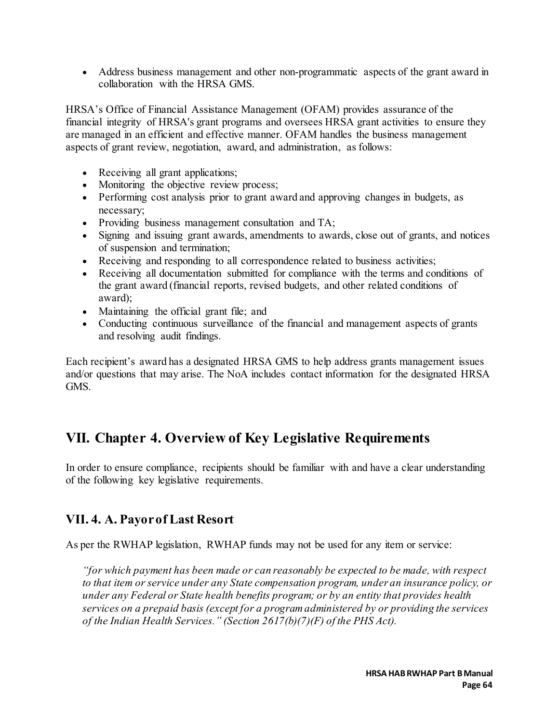• Address business management and other non-programmatic aspects of the grant award in collaboration with the HRSA GMS.

HRSA's Office of Financial Assistance Management (OFAM) provides assurance of the financial integrity of HRSA's grant programs and oversees HRSA grant activities to ensure they are managed in an efficient and effective manner. OFAM handles the business management aspects of grant review, negotiation, award, and administration, as follows:

- Receiving all grant applications;
- Monitoring the objective review process;
- Performing cost analysis prior to grant award and approving changes in budgets, as necessary;
- Providing business management consultation and TA;
- Signing and issuing grant awards, amendments to awards, close out of grants, and notices of suspension and termination;
- Receiving and responding to all correspondence related to business activities;
- Receiving all documentation submitted for compliance with the terms and conditions of the grant award (financial reports, revised budgets, and other related conditions of award);
- Maintaining the official grant file; and
- Conducting continuous surveillance of the financial and management aspects of grants and resolving audit findings.

Each recipient's award has a designated HRSA GMS to help address grants management issues and/or questions that may arise. The NoA includes contact information for the designated HRSA GMS.

# **VII. Chapter 4. Overview of Key Legislative Requirements**

In order to ensure compliance, recipients should be familiar with and have a clear understanding of the following key legislative requirements.

### **VII. 4. A. Payor of Last Resort**

As per the RWHAP legislation, RWHAP funds may not be used for any item or service:

*"for which payment has been made or can reasonably be expected to be made, with respect to that item or service under any State compensation program, under an insurance policy, or under any Federal or State health benefits program; or by an entity that provides health services on a prepaid basis (except for a program administered by or providing the services of the Indian Health Services." (Section 2617(b)(7)(F) of the PHS Act).*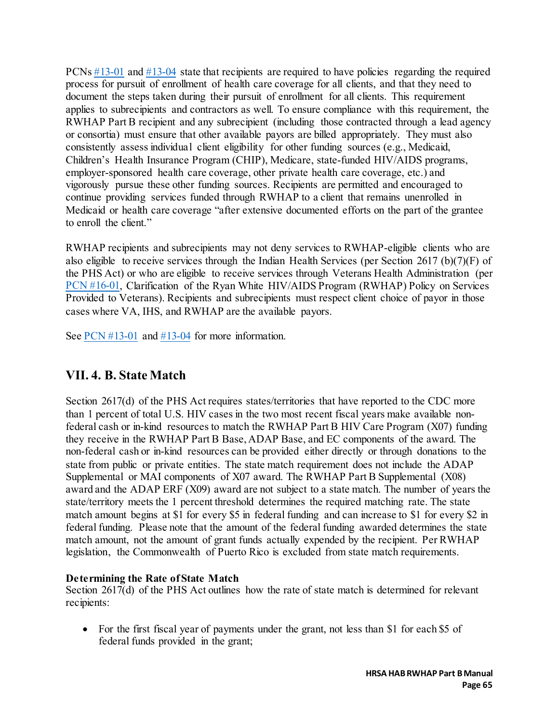PCNs [#13-01](https://ryanwhite.hrsa.gov/sites/default/files/ryanwhite/grants/1301-pcn-medicaid-eligible.pdf) and [#13-04](https://ryanwhite.hrsa.gov/sites/default/files/ryanwhite/grants/pcn-1304-private-insurance.pdf) state that recipients are required to have policies regarding the required process for pursuit of enrollment of health care coverage for all clients, and that they need to document the steps taken during their pursuit of enrollment for all clients. This requirement applies to subrecipients and contractors as well. To ensure compliance with this requirement, the RWHAP Part B recipient and any subrecipient (including those contracted through a lead agency or consortia) must ensure that other available payors are billed appropriately. They must also consistently assess individual client eligibility for other funding sources (e.g., Medicaid, Children's Health Insurance Program (CHIP), Medicare, state-funded HIV/AIDS programs, employer-sponsored health care coverage, other private health care coverage, etc.) and vigorously pursue these other funding sources. Recipients are permitted and encouraged to continue providing services funded through RWHAP to a client that remains unenrolled in Medicaid or health care coverage "after extensive documented efforts on the part of the grantee to enroll the client."

RWHAP recipients and subrecipients may not deny services to RWHAP-eligible clients who are also eligible to receive services through the Indian Health Services (per Section 2617 (b)(7)(F) of the PHS Act) or who are eligible to receive services through Veterans Health Administration (per [PCN #16-01,](https://ryanwhite.hrsa.gov/sites/default/files/ryanwhite/grants/clarification-services-veterans.pdf) Clarification of the Ryan White HIV/AIDS Program (RWHAP) Policy on Services Provided to Veterans). Recipients and subrecipients must respect client choice of payor in those cases where VA, IHS, and RWHAP are the available payors.

See [PCN #13-01](https://ryanwhite.hrsa.gov/sites/default/files/ryanwhite/grants/1301-pcn-medicaid-eligible.pdf) and [#13-04](https://ryanwhite.hrsa.gov/sites/default/files/ryanwhite/grants/pcn-1304-private-insurance.pdf) for more information.

### **VII. 4. B. State Match**

Section 2617(d) of the PHS Act requires states/territories that have reported to the CDC more than 1 percent of total U.S. HIV cases in the two most recent fiscal years make available nonfederal cash or in-kind resources to match the RWHAP Part B HIV Care Program (X07) funding they receive in the RWHAP Part B Base, ADAP Base, and EC components of the award. The non-federal cash or in-kind resources can be provided either directly or through donations to the state from public or private entities. The state match requirement does not include the ADAP Supplemental or MAI components of X07 award. The RWHAP Part B Supplemental (X08) award and the ADAP ERF (X09) award are not subject to a state match. The number of years the state/territory meets the 1 percent threshold determines the required matching rate. The state match amount begins at \$1 for every \$5 in federal funding and can increase to \$1 for every \$2 in federal funding. Please note that the amount of the federal funding awarded determines the state match amount, not the amount of grant funds actually expended by the recipient. Per RWHAP legislation, the Commonwealth of Puerto Rico is excluded from state match requirements.

### **Determining the Rate of State Match**

Section 2617(d) of the PHS Act outlines how the rate of state match is determined for relevant recipients:

• For the first fiscal year of payments under the grant, not less than \$1 for each \$5 of federal funds provided in the grant;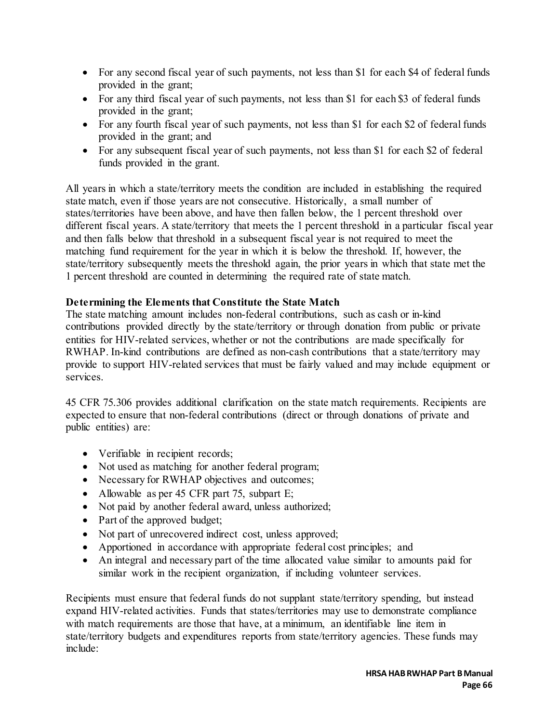- For any second fiscal year of such payments, not less than \$1 for each \$4 of federal funds provided in the grant;
- For any third fiscal year of such payments, not less than \$1 for each \$3 of federal funds provided in the grant;
- For any fourth fiscal year of such payments, not less than \$1 for each \$2 of federal funds provided in the grant; and
- For any subsequent fiscal year of such payments, not less than \$1 for each \$2 of federal funds provided in the grant.

All years in which a state/territory meets the condition are included in establishing the required state match, even if those years are not consecutive. Historically, a small number of states/territories have been above, and have then fallen below, the 1 percent threshold over different fiscal years. A state/territory that meets the 1 percent threshold in a particular fiscal year and then falls below that threshold in a subsequent fiscal year is not required to meet the matching fund requirement for the year in which it is below the threshold. If, however, the state/territory subsequently meets the threshold again, the prior years in which that state met the 1 percent threshold are counted in determining the required rate of state match.

### **Determining the Elements that Constitute the State Match**

The state matching amount includes non-federal contributions, such as cash or in-kind contributions provided directly by the state/territory or through donation from public or private entities for HIV-related services, whether or not the contributions are made specifically for RWHAP. In-kind contributions are defined as non-cash contributions that a state/territory may provide to support HIV-related services that must be fairly valued and may include equipment or services.

45 CFR 75.306 provides additional clarification on the state match requirements. Recipients are expected to ensure that non-federal contributions (direct or through donations of private and public entities) are:

- Verifiable in recipient records;
- Not used as matching for another federal program;
- Necessary for RWHAP objectives and outcomes;
- Allowable as per 45 CFR part 75, subpart E;
- Not paid by another federal award, unless authorized;
- Part of the approved budget;
- Not part of unrecovered indirect cost, unless approved;
- Apportioned in accordance with appropriate federal cost principles; and
- An integral and necessary part of the time allocated value similar to amounts paid for similar work in the recipient organization, if including volunteer services.

Recipients must ensure that federal funds do not supplant state/territory spending, but instead expand HIV-related activities. Funds that states/territories may use to demonstrate compliance with match requirements are those that have, at a minimum, an identifiable line item in state/territory budgets and expenditures reports from state/territory agencies. These funds may include: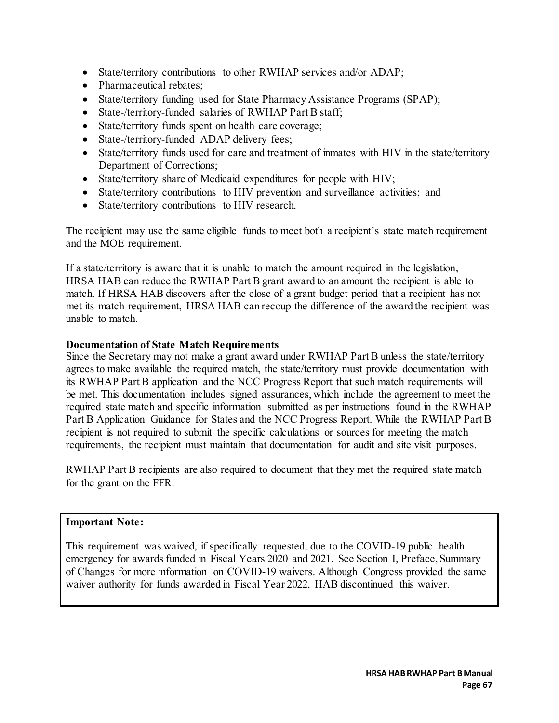- State/territory contributions to other RWHAP services and/or ADAP;
- Pharmaceutical rebates;
- State/territory funding used for State Pharmacy Assistance Programs (SPAP);
- State-/territory-funded salaries of RWHAP Part B staff;
- State/territory funds spent on health care coverage;
- State-/territory-funded ADAP delivery fees;
- State/territory funds used for care and treatment of inmates with HIV in the state/territory Department of Corrections;
- State/territory share of Medicaid expenditures for people with HIV;
- State/territory contributions to HIV prevention and surveillance activities; and
- State/territory contributions to HIV research.

The recipient may use the same eligible funds to meet both a recipient's state match requirement and the MOE requirement.

If a state/territory is aware that it is unable to match the amount required in the legislation, HRSA HAB can reduce the RWHAP Part B grant award to an amount the recipient is able to match. If HRSA HAB discovers after the close of a grant budget period that a recipient has not met its match requirement, HRSA HAB can recoup the difference of the award the recipient was unable to match.

#### **Documentation of State Match Requirements**

Since the Secretary may not make a grant award under RWHAP Part B unless the state/territory agrees to make available the required match, the state/territory must provide documentation with its RWHAP Part B application and the NCC Progress Report that such match requirements will be met. This documentation includes signed assurances, which include the agreement to meet the required state match and specific information submitted as per instructions found in the RWHAP Part B Application Guidance for States and the NCC Progress Report. While the RWHAP Part B recipient is not required to submit the specific calculations or sources for meeting the match requirements, the recipient must maintain that documentation for audit and site visit purposes.

RWHAP Part B recipients are also required to document that they met the required state match for the grant on the FFR.

#### **Important Note:**

This requirement was waived, if specifically requested, due to the COVID-19 public health emergency for awards funded in Fiscal Years 2020 and 2021. See Section I, Preface, Summary of Changes for more information on COVID-19 waivers. Although Congress provided the same waiver authority for funds awarded in Fiscal Year 2022, HAB discontinued this waiver.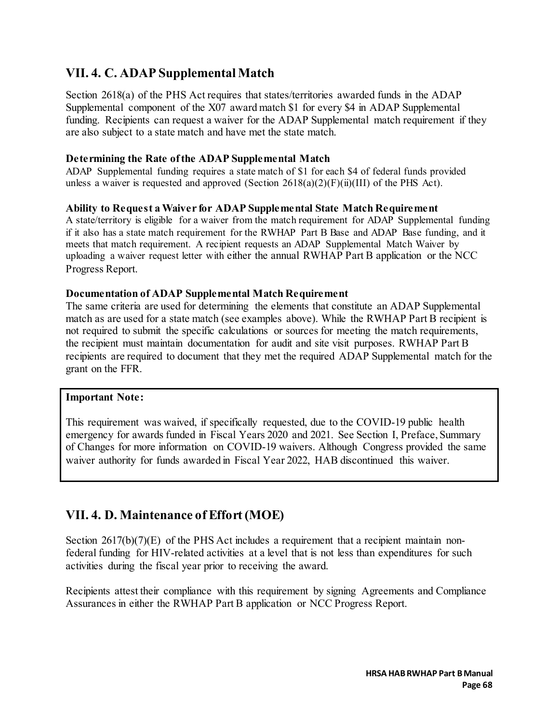### **VII. 4. C. ADAP Supplemental Match**

Section 2618(a) of the PHS Act requires that states/territories awarded funds in the ADAP Supplemental component of the X07 award match \$1 for every \$4 in ADAP Supplemental funding. Recipients can request a waiver for the ADAP Supplemental match requirement if they are also subject to a state match and have met the state match.

#### **Determining the Rate of the ADAP Supplemental Match**

ADAP Supplemental funding requires a state match of \$1 for each \$4 of federal funds provided unless a waiver is requested and approved (Section  $2618(a)(2)(F)(ii)(III)$  of the PHS Act).

#### **Ability to Request a Waiver for ADAP Supplemental State Match Requirement**

A state/territory is eligible for a waiver from the match requirement for ADAP Supplemental funding if it also has a state match requirement for the RWHAP Part B Base and ADAP Base funding, and it meets that match requirement. A recipient requests an ADAP Supplemental Match Waiver by uploading a waiver request letter with either the annual RWHAP Part B application or the NCC Progress Report.

#### **Documentation of ADAP Supplemental Match Requirement**

The same criteria are used for determining the elements that constitute an ADAP Supplemental match as are used for a state match (see examples above). While the RWHAP Part B recipient is not required to submit the specific calculations or sources for meeting the match requirements, the recipient must maintain documentation for audit and site visit purposes. RWHAP Part B recipients are required to document that they met the required ADAP Supplemental match for the grant on the FFR.

#### **Important Note:**

This requirement was waived, if specifically requested, due to the COVID-19 public health emergency for awards funded in Fiscal Years 2020 and 2021. See Section I, Preface, Summary of Changes for more information on COVID-19 waivers. Although Congress provided the same waiver authority for funds awarded in Fiscal Year 2022, HAB discontinued this waiver.

### **VII. 4. D. Maintenance of Effort (MOE)**

Section 2617(b)(7)(E) of the PHS Act includes a requirement that a recipient maintain nonfederal funding for HIV-related activities at a level that is not less than expenditures for such activities during the fiscal year prior to receiving the award.

Recipients attest their compliance with this requirement by signing Agreements and Compliance Assurances in either the RWHAP Part B application or NCC Progress Report.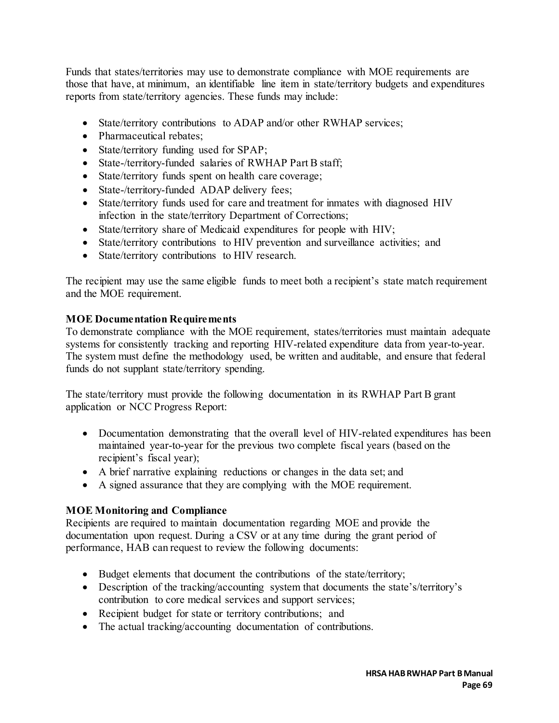Funds that states/territories may use to demonstrate compliance with MOE requirements are those that have, at minimum, an identifiable line item in state/territory budgets and expenditures reports from state/territory agencies. These funds may include:

- State/territory contributions to ADAP and/or other RWHAP services;
- Pharmaceutical rebates;
- State/territory funding used for SPAP;
- State-/territory-funded salaries of RWHAP Part B staff;
- State/territory funds spent on health care coverage;
- State-/territory-funded ADAP delivery fees;
- State/territory funds used for care and treatment for inmates with diagnosed HIV infection in the state/territory Department of Corrections;
- State/territory share of Medicaid expenditures for people with HIV;
- State/territory contributions to HIV prevention and surveillance activities; and
- State/territory contributions to HIV research.

The recipient may use the same eligible funds to meet both a recipient's state match requirement and the MOE requirement.

### **MOE Documentation Requirements**

To demonstrate compliance with the MOE requirement, states/territories must maintain adequate systems for consistently tracking and reporting HIV-related expenditure data from year-to-year. The system must define the methodology used, be written and auditable, and ensure that federal funds do not supplant state/territory spending.

The state/territory must provide the following documentation in its RWHAP Part B grant application or NCC Progress Report:

- Documentation demonstrating that the overall level of HIV-related expenditures has been maintained year-to-year for the previous two complete fiscal years (based on the recipient's fiscal year);
- A brief narrative explaining reductions or changes in the data set; and
- A signed assurance that they are complying with the MOE requirement.

### **MOE Monitoring and Compliance**

Recipients are required to maintain documentation regarding MOE and provide the documentation upon request. During a CSV or at any time during the grant period of performance, HAB can request to review the following documents:

- Budget elements that document the contributions of the state/territory;
- Description of the tracking/accounting system that documents the state's/territory's contribution to core medical services and support services;
- Recipient budget for state or territory contributions; and
- The actual tracking/accounting documentation of contributions.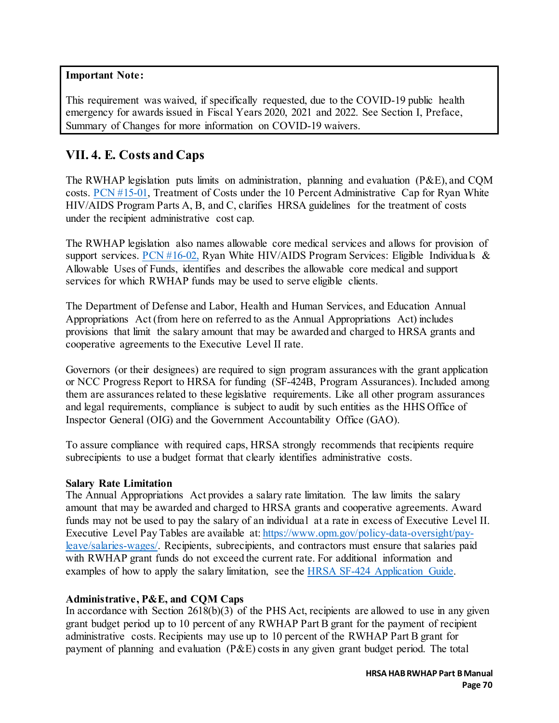#### **Important Note:**

This requirement was waived, if specifically requested, due to the COVID-19 public health emergency for awards issued in Fiscal Years 2020, 2021 and 2022. See Section I, Preface, Summary of Changes for more information on COVID-19 waivers.

### **VII. 4. E. Costs and Caps**

The RWHAP legislation puts limits on administration, planning and evaluation (P&E), and CQM costs. [PCN #15-01,](https://ryanwhite.hrsa.gov/sites/default/files/ryanwhite/grants/pcn-15-01.pdf) Treatment of Costs under the 10 Percent Administrative Cap for Ryan White HIV/AIDS Program Parts A, B, and C, clarifies HRSA guidelines for the treatment of costs under the recipient administrative cost cap.

The RWHAP legislation also names allowable core medical services and allows for provision of support services. PCN  $#16-02$ , Ryan White HIV/AIDS Program Services: Eligible Individuals & Allowable Uses of Funds, identifies and describes the allowable core medical and support services for which RWHAP funds may be used to serve eligible clients.

The Department of Defense and Labor, Health and Human Services, and Education Annual Appropriations Act (from here on referred to as the Annual Appropriations Act) includes provisions that limit the salary amount that may be awarded and charged to HRSA grants and cooperative agreements to the Executive Level II rate.

Governors (or their designees) are required to sign program assurances with the grant application or NCC Progress Report to HRSA for funding (SF-424B, Program Assurances). Included among them are assurances related to these legislative requirements. Like all other program assurances and legal requirements, compliance is subject to audit by such entities as the HHS Office of Inspector General (OIG) and the Government Accountability Office (GAO).

To assure compliance with required caps, HRSA strongly recommends that recipients require subrecipients to use a budget format that clearly identifies administrative costs.

#### **Salary Rate Limitation**

The Annual Appropriations Act provides a salary rate limitation. The law limits the salary amount that may be awarded and charged to HRSA grants and cooperative agreements. Award funds may not be used to pay the salary of an individual at a rate in excess of Executive Level II. Executive Level Pay Tables are available at: [https://www.opm.gov/policy-data-oversight/pay](https://www.opm.gov/policy-data-oversight/pay-leave/salaries-wages/)[leave/salaries-wages/.](https://www.opm.gov/policy-data-oversight/pay-leave/salaries-wages/) Recipients, subrecipients, and contractors must ensure that salaries paid with RWHAP grant funds do not exceed the current rate. For additional information and examples of how to apply the salary limitation, see the [HRSA SF-424 Application Guide.](https://www.hrsa.gov/sites/default/files/hrsa/grants/apply/applicationguide/sf-424-app-guide.pdf) 

### **Administrative, P&E, and CQM Caps**

In accordance with Section 2618(b)(3) of the PHS Act, recipients are allowed to use in any given grant budget period up to 10 percent of any RWHAP Part B grant for the payment of recipient administrative costs. Recipients may use up to 10 percent of the RWHAP Part B grant for payment of planning and evaluation (P&E) costs in any given grant budget period. The total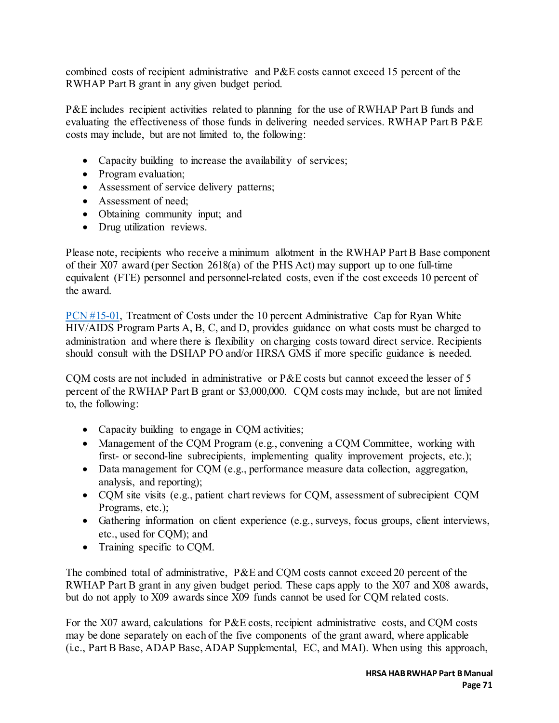combined costs of recipient administrative and P&E costs cannot exceed 15 percent of the RWHAP Part B grant in any given budget period.

P&E includes recipient activities related to planning for the use of RWHAP Part B funds and evaluating the effectiveness of those funds in delivering needed services. RWHAP Part B P&E costs may include, but are not limited to, the following:

- Capacity building to increase the availability of services;
- Program evaluation;
- Assessment of service delivery patterns;
- Assessment of need;
- Obtaining community input; and
- Drug utilization reviews.

Please note, recipients who receive a minimum allotment in the RWHAP Part B Base component of their X07 award (per Section 2618(a) of the PHS Act) may support up to one full-time equivalent (FTE) personnel and personnel-related costs, even if the cost exceeds 10 percent of the award.

PCN [#15-01,](https://ryanwhite.hrsa.gov/sites/default/files/ryanwhite/grants/pcn-15-01.pdf) Treatment of Costs under the 10 percent Administrative Cap for Ryan White HIV/AIDS Program Parts A, B, C, and D, provides guidance on what costs must be charged to administration and where there is flexibility on charging costs toward direct service. Recipients should consult with the DSHAP PO and/or HRSA GMS if more specific guidance is needed.

CQM costs are not included in administrative or P&E costs but cannot exceed the lesser of 5 percent of the RWHAP Part B grant or \$3,000,000. CQM costs may include, but are not limited to, the following:

- Capacity building to engage in CQM activities;
- Management of the CQM Program (e.g., convening a CQM Committee, working with first- or second-line subrecipients, implementing quality improvement projects, etc.);
- Data management for CQM (e.g., performance measure data collection, aggregation, analysis, and reporting);
- CQM site visits (e.g., patient chart reviews for CQM, assessment of subrecipient CQM Programs, etc.);
- Gathering information on client experience (e.g., surveys, focus groups, client interviews, etc., used for CQM); and
- Training specific to CQM.

The combined total of administrative, P&E and CQM costs cannot exceed 20 percent of the RWHAP Part B grant in any given budget period. These caps apply to the X07 and X08 awards, but do not apply to X09 awards since X09 funds cannot be used for CQM related costs.

For the X07 award, calculations for P&E costs, recipient administrative costs, and CQM costs may be done separately on each of the five components of the grant award, where applicable (i.e., Part B Base, ADAP Base, ADAP Supplemental, EC, and MAI). When using this approach,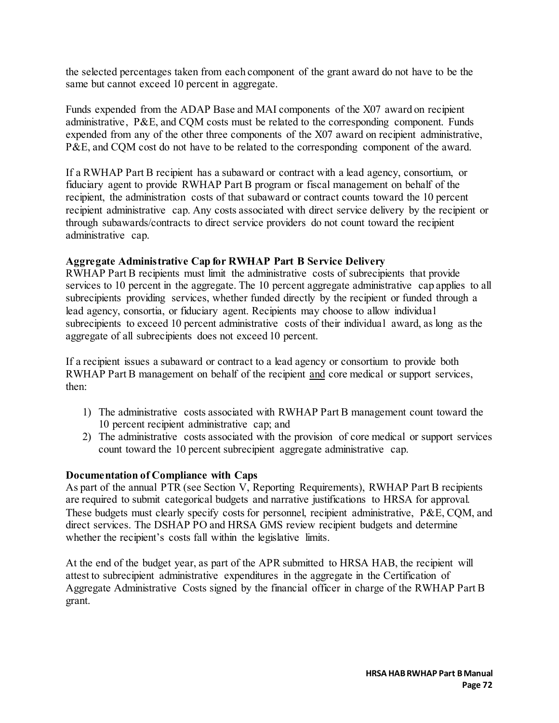the selected percentages taken from each component of the grant award do not have to be the same but cannot exceed 10 percent in aggregate.

Funds expended from the ADAP Base and MAI components of the X07 award on recipient administrative, P&E, and CQM costs must be related to the corresponding component. Funds expended from any of the other three components of the X07 award on recipient administrative, P&E, and CQM cost do not have to be related to the corresponding component of the award.

If a RWHAP Part B recipient has a subaward or contract with a lead agency, consortium, or fiduciary agent to provide RWHAP Part B program or fiscal management on behalf of the recipient, the administration costs of that subaward or contract counts toward the 10 percent recipient administrative cap. Any costs associated with direct service delivery by the recipient or through subawards/contracts to direct service providers do not count toward the recipient administrative cap.

#### **Aggregate Administrative Cap for RWHAP Part B Service Delivery**

RWHAP Part B recipients must limit the administrative costs of subrecipients that provide services to 10 percent in the aggregate. The 10 percent aggregate administrative cap applies to all subrecipients providing services, whether funded directly by the recipient or funded through a lead agency, consortia, or fiduciary agent. Recipients may choose to allow individual subrecipients to exceed 10 percent administrative costs of their individual award, as long as the aggregate of all subrecipients does not exceed 10 percent.

If a recipient issues a subaward or contract to a lead agency or consortium to provide both RWHAP Part B management on behalf of the recipient and core medical or support services, then:

- 1) The administrative costs associated with RWHAP Part B management count toward the 10 percent recipient administrative cap; and
- 2) The administrative costs associated with the provision of core medical or support services count toward the 10 percent subrecipient aggregate administrative cap.

#### **Documentation of Compliance with Caps**

As part of the annual PTR (see Section V, Reporting Requirements), RWHAP Part B recipients are required to submit categorical budgets and narrative justifications to HRSA for approval. These budgets must clearly specify costs for personnel, recipient administrative, P&E, CQM, and direct services. The DSHAP PO and HRSA GMS review recipient budgets and determine whether the recipient's costs fall within the legislative limits.

At the end of the budget year, as part of the APR submitted to HRSA HAB, the recipient will attest to subrecipient administrative expenditures in the aggregate in the Certification of Aggregate Administrative Costs signed by the financial officer in charge of the RWHAP Part B grant.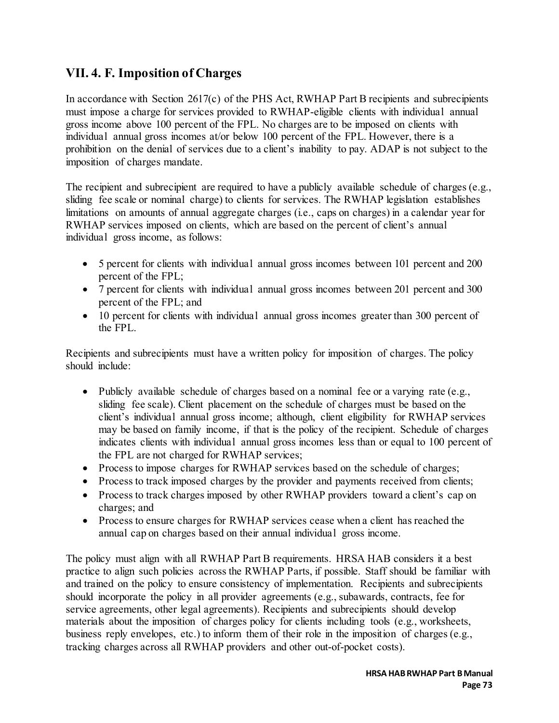### **VII. 4. F. Imposition of Charges**

In accordance with Section 2617(c) of the PHS Act, RWHAP Part B recipients and subrecipients must impose a charge for services provided to RWHAP-eligible clients with individual annual gross income above 100 percent of the FPL. No charges are to be imposed on clients with individual annual gross incomes at/or below 100 percent of the FPL. However, there is a prohibition on the denial of services due to a client's inability to pay. ADAP is not subject to the imposition of charges mandate.

The recipient and subrecipient are required to have a publicly available schedule of charges (e.g., sliding fee scale or nominal charge) to clients for services. The RWHAP legislation establishes limitations on amounts of annual aggregate charges (i.e., caps on charges) in a calendar year for RWHAP services imposed on clients, which are based on the percent of client's annual individual gross income, as follows:

- 5 percent for clients with individual annual gross incomes between 101 percent and 200 percent of the FPL;
- 7 percent for clients with individual annual gross incomes between 201 percent and 300 percent of the FPL; and
- 10 percent for clients with individual annual gross incomes greater than 300 percent of the FPL.

Recipients and subrecipients must have a written policy for imposition of charges. The policy should include:

- Publicly available schedule of charges based on a nominal fee or a varying rate (e.g., sliding fee scale). Client placement on the schedule of charges must be based on the client's individual annual gross income; although, client eligibility for RWHAP services may be based on family income, if that is the policy of the recipient. Schedule of charges indicates clients with individual annual gross incomes less than or equal to 100 percent of the FPL are not charged for RWHAP services;
- Process to impose charges for RWHAP services based on the schedule of charges;
- Process to track imposed charges by the provider and payments received from clients;
- Process to track charges imposed by other RWHAP providers toward a client's cap on charges; and
- Process to ensure charges for RWHAP services cease when a client has reached the annual cap on charges based on their annual individual gross income.

The policy must align with all RWHAP Part B requirements. HRSA HAB considers it a best practice to align such policies across the RWHAP Parts, if possible. Staff should be familiar with and trained on the policy to ensure consistency of implementation. Recipients and subrecipients should incorporate the policy in all provider agreements (e.g., subawards, contracts, fee for service agreements, other legal agreements). Recipients and subrecipients should develop materials about the imposition of charges policy for clients including tools (e.g., worksheets, business reply envelopes, etc.) to inform them of their role in the imposition of charges (e.g., tracking charges across all RWHAP providers and other out-of-pocket costs).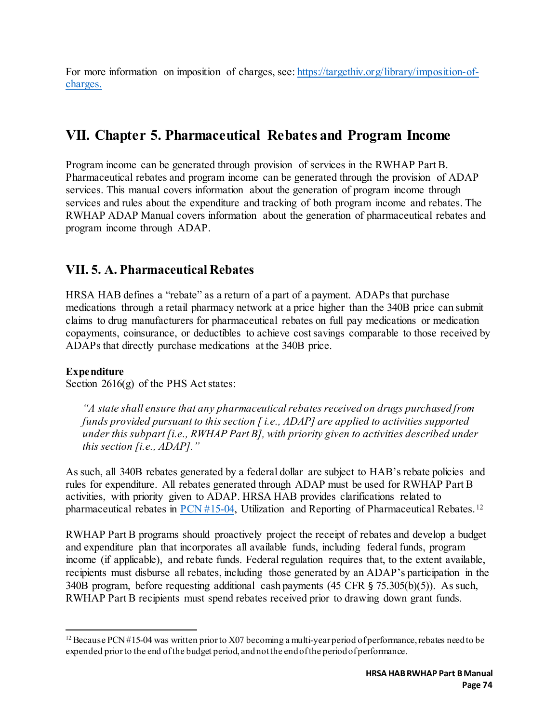For more information on imposition of charges, see: [https://targethiv.org/library/imposition-of](https://targethiv.org/library/imposition-of-charges)[charges.](https://targethiv.org/library/imposition-of-charges)

## **VII. Chapter 5. Pharmaceutical Rebates and Program Income**

Program income can be generated through provision of services in the RWHAP Part B. Pharmaceutical rebates and program income can be generated through the provision of ADAP services. This manual covers information about the generation of program income through services and rules about the expenditure and tracking of both program income and rebates. The RWHAP ADAP Manual covers information about the generation of pharmaceutical rebates and program income through ADAP.

### **VII. 5. A. Pharmaceutical Rebates**

HRSA HAB defines a "rebate" as a return of a part of a payment. ADAPs that purchase medications through a retail pharmacy network at a price higher than the 340B price can submit claims to drug manufacturers for pharmaceutical rebates on full pay medications or medication copayments, coinsurance, or deductibles to achieve cost savings comparable to those received by ADAPs that directly purchase medications at the 340B price.

### **Expenditure**

Section 2616(g) of the PHS Act states:

*"A state shall ensure that any pharmaceutical rebates received on drugs purchased from funds provided pursuant to this section [ i.e., ADAP] are applied to activities supported under this subpart [i.e., RWHAP Part B], with priority given to activities described under this section [i.e., ADAP]."*

As such, all 340B rebates generated by a federal dollar are subject to HAB's rebate policies and rules for expenditure. All rebates generated through ADAP must be used for RWHAP Part B activities, with priority given to ADAP. HRSA HAB provides clarifications related to pharmaceutical rebates in [PCN #15-04,](https://ryanwhite.hrsa.gov/sites/default/files/ryanwhite/grants/pcn-15-04-pharmaceutical-rebates.pdf) Utilization and Reporting of Pharmaceutical Rebates. [12](#page-74-0)

RWHAP Part B programs should proactively project the receipt of rebates and develop a budget and expenditure plan that incorporates all available funds, including federal funds, program income (if applicable), and rebate funds. Federal regulation requires that, to the extent available, recipients must disburse all rebates, including those generated by an ADAP's participation in the 340B program, before requesting additional cash payments (45 CFR § 75.305(b)(5)). As such, RWHAP Part B recipients must spend rebates received prior to drawing down grant funds.

<span id="page-74-0"></span> $\overline{a}$ <sup>12</sup> Because PCN #15-04 was written prior to X07 becoming a multi-year period of performance, rebates need to be expended prior to the end of the budget period, and not the end of the period of performance.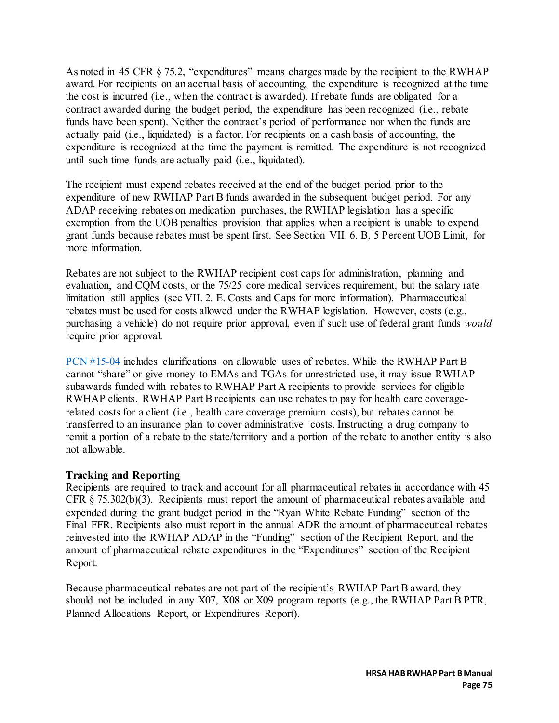As noted in 45 CFR § 75.2, "expenditures" means charges made by the recipient to the RWHAP award. For recipients on an accrual basis of accounting, the expenditure is recognized at the time the cost is incurred (i.e., when the contract is awarded). If rebate funds are obligated for a contract awarded during the budget period, the expenditure has been recognized (i.e., rebate funds have been spent). Neither the contract's period of performance nor when the funds are actually paid (i.e., liquidated) is a factor. For recipients on a cash basis of accounting, the expenditure is recognized at the time the payment is remitted. The expenditure is not recognized until such time funds are actually paid (i.e., liquidated).

The recipient must expend rebates received at the end of the budget period prior to the expenditure of new RWHAP Part B funds awarded in the subsequent budget period. For any ADAP receiving rebates on medication purchases, the RWHAP legislation has a specific exemption from the UOB penalties provision that applies when a recipient is unable to expend grant funds because rebates must be spent first. See Section VII. 6. B, 5 Percent UOB Limit, for more information.

Rebates are not subject to the RWHAP recipient cost caps for administration, planning and evaluation, and CQM costs, or the 75/25 core medical services requirement, but the salary rate limitation still applies (see VII. 2. E. Costs and Caps for more information). Pharmaceutical rebates must be used for costs allowed under the RWHAP legislation. However, costs (e.g., purchasing a vehicle) do not require prior approval, even if such use of federal grant funds *would*  require prior approval.

[PCN #15-04](https://ryanwhite.hrsa.gov/sites/default/files/ryanwhite/grants/pcn-15-04-pharmaceutical-rebates.pdf) includes clarifications on allowable uses of rebates. While the RWHAP Part B cannot "share" or give money to EMAs and TGAs for unrestricted use, it may issue RWHAP subawards funded with rebates to RWHAP Part A recipients to provide services for eligible RWHAP clients. RWHAP Part B recipients can use rebates to pay for health care coveragerelated costs for a client (i.e., health care coverage premium costs), but rebates cannot be transferred to an insurance plan to cover administrative costs. Instructing a drug company to remit a portion of a rebate to the state/territory and a portion of the rebate to another entity is also not allowable.

#### **Tracking and Reporting**

Recipients are required to track and account for all pharmaceutical rebates in accordance with 45 CFR § 75.302(b)(3). Recipients must report the amount of pharmaceutical rebates available and expended during the grant budget period in the "Ryan White Rebate Funding" section of the Final FFR. Recipients also must report in the annual ADR the amount of pharmaceutical rebates reinvested into the RWHAP ADAP in the "Funding" section of the Recipient Report, and the amount of pharmaceutical rebate expenditures in the "Expenditures" section of the Recipient Report.

Because pharmaceutical rebates are not part of the recipient's RWHAP Part B award, they should not be included in any X07, X08 or X09 program reports (e.g., the RWHAP Part B PTR, Planned Allocations Report, or Expenditures Report).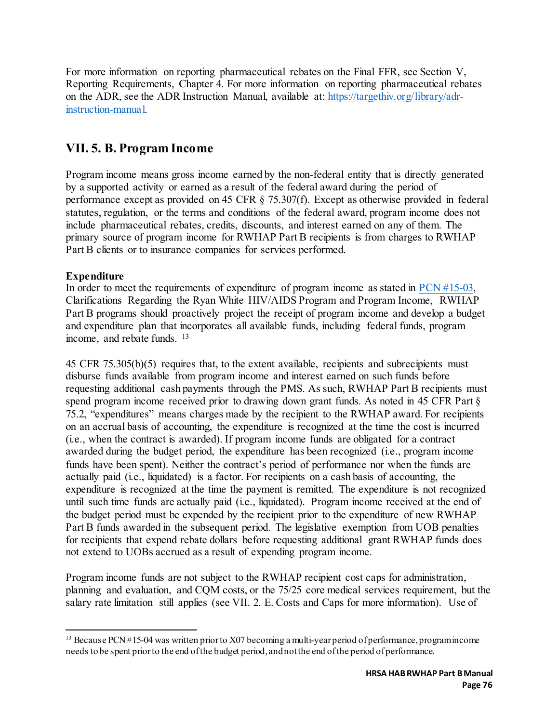For more information on reporting pharmaceutical rebates on the Final FFR, see Section V, Reporting Requirements, Chapter 4. For more information on reporting pharmaceutical rebates on the ADR, see the ADR Instruction Manual, available at: [https://targethiv.org/library/adr](https://targethiv.org/library/adr-instruction-manual)[instruction-manual.](https://targethiv.org/library/adr-instruction-manual) 

### **VII. 5. B. Program Income**

Program income means gross income earned by the non-federal entity that is directly generated by a supported activity or earned as a result of the federal award during the period of performance except as provided on 45 CFR § 75.307(f). Except as otherwise provided in federal statutes, regulation, or the terms and conditions of the federal award, program income does not include pharmaceutical rebates, credits, discounts, and interest earned on any of them. The primary source of program income for RWHAP Part B recipients is from charges to RWHAP Part B clients or to insurance companies for services performed.

### **Expenditure**

In order to meet the requirements of expenditure of program income as stated in [PCN #15-03,](https://ryanwhite.hrsa.gov/sites/default/files/ryanwhite/grants/pcn-15-03-program-income.pdf) Clarifications Regarding the Ryan White HIV/AIDS Program and Program Income, RWHAP Part B programs should proactively project the receipt of program income and develop a budget and expenditure plan that incorporates all available funds, including federal funds, program income, and rebate funds. [13](#page-76-0)

45 CFR 75.305(b)(5) requires that, to the extent available, recipients and subrecipients must disburse funds available from program income and interest earned on such funds before requesting additional cash payments through the PMS. As such, RWHAP Part B recipients must spend program income received prior to drawing down grant funds. As noted in 45 CFR Part § 75.2, "expenditures" means charges made by the recipient to the RWHAP award. For recipients on an accrual basis of accounting, the expenditure is recognized at the time the cost is incurred (i.e., when the contract is awarded). If program income funds are obligated for a contract awarded during the budget period, the expenditure has been recognized (i.e., program income funds have been spent). Neither the contract's period of performance nor when the funds are actually paid (i.e., liquidated) is a factor. For recipients on a cash basis of accounting, the expenditure is recognized at the time the payment is remitted. The expenditure is not recognized until such time funds are actually paid (i.e., liquidated). Program income received at the end of the budget period must be expended by the recipient prior to the expenditure of new RWHAP Part B funds awarded in the subsequent period. The legislative exemption from UOB penalties for recipients that expend rebate dollars before requesting additional grant RWHAP funds does not extend to UOBs accrued as a result of expending program income.

Program income funds are not subject to the RWHAP recipient cost caps for administration, planning and evaluation, and CQM costs, or the 75/25 core medical services requirement, but the salary rate limitation still applies (see VII. 2. E. Costs and Caps for more information). Use of

<span id="page-76-0"></span> $\overline{a}$ <sup>13</sup> Because PCN #15-04 was written prior to X07 becoming a multi-year period of performance, programincome needs to be spent prior to the end of the budget period, and not the end of the period of performance.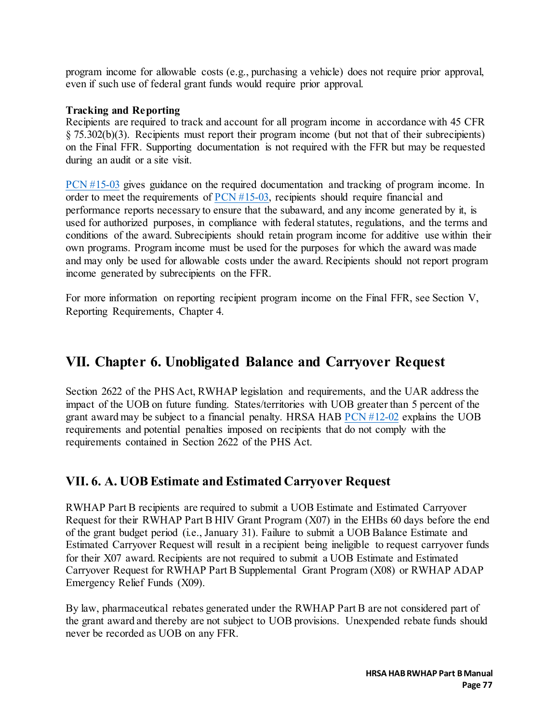program income for allowable costs (e.g., purchasing a vehicle) does not require prior approval, even if such use of federal grant funds would require prior approval.

#### **Tracking and Reporting**

Recipients are required to track and account for all program income in accordance with 45 CFR § 75.302(b)(3). Recipients must report their program income (but not that of their subrecipients) on the Final FFR. Supporting documentation is not required with the FFR but may be requested during an audit or a site visit.

[PCN #15-03](https://ryanwhite.hrsa.gov/sites/default/files/ryanwhite/grants/pcn-15-03-program-income.pdf) gives guidance on the required documentation and tracking of program income. In order to meet the requirements of [PCN #15-03,](https://ryanwhite.hrsa.gov/sites/default/files/ryanwhite/grants/pcn-15-03-program-income.pdf) recipients should require financial and performance reports necessary to ensure that the subaward, and any income generated by it, is used for authorized purposes, in compliance with federal statutes, regulations, and the terms and conditions of the award. Subrecipients should retain program income for additive use within their own programs. Program income must be used for the purposes for which the award was made and may only be used for allowable costs under the award. Recipients should not report program income generated by subrecipients on the FFR.

For more information on reporting recipient program income on the Final FFR, see Section V, Reporting Requirements, Chapter 4.

### **VII. Chapter 6. Unobligated Balance and Carryover Request**

Section 2622 of the PHS Act, RWHAP legislation and requirements, and the UAR address the impact of the UOB on future funding. States/territories with UOB greater than 5 percent of the grant award may be subject to a financial penalty. HRSA HAB [PCN #12-02](https://ryanwhite.hrsa.gov/sites/default/files/ryanwhite/grants/hab-part-uob-policy.pdf) explains the UOB requirements and potential penalties imposed on recipients that do not comply with the requirements contained in Section 2622 of the PHS Act.

### **VII. 6. A. UOB Estimate and Estimated Carryover Request**

RWHAP Part B recipients are required to submit a UOB Estimate and Estimated Carryover Request for their RWHAP Part B HIV Grant Program (X07) in the EHBs 60 days before the end of the grant budget period (i.e., January 31). Failure to submit a UOB Balance Estimate and Estimated Carryover Request will result in a recipient being ineligible to request carryover funds for their X07 award. Recipients are not required to submit a UOB Estimate and Estimated Carryover Request for RWHAP Part B Supplemental Grant Program (X08) or RWHAP ADAP Emergency Relief Funds (X09).

By law, pharmaceutical rebates generated under the RWHAP Part B are not considered part of the grant award and thereby are not subject to UOB provisions. Unexpended rebate funds should never be recorded as UOB on any FFR.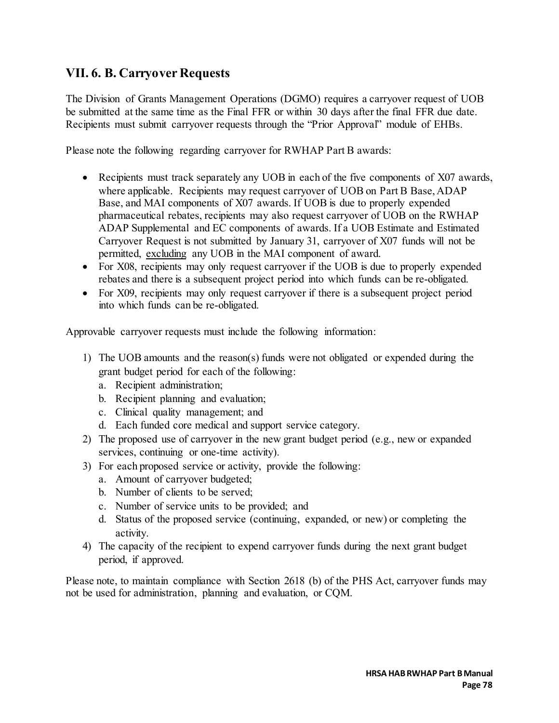### **VII. 6. B. Carryover Requests**

The Division of Grants Management Operations (DGMO) requires a carryover request of UOB be submitted at the same time as the Final FFR or within 30 days after the final FFR due date. Recipients must submit carryover requests through the "Prior Approval" module of EHBs.

Please note the following regarding carryover for RWHAP Part B awards:

- Recipients must track separately any UOB in each of the five components of X07 awards, where applicable. Recipients may request carryover of UOB on Part B Base, ADAP Base, and MAI components of X07 awards. If UOB is due to properly expended pharmaceutical rebates, recipients may also request carryover of UOB on the RWHAP ADAP Supplemental and EC components of awards. If a UOB Estimate and Estimated Carryover Request is not submitted by January 31, carryover of X07 funds will not be permitted, excluding any UOB in the MAI component of award.
- For X08, recipients may only request carryover if the UOB is due to properly expended rebates and there is a subsequent project period into which funds can be re-obligated.
- For X09, recipients may only request carryover if there is a subsequent project period into which funds can be re-obligated.

Approvable carryover requests must include the following information:

- 1) The UOB amounts and the reason(s) funds were not obligated or expended during the grant budget period for each of the following:
	- a. Recipient administration;
	- b. Recipient planning and evaluation;
	- c. Clinical quality management; and
	- d. Each funded core medical and support service category.
- 2) The proposed use of carryover in the new grant budget period (e.g., new or expanded services, continuing or one-time activity).
- 3) For each proposed service or activity, provide the following:
	- a. Amount of carryover budgeted;
	- b. Number of clients to be served;
	- c. Number of service units to be provided; and
	- d. Status of the proposed service (continuing, expanded, or new) or completing the activity.
- 4) The capacity of the recipient to expend carryover funds during the next grant budget period, if approved.

Please note, to maintain compliance with Section 2618 (b) of the PHS Act, carryover funds may not be used for administration, planning and evaluation, or CQM.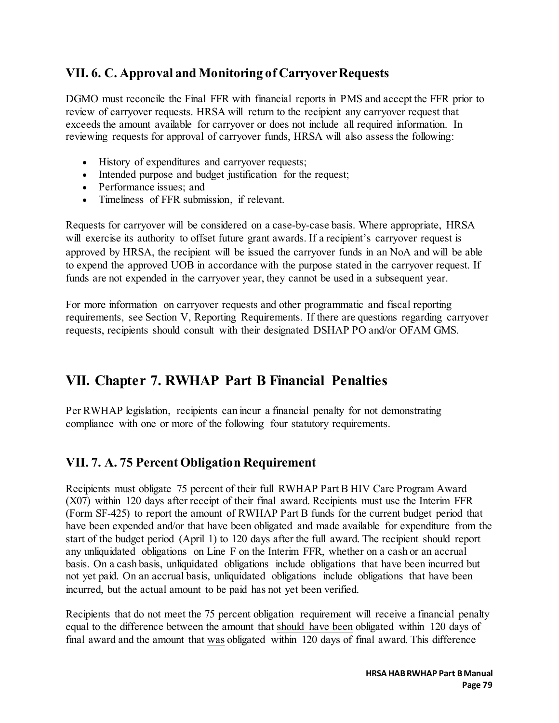### **VII. 6. C. Approval and Monitoring of Carryover Requests**

DGMO must reconcile the Final FFR with financial reports in PMS and accept the FFR prior to review of carryover requests. HRSA will return to the recipient any carryover request that exceeds the amount available for carryover or does not include all required information. In reviewing requests for approval of carryover funds, HRSA will also assess the following:

- History of expenditures and carryover requests;
- Intended purpose and budget justification for the request;
- Performance issues: and
- Timeliness of FFR submission, if relevant.

Requests for carryover will be considered on a case-by-case basis. Where appropriate, HRSA will exercise its authority to offset future grant awards. If a recipient's carryover request is approved by HRSA, the recipient will be issued the carryover funds in an NoA and will be able to expend the approved UOB in accordance with the purpose stated in the carryover request. If funds are not expended in the carryover year, they cannot be used in a subsequent year.

For more information on carryover requests and other programmatic and fiscal reporting requirements, see Section V, Reporting Requirements. If there are questions regarding carryover requests, recipients should consult with their designated DSHAP PO and/or OFAM GMS.

## **VII. Chapter 7. RWHAP Part B Financial Penalties**

Per RWHAP legislation, recipients can incur a financial penalty for not demonstrating compliance with one or more of the following four statutory requirements.

### **VII. 7. A. 75 Percent Obligation Requirement**

Recipients must obligate 75 percent of their full RWHAP Part B HIV Care Program Award (X07) within 120 days after receipt of their final award. Recipients must use the Interim FFR (Form SF-425) to report the amount of RWHAP Part B funds for the current budget period that have been expended and/or that have been obligated and made available for expenditure from the start of the budget period (April 1) to 120 days after the full award. The recipient should report any unliquidated obligations on Line F on the Interim FFR, whether on a cash or an accrual basis. On a cash basis, unliquidated obligations include obligations that have been incurred but not yet paid. On an accrual basis, unliquidated obligations include obligations that have been incurred, but the actual amount to be paid has not yet been verified.

Recipients that do not meet the 75 percent obligation requirement will receive a financial penalty equal to the difference between the amount that should have been obligated within 120 days of final award and the amount that was obligated within 120 days of final award. This difference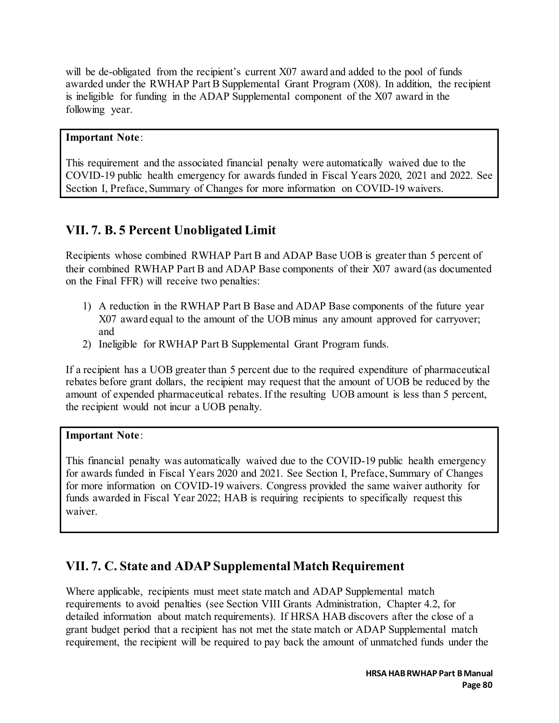will be de-obligated from the recipient's current X07 award and added to the pool of funds awarded under the RWHAP Part B Supplemental Grant Program (X08). In addition, the recipient is ineligible for funding in the ADAP Supplemental component of the X07 award in the following year.

### **Important Note**:

This requirement and the associated financial penalty were automatically waived due to the COVID-19 public health emergency for awards funded in Fiscal Years 2020, 2021 and 2022. See Section I, Preface, Summary of Changes for more information on COVID-19 waivers.

### **VII. 7. B. 5 Percent Unobligated Limit**

Recipients whose combined RWHAP Part B and ADAP Base UOB is greater than 5 percent of their combined RWHAP Part B and ADAP Base components of their X07 award (as documented on the Final FFR) will receive two penalties:

- 1) A reduction in the RWHAP Part B Base and ADAP Base components of the future year X07 award equal to the amount of the UOB minus any amount approved for carryover; and
- 2) Ineligible for RWHAP Part B Supplemental Grant Program funds.

If a recipient has a UOB greater than 5 percent due to the required expenditure of pharmaceutical rebates before grant dollars, the recipient may request that the amount of UOB be reduced by the amount of expended pharmaceutical rebates. If the resulting UOB amount is less than 5 percent, the recipient would not incur a UOB penalty.

### **Important Note**:

This financial penalty was automatically waived due to the COVID-19 public health emergency for awards funded in Fiscal Years 2020 and 2021. See Section I, Preface, Summary of Changes for more information on COVID-19 waivers. Congress provided the same waiver authority for funds awarded in Fiscal Year 2022; HAB is requiring recipients to specifically request this waiver.

### **VII. 7. C. State and ADAP Supplemental Match Requirement**

Where applicable, recipients must meet state match and ADAP Supplemental match requirements to avoid penalties (see Section VIII Grants Administration, Chapter 4.2, for detailed information about match requirements). If HRSA HAB discovers after the close of a grant budget period that a recipient has not met the state match or ADAP Supplemental match requirement, the recipient will be required to pay back the amount of unmatched funds under the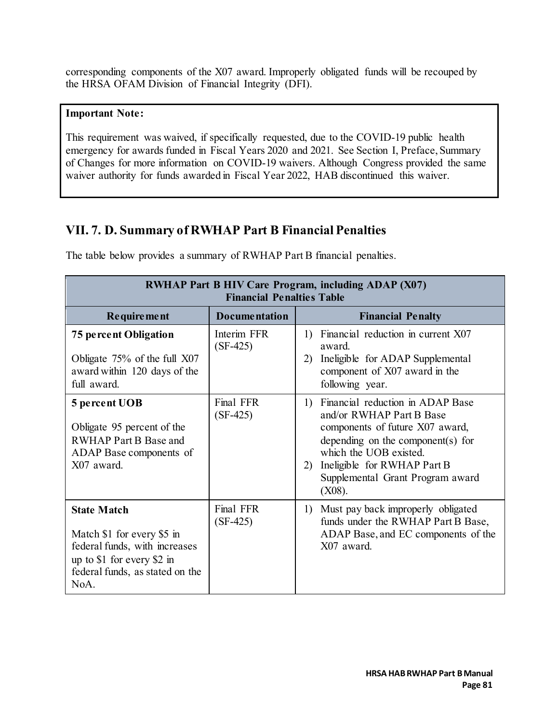corresponding components of the X07 award. Improperly obligated funds will be recouped by the HRSA OFAM Division of Financial Integrity (DFI).

#### **Important Note:**

This requirement was waived, if specifically requested, due to the COVID-19 public health emergency for awards funded in Fiscal Years 2020 and 2021. See Section I, Preface, Summary of Changes for more information on COVID-19 waivers. Although Congress provided the same waiver authority for funds awarded in Fiscal Year 2022, HAB discontinued this waiver.

### **VII. 7. D. Summary of RWHAP Part B Financial Penalties**

The table below provides a summary of RWHAP Part B financial penalties.

| <b>RWHAP Part B HIV Care Program, including ADAP (X07)</b><br><b>Financial Penalties Table</b>                                                             |                           |                                                                                                                                                                                                                                                      |  |  |
|------------------------------------------------------------------------------------------------------------------------------------------------------------|---------------------------|------------------------------------------------------------------------------------------------------------------------------------------------------------------------------------------------------------------------------------------------------|--|--|
| <b>Requirement</b>                                                                                                                                         | <b>Documentation</b>      | <b>Financial Penalty</b>                                                                                                                                                                                                                             |  |  |
| <b>75 percent Obligation</b><br>Obligate 75% of the full X07<br>award within 120 days of the<br>full award.                                                | Interim FFR<br>$(SF-425)$ | 1) Financial reduction in current X07<br>award.<br>Ineligible for ADAP Supplemental<br>2)<br>component of X07 award in the<br>following year.                                                                                                        |  |  |
| 5 percent UOB<br>Obligate 95 percent of the<br><b>RWHAP Part B Base and</b><br>ADAP Base components of<br>X07 award.                                       | Final FFR<br>$(SF-425)$   | 1) Financial reduction in ADAP Base<br>and/or RWHAP Part B Base<br>components of future X07 award,<br>depending on the component(s) for<br>which the UOB existed.<br>Ineligible for RWHAP Part B<br>2)<br>Supplemental Grant Program award<br>(X08). |  |  |
| <b>State Match</b><br>Match \$1 for every \$5 in<br>federal funds, with increases<br>up to \$1 for every \$2 in<br>federal funds, as stated on the<br>NoA. | Final FFR<br>$(SF-425)$   | 1) Must pay back improperly obligated<br>funds under the RWHAP Part B Base,<br>ADAP Base, and EC components of the<br>X07 award.                                                                                                                     |  |  |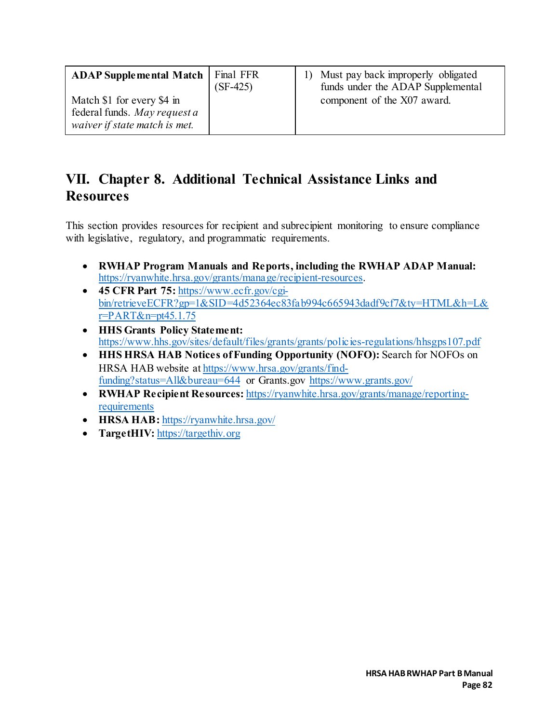| <b>ADAP Supplemental Match   Final FFR</b><br>Match \$1 for every \$4 in<br>federal funds. May request a | $(SF-425)$ | 1) Must pay back improperly obligated<br>funds under the ADAP Supplemental<br>component of the X07 award. |
|----------------------------------------------------------------------------------------------------------|------------|-----------------------------------------------------------------------------------------------------------|
| waiver if state match is met.                                                                            |            |                                                                                                           |

## **VII. Chapter 8. Additional Technical Assistance Links and Resources**

This section provides resources for recipient and subrecipient monitoring to ensure compliance with legislative, regulatory, and programmatic requirements.

- **RWHAP Program Manuals and Reports, including the RWHAP ADAP Manual:** [https://ryanwhite.hrsa.gov/grants/manage/recipient-resources.](https://ryanwhite.hrsa.gov/grants/manage/recipient-resources)
- **45 CFR Part 75:** [https://www.ecfr.gov/cgi](https://www.ecfr.gov/cgi-bin/retrieveECFR?gp=1&SID=4d52364ec83fab994c665943dadf9cf7&ty=HTML&h=L&r=PART&n=pt45.1.75)[bin/retrieveECFR?gp=1&SID=4d52364ec83fab994c665943dadf9cf7&ty=HTML&h=L&](https://www.ecfr.gov/cgi-bin/retrieveECFR?gp=1&SID=4d52364ec83fab994c665943dadf9cf7&ty=HTML&h=L&r=PART&n=pt45.1.75) [r=PART&n=pt45.1.75](https://www.ecfr.gov/cgi-bin/retrieveECFR?gp=1&SID=4d52364ec83fab994c665943dadf9cf7&ty=HTML&h=L&r=PART&n=pt45.1.75)
- **HHS Grants Policy Statement:** <https://www.hhs.gov/sites/default/files/grants/grants/policies-regulations/hhsgps107.pdf>
- **HHS HRSA HAB Notices of Funding Opportunity (NOFO):** Search for NOFOs on HRSA HAB website a[t https://www.hrsa.gov/grants/find](https://www.hrsa.gov/grants/find-funding?status=All&bureau=644)[funding?status=All&bureau=644](https://www.hrsa.gov/grants/find-funding?status=All&bureau=644) or Grants.gov<https://www.grants.gov/>
- **RWHAP Recipient Resources:** [https://ryanwhite.hrsa.gov/grants/manage/reporting](https://ryanwhite.hrsa.gov/grants/manage/reporting-requirements)[requirements](https://ryanwhite.hrsa.gov/grants/manage/reporting-requirements)
- **HRSA HAB:** https://ryanwhite.hrsa.gov/
- **TargetHIV:** [https://targethiv.org](https://targethiv.org/)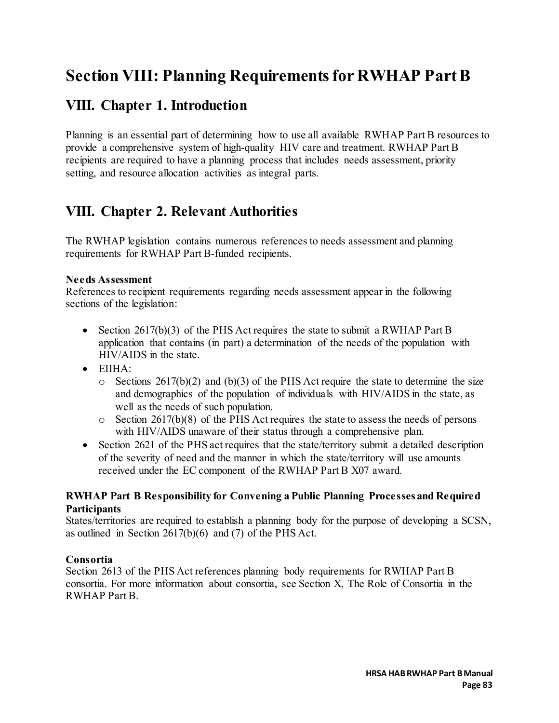# **Section VIII: Planning Requirements for RWHAP Part B**

## **VIII. Chapter 1. Introduction**

Planning is an essential part of determining how to use all available RWHAP Part B resources to provide a comprehensive system of high-quality HIV care and treatment. RWHAP Part B recipients are required to have a planning process that includes needs assessment, priority setting, and resource allocation activities as integral parts.

## **VIII. Chapter 2. Relevant Authorities**

The RWHAP legislation contains numerous references to needs assessment and planning requirements for RWHAP Part B-funded recipients.

#### **Needs Assessment**

References to recipient requirements regarding needs assessment appear in the following sections of the legislation:

- Section  $2617(b)(3)$  of the PHS Act requires the state to submit a RWHAP Part B application that contains (in part) a determination of the needs of the population with HIV/AIDS in the state.
- $\bullet$  EIIHA $\cdot$ 
	- $\circ$  Sections 2617(b)(2) and (b)(3) of the PHS Act require the state to determine the size and demographics of the population of individuals with HIV/AIDS in the state, as well as the needs of such population.
	- $\circ$  Section 2617(b)(8) of the PHS Act requires the state to assess the needs of persons with HIV/AIDS unaware of their status through a comprehensive plan.
- Section 2621 of the PHS act requires that the state/territory submit a detailed description of the severity of need and the manner in which the state/territory will use amounts received under the EC component of the RWHAP Part B X07 award.

#### **RWHAP Part B Responsibility for Convening a Public Planning Processes and Required Participants**

States/territories are required to establish a planning body for the purpose of developing a SCSN, as outlined in Section 2617(b)(6) and (7) of the PHS Act.

### **Consortia**

Section 2613 of the PHS Act references planning body requirements for RWHAP Part B consortia. For more information about consortia, see Section X, The Role of Consortia in the RWHAP Part B.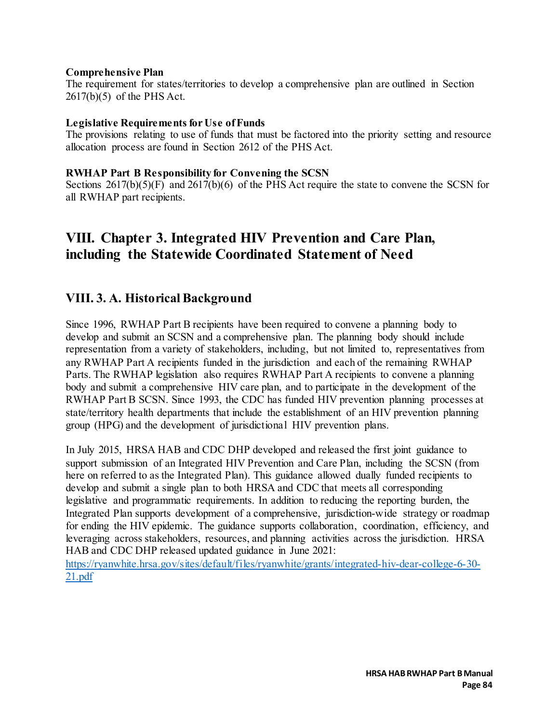#### **Comprehensive Plan**

The requirement for states/territories to develop a comprehensive plan are outlined in Section 2617(b)(5) of the PHS Act.

#### **Legislative Requirements for Use of Funds**

The provisions relating to use of funds that must be factored into the priority setting and resource allocation process are found in Section 2612 of the PHS Act.

#### **RWHAP Part B Responsibility for Convening the SCSN**

Sections 2617(b)(5)(F) and 2617(b)(6) of the PHS Act require the state to convene the SCSN for all RWHAP part recipients.

## **VIII. Chapter 3. Integrated HIV Prevention and Care Plan, including the Statewide Coordinated Statement of Need**

### **VIII. 3. A. Historical Background**

Since 1996, RWHAP Part B recipients have been required to convene a planning body to develop and submit an SCSN and a comprehensive plan. The planning body should include representation from a variety of stakeholders, including, but not limited to, representatives from any RWHAP Part A recipients funded in the jurisdiction and each of the remaining RWHAP Parts. The RWHAP legislation also requires RWHAP Part A recipients to convene a planning body and submit a comprehensive HIV care plan, and to participate in the development of the RWHAP Part B SCSN. Since 1993, the CDC has funded HIV prevention planning processes at state/territory health departments that include the establishment of an HIV prevention planning group (HPG) and the development of jurisdictional HIV prevention plans.

In July 2015, HRSA HAB and CDC DHP developed and released the first joint guidance to support submission of an Integrated HIV Prevention and Care Plan, including the SCSN (from here on referred to as the Integrated Plan). This guidance allowed dually funded recipients to develop and submit a single plan to both HRSA and CDC that meets all corresponding legislative and programmatic requirements. In addition to reducing the reporting burden, the Integrated Plan supports development of a comprehensive, jurisdiction-wide strategy or roadmap for ending the HIV epidemic. The guidance supports collaboration, coordination, efficiency, and leveraging across stakeholders, resources, and planning activities across the jurisdiction. HRSA HAB and CDC DHP released updated guidance in June 2021:

[https://ryanwhite.hrsa.gov/sites/default/files/ryanwhite/grants/integrated-hiv-dear-college-6-30-](https://ryanwhite.hrsa.gov/sites/default/files/ryanwhite/grants/integrated-hiv-dear-college-6-30-21.pdf) [21.pdf](https://ryanwhite.hrsa.gov/sites/default/files/ryanwhite/grants/integrated-hiv-dear-college-6-30-21.pdf)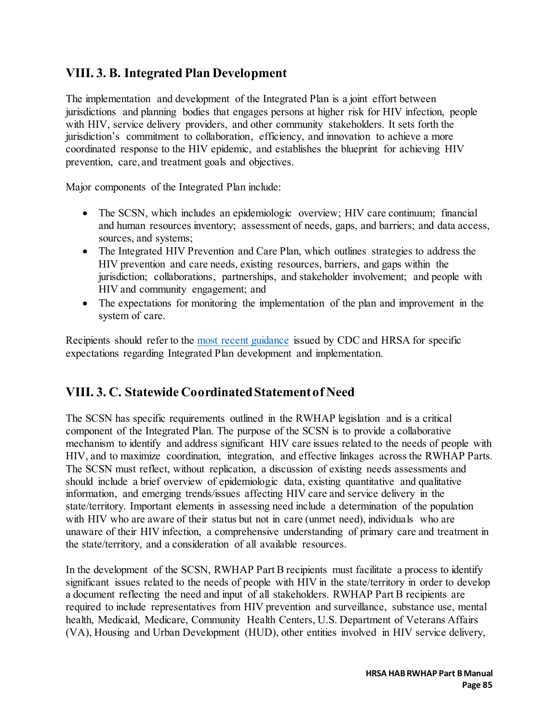### **VIII. 3. B. Integrated Plan Development**

The implementation and development of the Integrated Plan is a joint effort between jurisdictions and planning bodies that engages persons at higher risk for HIV infection, people with HIV, service delivery providers, and other community stakeholders. It sets forth the jurisdiction's commitment to collaboration, efficiency, and innovation to achieve a more coordinated response to the HIV epidemic, and establishes the blueprint for achieving HIV prevention, care, and treatment goals and objectives.

Major components of the Integrated Plan include:

- The SCSN, which includes an epidemiologic overview; HIV care continuum; financial and human resources inventory; assessment of needs, gaps, and barriers; and data access, sources, and systems;
- The Integrated HIV Prevention and Care Plan, which outlines strategies to address the HIV prevention and care needs, existing resources, barriers, and gaps within the jurisdiction; collaborations, partnerships, and stakeholder involvement; and people with HIV and community engagement; and
- The expectations for monitoring the implementation of the plan and improvement in the system of care.

Recipients should refer to the [most recent guidance](https://ryanwhite.hrsa.gov/sites/default/files/ryanwhite/grants/integrated-hiv-dear-college-6-30-21.pdf) issued by CDC and HRSA for specific expectations regarding Integrated Plan development and implementation.

### **VIII. 3. C. Statewide Coordinated Statement of Need**

The SCSN has specific requirements outlined in the RWHAP legislation and is a critical component of the Integrated Plan. The purpose of the SCSN is to provide a collaborative mechanism to identify and address significant HIV care issues related to the needs of people with HIV, and to maximize coordination, integration, and effective linkages across the RWHAP Parts. The SCSN must reflect, without replication, a discussion of existing needs assessments and should include a brief overview of epidemiologic data, existing quantitative and qualitative information, and emerging trends/issues affecting HIV care and service delivery in the state/territory. Important elements in assessing need include a determination of the population with HIV who are aware of their status but not in care (unmet need), individuals who are unaware of their HIV infection, a comprehensive understanding of primary care and treatment in the state/territory, and a consideration of all available resources.

In the development of the SCSN, RWHAP Part B recipients must facilitate a process to identify significant issues related to the needs of people with HIV in the state/territory in order to develop a document reflecting the need and input of all stakeholders. RWHAP Part B recipients are required to include representatives from HIV prevention and surveillance, substance use, mental health, Medicaid, Medicare, Community Health Centers, U.S. Department of Veterans Affairs (VA), Housing and Urban Development (HUD), other entities involved in HIV service delivery,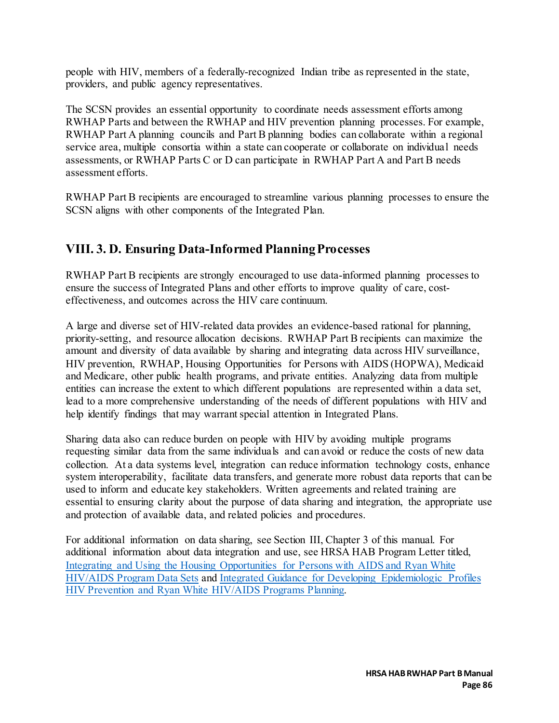people with HIV, members of a federally-recognized Indian tribe as represented in the state, providers, and public agency representatives.

The SCSN provides an essential opportunity to coordinate needs assessment efforts among RWHAP Parts and between the RWHAP and HIV prevention planning processes. For example, RWHAP Part A planning councils and Part B planning bodies can collaborate within a regional service area, multiple consortia within a state can cooperate or collaborate on individual needs assessments, or RWHAP Parts C or D can participate in RWHAP Part A and Part B needs assessment efforts.

RWHAP Part B recipients are encouraged to streamline various planning processes to ensure the SCSN aligns with other components of the Integrated Plan.

### **VIII. 3. D. Ensuring Data-Informed Planning Processes**

RWHAP Part B recipients are strongly encouraged to use data-informed planning processes to ensure the success of Integrated Plans and other efforts to improve quality of care, costeffectiveness, and outcomes across the HIV care continuum.

A large and diverse set of HIV-related data provides an evidence-based rational for planning, priority-setting, and resource allocation decisions. RWHAP Part B recipients can maximize the amount and diversity of data available by sharing and integrating data across HIV surveillance, HIV prevention, RWHAP, Housing Opportunities for Persons with AIDS (HOPWA), Medicaid and Medicare, other public health programs, and private entities. Analyzing data from multiple entities can increase the extent to which different populations are represented within a data set, lead to a more comprehensive understanding of the needs of different populations with HIV and help identify findings that may warrant special attention in Integrated Plans.

Sharing data also can reduce burden on people with HIV by avoiding multiple programs requesting similar data from the same individuals and can avoid or reduce the costs of new data collection. At a data systems level, integration can reduce information technology costs, enhance system interoperability, facilitate data transfers, and generate more robust data reports that can be used to inform and educate key stakeholders. Written agreements and related training are essential to ensuring clarity about the purpose of data sharing and integration, the appropriate use and protection of available data, and related policies and procedures.

For additional information on data sharing, see Section III, Chapter 3 of this manual. For additional information about data integration and use, see HRSA HAB Program Letter titled, [Integrating and Using the Housing Opportunities for Persons with AIDS and Ryan White](https://ryanwhite.hrsa.gov/sites/default/files/ryanwhite/grants/hab-hopwa-data-sharing-letter-8-29-17.pdf)  [HIV/AIDS Program Data Sets](https://ryanwhite.hrsa.gov/sites/default/files/ryanwhite/grants/hab-hopwa-data-sharing-letter-8-29-17.pdf) and [Integrated Guidance for Developing Epidemiologic Profiles](https://www.cdc.gov/hiv/pdf/guidelines_developing_epidemiologic_profiles.pdf)  [HIV Prevention and Ryan White HIV/AIDS Programs Planning.](https://www.cdc.gov/hiv/pdf/guidelines_developing_epidemiologic_profiles.pdf)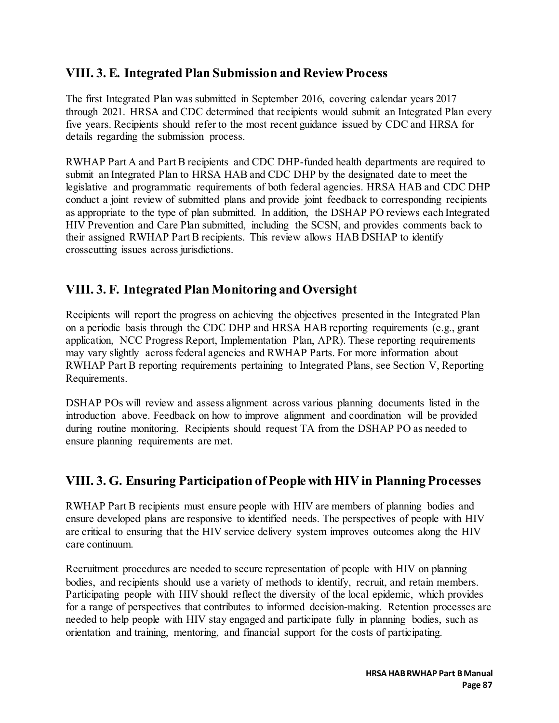### **VIII. 3. E. Integrated Plan Submission and Review Process**

The first Integrated Plan was submitted in September 2016, covering calendar years 2017 through 2021. HRSA and CDC determined that recipients would submit an Integrated Plan every five years. Recipients should refer to the most recent guidance issued by CDC and HRSA for details regarding the submission process.

RWHAP Part A and Part B recipients and CDC DHP-funded health departments are required to submit an Integrated Plan to HRSA HAB and CDC DHP by the designated date to meet the legislative and programmatic requirements of both federal agencies. HRSA HAB and CDC DHP conduct a joint review of submitted plans and provide joint feedback to corresponding recipients as appropriate to the type of plan submitted. In addition, the DSHAP PO reviews each Integrated HIV Prevention and Care Plan submitted, including the SCSN, and provides comments back to their assigned RWHAP Part B recipients. This review allows HAB DSHAP to identify crosscutting issues across jurisdictions.

### **VIII. 3. F. Integrated Plan Monitoring and Oversight**

Recipients will report the progress on achieving the objectives presented in the Integrated Plan on a periodic basis through the CDC DHP and HRSA HAB reporting requirements (e.g., grant application, NCC Progress Report, Implementation Plan, APR). These reporting requirements may vary slightly across federal agencies and RWHAP Parts. For more information about RWHAP Part B reporting requirements pertaining to Integrated Plans, see Section V, Reporting Requirements.

DSHAP POs will review and assess alignment across various planning documents listed in the introduction above. Feedback on how to improve alignment and coordination will be provided during routine monitoring. Recipients should request TA from the DSHAP PO as needed to ensure planning requirements are met.

### **VIII. 3. G. Ensuring Participation of People with HIV in Planning Processes**

RWHAP Part B recipients must ensure people with HIV are members of planning bodies and ensure developed plans are responsive to identified needs. The perspectives of people with HIV are critical to ensuring that the HIV service delivery system improves outcomes along the HIV care continuum.

Recruitment procedures are needed to secure representation of people with HIV on planning bodies, and recipients should use a variety of methods to identify, recruit, and retain members. Participating people with HIV should reflect the diversity of the local epidemic, which provides for a range of perspectives that contributes to informed decision-making. Retention processes are needed to help people with HIV stay engaged and participate fully in planning bodies, such as orientation and training, mentoring, and financial support for the costs of participating.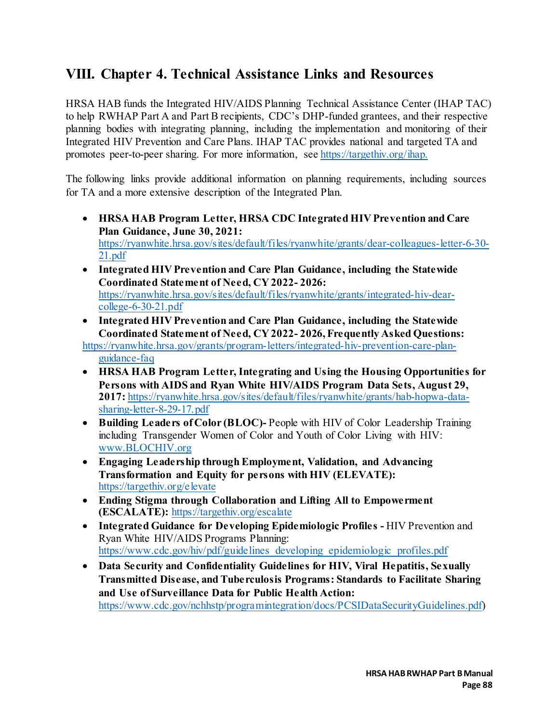## **VIII. Chapter 4. Technical Assistance Links and Resources**

HRSA HAB funds the Integrated HIV/AIDS Planning Technical Assistance Center (IHAP TAC) to help RWHAP Part A and Part B recipients, CDC's DHP-funded grantees, and their respective planning bodies with integrating planning, including the implementation and monitoring of their Integrated HIV Prevention and Care Plans. IHAP TAC provides national and targeted TA and promotes peer-to-peer sharing. For more information, see [https://targethiv.org/ihap.](https://targethiv.org/ihap)

The following links provide additional information on planning requirements, including sources for TA and a more extensive description of the Integrated Plan.

- **HRSA HAB Program Letter, HRSA CDC Integrated HIV Prevention and Care Plan Guidance, June 30, 2021:**  [https://ryanwhite.hrsa.gov/sites/default/files/ryanwhite/grants/dear-colleagues-letter-6-30-](https://ryanwhite.hrsa.gov/sites/default/files/ryanwhite/grants/dear-colleagues-letter-6-30-21.pdf) [21.pdf](https://ryanwhite.hrsa.gov/sites/default/files/ryanwhite/grants/dear-colleagues-letter-6-30-21.pdf)
- **Integrated HIV Prevention and Care Plan Guidance, including the Statewide Coordinated Statement of Need, CY 2022- 2026:** [https://ryanwhite.hrsa.gov/sites/default/files/ryanwhite/grants/integrated-hiv-dear](https://ryanwhite.hrsa.gov/sites/default/files/ryanwhite/grants/integrated-hiv-dear-college-6-30-21.pdf)[college-6-30-21.pdf](https://ryanwhite.hrsa.gov/sites/default/files/ryanwhite/grants/integrated-hiv-dear-college-6-30-21.pdf)
- **Integrated HIV Prevention and Care Plan Guidance, including the Statewide Coordinated Statement of Need, CY 2022- 2026, Frequently Asked Questions:**

[https://ryanwhite.hrsa.gov/grants/program-letters/integrated-hiv-prevention-care-plan](https://ryanwhite.hrsa.gov/grants/program-letters/integrated-hiv-prevention-care-plan-guidance-faq)[guidance-faq](https://ryanwhite.hrsa.gov/grants/program-letters/integrated-hiv-prevention-care-plan-guidance-faq) 

- **HRSA HAB Program Letter, Integrating and Using the Housing Opportunities for Persons with AIDS and Ryan White HIV/AIDS Program Data Sets, August 29, 2017:** [https://ryanwhite.hrsa.gov/sites/default/files/ryanwhite/grants/hab-hopwa-data](https://ryanwhite.hrsa.gov/sites/default/files/ryanwhite/grants/hab-hopwa-data-sharing-letter-8-29-17.pdf)[sharing-letter-8-29-17.pdf](https://ryanwhite.hrsa.gov/sites/default/files/ryanwhite/grants/hab-hopwa-data-sharing-letter-8-29-17.pdf)
- **Building Leaders of Color (BLOC)-** People with HIV of Color Leadership Training including Transgender Women of Color and Youth of Color Living with HIV: [www.BLOCHIV.org](http://www.blochiv.org/)
- **Engaging Leadership through Employment, Validation, and Advancing Transformation and Equity for persons with HIV (ELEVATE):**  <https://targethiv.org/elevate>
- **Ending Stigma through Collaboration and Lifting All to Empowerment (ESCALATE):** <https://targethiv.org/escalate>
- **Integrated Guidance for Developing Epidemiologic Profiles** HIV Prevention and Ryan White HIV/AIDS Programs Planning: [https://www.cdc.gov/hiv/pdf/guidelines\\_developing\\_epidemiologic\\_profiles.pdf](https://www.cdc.gov/hiv/pdf/guidelines_developing_epidemiologic_profiles.pdf)
- **Data Security and Confidentiality Guidelines for HIV, Viral Hepatitis, Sexually Transmitted Disease, and Tuberculosis Programs: Standards to Facilitate Sharing and Use of Surveillance Data for Public Health Action:** [https://www.cdc.gov/nchhstp/programintegration/docs/PCSIDataSecurityGuidelines.pdf\)](https://www.cdc.gov/nchhstp/programintegration/docs/PCSIDataSecurityGuidelines.pdf)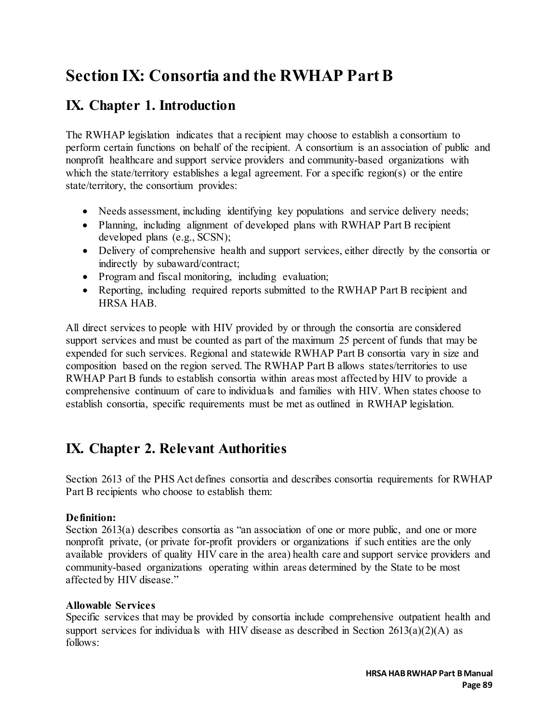# **Section IX: Consortia and the RWHAP Part B**

## **IX. Chapter 1. Introduction**

The RWHAP legislation indicates that a recipient may choose to establish a consortium to perform certain functions on behalf of the recipient. A consortium is an association of public and nonprofit healthcare and support service providers and community-based organizations with which the state/territory establishes a legal agreement. For a specific region(s) or the entire state/territory, the consortium provides:

- Needs assessment, including identifying key populations and service delivery needs;
- Planning, including alignment of developed plans with RWHAP Part B recipient developed plans (e.g., SCSN);
- Delivery of comprehensive health and support services, either directly by the consortia or indirectly by subaward/contract;
- Program and fiscal monitoring, including evaluation;
- Reporting, including required reports submitted to the RWHAP Part B recipient and HRSA HAB.

All direct services to people with HIV provided by or through the consortia are considered support services and must be counted as part of the maximum 25 percent of funds that may be expended for such services. Regional and statewide RWHAP Part B consortia vary in size and composition based on the region served. The RWHAP Part B allows states/territories to use RWHAP Part B funds to establish consortia within areas most affected by HIV to provide a comprehensive continuum of care to individuals and families with HIV. When states choose to establish consortia, specific requirements must be met as outlined in RWHAP legislation.

## **IX. Chapter 2. Relevant Authorities**

Section 2613 of the PHS Act defines consortia and describes consortia requirements for RWHAP Part B recipients who choose to establish them:

### **Definition:**

Section 2613(a) describes consortia as "an association of one or more public, and one or more nonprofit private, (or private for-profit providers or organizations if such entities are the only available providers of quality HIV care in the area) health care and support service providers and community-based organizations operating within areas determined by the State to be most affected by HIV disease."

### **Allowable Services**

Specific services that may be provided by consortia include comprehensive outpatient health and support services for individuals with HIV disease as described in Section  $2613(a)(2)(A)$  as follows: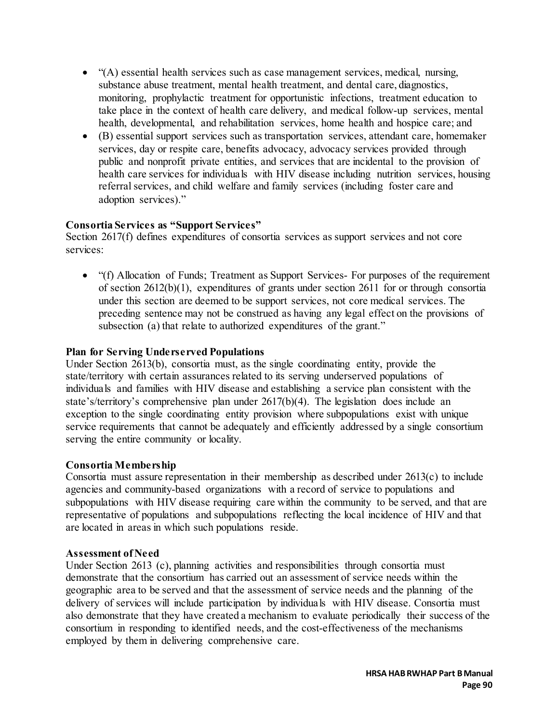- "(A) essential health services such as case management services, medical, nursing, substance abuse treatment, mental health treatment, and dental care, diagnostics, monitoring, prophylactic treatment for opportunistic infections, treatment education to take place in the context of health care delivery, and medical follow-up services, mental health, developmental, and rehabilitation services, home health and hospice care; and
- (B) essential support services such as transportation services, attendant care, homemaker services, day or respite care, benefits advocacy, advocacy services provided through public and nonprofit private entities, and services that are incidental to the provision of health care services for individuals with HIV disease including nutrition services, housing referral services, and child welfare and family services (including foster care and adoption services)."

#### **Consortia Services as "Support Services"**

Section 2617(f) defines expenditures of consortia services as support services and not core services:

• "(f) Allocation of Funds; Treatment as Support Services- For purposes of the requirement of section 2612(b)(1), expenditures of grants under section 2611 for or through consortia under this section are deemed to be support services, not core medical services. The preceding sentence may not be construed as having any legal effect on the provisions of subsection (a) that relate to authorized expenditures of the grant."

#### **Plan for Serving Underserved Populations**

Under Section 2613(b), consortia must, as the single coordinating entity, provide the state/territory with certain assurances related to its serving underserved populations of individuals and families with HIV disease and establishing a service plan consistent with the state's/territory's comprehensive plan under 2617(b)(4). The legislation does include an exception to the single coordinating entity provision where subpopulations exist with unique service requirements that cannot be adequately and efficiently addressed by a single consortium serving the entire community or locality.

### **Consortia Membership**

Consortia must assure representation in their membership as described under 2613(c) to include agencies and community-based organizations with a record of service to populations and subpopulations with HIV disease requiring care within the community to be served, and that are representative of populations and subpopulations reflecting the local incidence of HIV and that are located in areas in which such populations reside.

#### **Assessment of Need**

Under Section 2613 (c), planning activities and responsibilities through consortia must demonstrate that the consortium has carried out an assessment of service needs within the geographic area to be served and that the assessment of service needs and the planning of the delivery of services will include participation by individuals with HIV disease. Consortia must also demonstrate that they have created a mechanism to evaluate periodically their success of the consortium in responding to identified needs, and the cost-effectiveness of the mechanisms employed by them in delivering comprehensive care.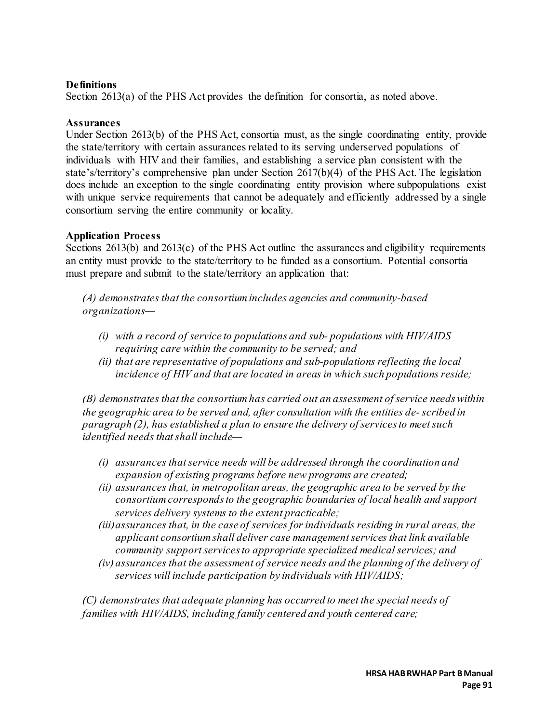### **Definitions**

Section 2613(a) of the PHS Act provides the definition for consortia, as noted above.

#### **Assurances**

Under Section 2613(b) of the PHS Act, consortia must, as the single coordinating entity, provide the state/territory with certain assurances related to its serving underserved populations of individuals with HIV and their families, and establishing a service plan consistent with the state's/territory's comprehensive plan under Section 2617(b)(4) of the PHS Act. The legislation does include an exception to the single coordinating entity provision where subpopulations exist with unique service requirements that cannot be adequately and efficiently addressed by a single consortium serving the entire community or locality.

#### **Application Process**

Sections 2613(b) and 2613(c) of the PHS Act outline the assurances and eligibility requirements an entity must provide to the state/territory to be funded as a consortium. Potential consortia must prepare and submit to the state/territory an application that:

*(A) demonstrates that the consortium includes agencies and community-based organizations—*

- *(i) with a record of service to populations and sub- populations with HIV/AIDS requiring care within the community to be served; and*
- *(ii) that are representative of populations and sub-populations reflecting the local incidence of HIV and that are located in areas in which such populations reside;*

*(B) demonstrates that the consortium has carried out an assessment of service needs within the geographic area to be served and, after consultation with the entities de- scribed in paragraph (2), has established a plan to ensure the delivery of services to meet such identified needs that shall include—*

- *(i) assurances that service needs will be addressed through the coordination and expansion of existing programs before new programs are created;*
- *(ii) assurances that, in metropolitan areas, the geographic area to be served by the consortium corresponds to the geographic boundaries of local health and support services delivery systems to the extent practicable;*
- *(iii)assurances that, in the case of services for individuals residing in rural areas, the applicant consortium shall deliver case management services that link available community support services to appropriate specialized medical services; and*
- *(iv) assurances that the assessment of service needs and the planning of the delivery of services will include participation by individuals with HIV/AIDS;*

*(C) demonstrates that adequate planning has occurred to meet the special needs of families with HIV/AIDS, including family centered and youth centered care;*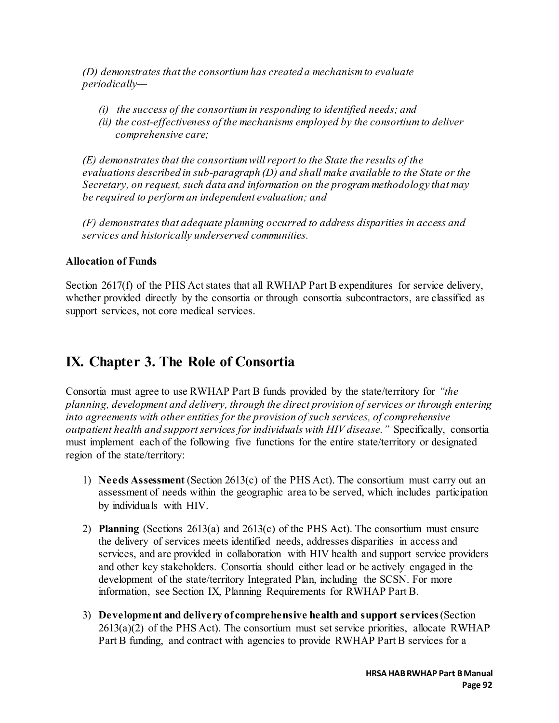*(D) demonstrates that the consortium has created a mechanism to evaluate periodically—*

- *(i) the success of the consortium in responding to identified needs; and*
- *(ii) the cost-effectiveness of the mechanisms employed by the consortium to deliver comprehensive care;*

*(E) demonstrates that the consortium will report to the State the results of the evaluations described in sub-paragraph (D) and shall make available to the State or the Secretary, on request, such data and information on the program methodology that may be required to perform an independent evaluation; and* 

*(F) demonstrates that adequate planning occurred to address disparities in access and services and historically underserved communities.*

### **Allocation of Funds**

Section 2617(f) of the PHS Act states that all RWHAP Part B expenditures for service delivery, whether provided directly by the consortia or through consortia subcontractors, are classified as support services, not core medical services.

## **IX. Chapter 3. The Role of Consortia**

Consortia must agree to use RWHAP Part B funds provided by the state/territory for *"the planning, development and delivery, through the direct provision of services or through entering into agreements with other entities for the provision of such services, of comprehensive outpatient health and support services for individuals with HIV disease."* Specifically, consortia must implement each of the following five functions for the entire state/territory or designated region of the state/territory:

- 1) **Needs Assessment** (Section 2613(c) of the PHS Act). The consortium must carry out an assessment of needs within the geographic area to be served, which includes participation by individuals with HIV.
- 2) **Planning** (Sections 2613(a) and 2613(c) of the PHS Act). The consortium must ensure the delivery of services meets identified needs, addresses disparities in access and services, and are provided in collaboration with HIV health and support service providers and other key stakeholders. Consortia should either lead or be actively engaged in the development of the state/territory Integrated Plan, including the SCSN. For more information, see Section IX, Planning Requirements for RWHAP Part B.
- 3) **Development and delivery of comprehensive health and support services** (Section  $2613(a)(2)$  of the PHS Act). The consortium must set service priorities, allocate RWHAP Part B funding, and contract with agencies to provide RWHAP Part B services for a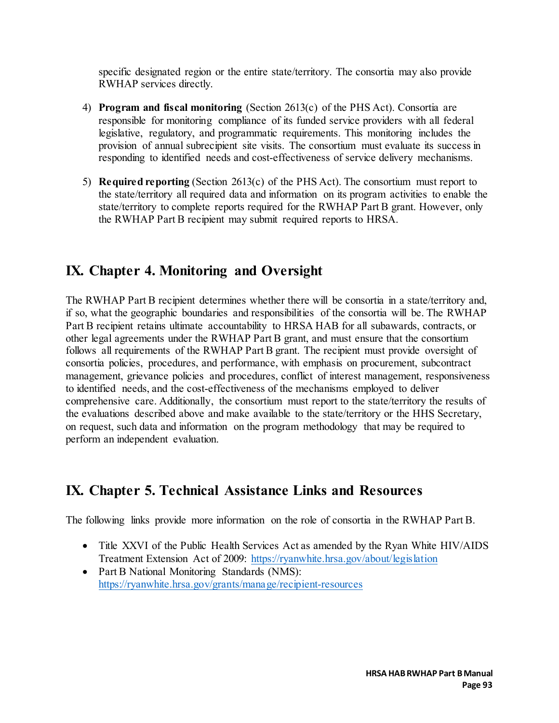specific designated region or the entire state/territory. The consortia may also provide RWHAP services directly.

- 4) **Program and fiscal monitoring** (Section 2613(c) of the PHS Act). Consortia are responsible for monitoring compliance of its funded service providers with all federal legislative, regulatory, and programmatic requirements. This monitoring includes the provision of annual subrecipient site visits. The consortium must evaluate its success in responding to identified needs and cost-effectiveness of service delivery mechanisms.
- 5) **Required reporting** (Section 2613(c) of the PHS Act). The consortium must report to the state/territory all required data and information on its program activities to enable the state/territory to complete reports required for the RWHAP Part B grant. However, only the RWHAP Part B recipient may submit required reports to HRSA.

## **IX. Chapter 4. Monitoring and Oversight**

The RWHAP Part B recipient determines whether there will be consortia in a state/territory and, if so, what the geographic boundaries and responsibilities of the consortia will be. The RWHAP Part B recipient retains ultimate accountability to HRSA HAB for all subawards, contracts, or other legal agreements under the RWHAP Part B grant, and must ensure that the consortium follows all requirements of the RWHAP Part B grant. The recipient must provide oversight of consortia policies, procedures, and performance, with emphasis on procurement, subcontract management, grievance policies and procedures, conflict of interest management, responsiveness to identified needs, and the cost-effectiveness of the mechanisms employed to deliver comprehensive care. Additionally, the consortium must report to the state/territory the results of the evaluations described above and make available to the state/territory or the HHS Secretary, on request, such data and information on the program methodology that may be required to perform an independent evaluation.

## **IX. Chapter 5. Technical Assistance Links and Resources**

The following links provide more information on the role of consortia in the RWHAP Part B.

- Title XXVI of the Public Health Services Act as amended by the Ryan White HIV/AIDS Treatment Extension Act of 2009: <https://ryanwhite.hrsa.gov/about/legislation>
- Part B National Monitoring Standards (NMS): <https://ryanwhite.hrsa.gov/grants/manage/recipient-resources>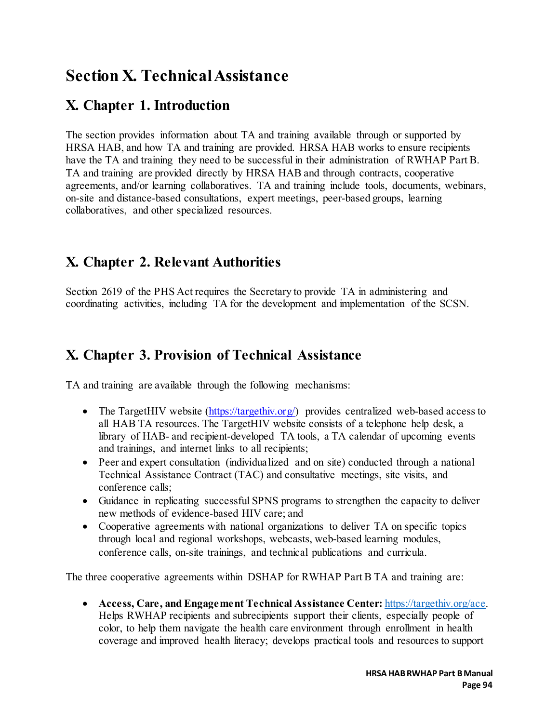# **Section X. Technical Assistance**

## **X. Chapter 1. Introduction**

The section provides information about TA and training available through or supported by HRSA HAB, and how TA and training are provided. HRSA HAB works to ensure recipients have the TA and training they need to be successful in their administration of RWHAP Part B. TA and training are provided directly by HRSA HAB and through contracts, cooperative agreements, and/or learning collaboratives. TA and training include tools, documents, webinars, on-site and distance-based consultations, expert meetings, peer-based groups, learning collaboratives, and other specialized resources.

## **X. Chapter 2. Relevant Authorities**

Section 2619 of the PHS Act requires the Secretary to provide TA in administering and coordinating activities, including TA for the development and implementation of the SCSN.

### **X. Chapter 3. Provision of Technical Assistance**

TA and training are available through the following mechanisms:

- The TargetHIV website (https://targethiv.org/) provides centralized web-based access to all HAB TA resources. The TargetHIV website consists of a telephone help desk, a library of HAB- and recipient-developed TA tools, a TA calendar of upcoming events and trainings, and internet links to all recipients;
- Peer and expert consultation (individualized and on site) conducted through a national Technical Assistance Contract (TAC) and consultative meetings, site visits, and conference calls;
- Guidance in replicating successful SPNS programs to strengthen the capacity to deliver new methods of evidence-based HIV care; and
- Cooperative agreements with national organizations to deliver TA on specific topics through local and regional workshops, webcasts, web-based learning modules, conference calls, on-site trainings, and technical publications and curricula.

The three cooperative agreements within DSHAP for RWHAP Part B TA and training are:

• **Access, Care, and Engagement Technical Assistance Center:** [https://targethiv.org/ace.](https://targethiv.org/ace)  Helps RWHAP recipients and subrecipients support their clients, especially people of color, to help them navigate the health care environment through enrollment in health coverage and improved health literacy; develops practical tools and resources to support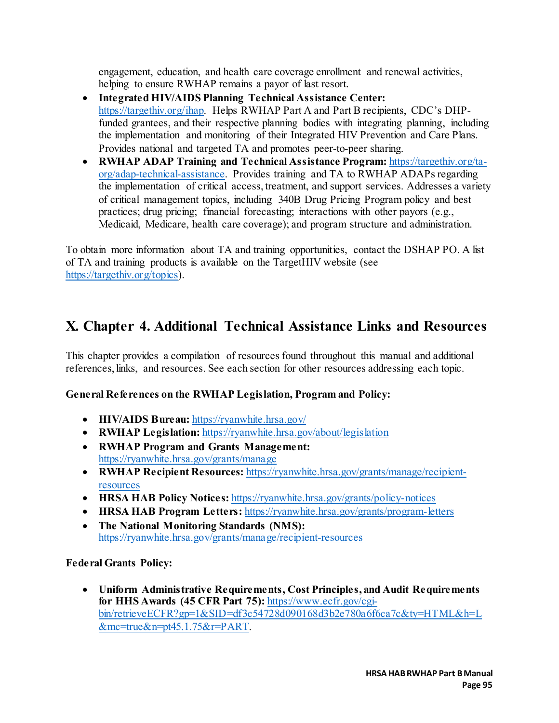engagement, education, and health care coverage enrollment and renewal activities, helping to ensure RWHAP remains a payor of last resort.

- **Integrated HIV/AIDS Planning Technical Assistance Center:** [https://targethiv.org/ihap.](https://targethiv.org/ihap) Helps RWHAP Part A and Part B recipients, CDC's DHPfunded grantees, and their respective planning bodies with integrating planning, including the implementation and monitoring of their Integrated HIV Prevention and Care Plans. Provides national and targeted TA and promotes peer-to-peer sharing.
- **RWHAP ADAP Training and Technical Assistance Program:** [https://targethiv.org/ta](https://targethiv.org/ta-org/adap-technical-assistance)[org/adap-technical-assistance.](https://targethiv.org/ta-org/adap-technical-assistance) Provides training and TA to RWHAP ADAPs regarding the implementation of critical access, treatment, and support services. Addresses a variety of critical management topics, including 340B Drug Pricing Program policy and best practices; drug pricing; financial forecasting; interactions with other payors (e.g., Medicaid, Medicare, health care coverage); and program structure and administration.

To obtain more information about TA and training opportunities, contact the DSHAP PO. A list of TA and training products is available on the TargetHIV website (see [https://targethiv.org/topics\).](https://targethiv.org/topics)

## **X. Chapter 4. Additional Technical Assistance Links and Resources**

This chapter provides a compilation of resources found throughout this manual and additional references, links, and resources. See each section for other resources addressing each topic.

### **General References on the RWHAP Legislation, Program and Policy:**

- **HIV/AIDS Bureau:** <https://ryanwhite.hrsa.gov/>
- **RWHAP Legislation:** https://ryanwhite.hrsa.gov/about/legislation
- **RWHAP Program and Grants Management:** <https://ryanwhite.hrsa.gov/grants/manage>
- **RWHAP Recipient Resources:** [https://ryanwhite.hrsa.gov/grants/manage/recipient](https://ryanwhite.hrsa.gov/grants/manage/recipient-resources)[resources](https://ryanwhite.hrsa.gov/grants/manage/recipient-resources)
- **HRSA HAB Policy Notices:** <https://ryanwhite.hrsa.gov/grants/policy-notices>
- **HRSA HAB Program Letters:** <https://ryanwhite.hrsa.gov/grants/program-letters>
- **The National Monitoring Standards (NMS):** <https://ryanwhite.hrsa.gov/grants/manage/recipient-resources>

**Federal Grants Policy:** 

• **Uniform Administrative Requirements, Cost Principles, and Audit Requirements for HHS Awards (45 CFR Part 75):** [https://www.ecfr.gov/cgi](https://www.ecfr.gov/cgi-bin/retrieveECFR?gp=1&SID=df3c54728d090168d3b2e780a6f6ca7c&ty=HTML&h=L&mc=true&n=pt45.1.75&r=PART)[bin/retrieveECFR?gp=1&SID=df3c54728d090168d3b2e780a6f6ca7c&ty=HTML&h=L](https://www.ecfr.gov/cgi-bin/retrieveECFR?gp=1&SID=df3c54728d090168d3b2e780a6f6ca7c&ty=HTML&h=L&mc=true&n=pt45.1.75&r=PART) [&mc=true&n=pt45.1.75&r=PART.](https://www.ecfr.gov/cgi-bin/retrieveECFR?gp=1&SID=df3c54728d090168d3b2e780a6f6ca7c&ty=HTML&h=L&mc=true&n=pt45.1.75&r=PART)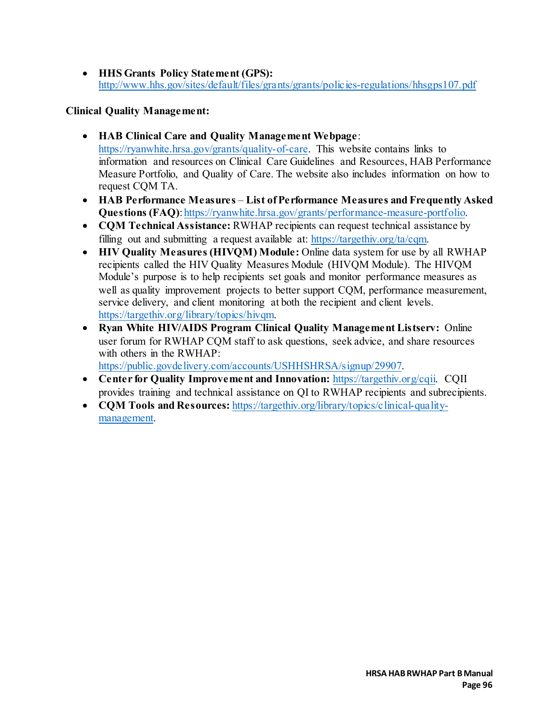• **HHS Grants Policy Statement (GPS):** <http://www.hhs.gov/sites/default/files/grants/grants/policies-regulations/hhsgps107.pdf>

### **Clinical Quality Management:**

- **HAB Clinical Care and Quality Management Webpage**: [https://ryanwhite.hrsa.gov/grants/quality-of-care.](https://ryanwhite.hrsa.gov/grants/quality-of-care) This website contains links to information and resources on Clinical Care Guidelines and Resources, HAB Performance Measure Portfolio, and Quality of Care. The website also includes information on how to request CQM TA.
- **HAB Performance Measures List of Performance Measures and Frequently Asked Questions (FAQ)**[: https://ryanwhite.hrsa.gov/grants/performance-measure-portfolio.](https://ryanwhite.hrsa.gov/grants/performance-measure-portfolio)
- **CQM Technical Assistance:** RWHAP recipients can request technical assistance by filling out and submitting a request available at: [https://targethiv.org/ta/cqm.](https://targethiv.org/ta/cqm)
- **HIV Quality Measures (HIVOM) Module:** Online data system for use by all RWHAP recipients called the HIV Quality Measures Module (HIVQM Module). The HIVQM Module's purpose is to help recipients set goals and monitor performance measures as well as quality improvement projects to better support CQM, performance measurement, service delivery, and client monitoring at both the recipient and client levels. [https://targethiv.org/library/topics/hivqm.](https://targethiv.org/library/topics/hivqm)
- **Ryan White HIV/AIDS Program Clinical Quality Management Listserv:** Online user forum for RWHAP CQM staff to ask questions, seek advice, and share resources with others in the RWHAP[:](https://hab.hrsa.gov/clinical-quality-management/quality-care)

[https://public.govdelivery.com/accounts/USHHSHRSA/signup/29907.](https://public.govdelivery.com/accounts/USHHSHRSA/signup/29907)

- **Center for Quality Improvement and Innovation:** [https://targethiv.org/cqii.](https://targethiv.org/cqii) CQII provides training and technical assistance on QI to RWHAP recipients and subrecipients.
- **CQM Tools and Resources:** [https://targethiv.org/library/topics/clinical-quality](https://targethiv.org/library/topics/clinical-quality-management)[management.](https://targethiv.org/library/topics/clinical-quality-management)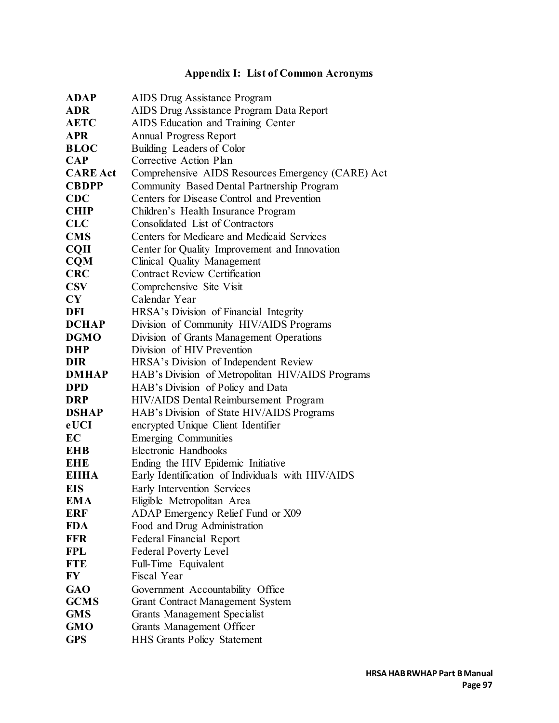## **Appendix I: List of Common Acronyms**

| <b>ADAP</b>     | AIDS Drug Assistance Program                      |
|-----------------|---------------------------------------------------|
| <b>ADR</b>      | AIDS Drug Assistance Program Data Report          |
| <b>AETC</b>     | AIDS Education and Training Center                |
| <b>APR</b>      | <b>Annual Progress Report</b>                     |
| <b>BLOC</b>     | Building Leaders of Color                         |
| $\bf CAP$       | Corrective Action Plan                            |
| <b>CARE Act</b> | Comprehensive AIDS Resources Emergency (CARE) Act |
| <b>CBDPP</b>    | Community Based Dental Partnership Program        |
| <b>CDC</b>      | Centers for Disease Control and Prevention        |
| <b>CHIP</b>     | Children's Health Insurance Program               |
| <b>CLC</b>      | Consolidated List of Contractors                  |
| <b>CMS</b>      | Centers for Medicare and Medicaid Services        |
| <b>CQII</b>     | Center for Quality Improvement and Innovation     |
| <b>CQM</b>      | Clinical Quality Management                       |
| <b>CRC</b>      | <b>Contract Review Certification</b>              |
| <b>CSV</b>      | Comprehensive Site Visit                          |
| CY              | Calendar Year                                     |
| DFI             | HRSA's Division of Financial Integrity            |
| <b>DCHAP</b>    | Division of Community HIV/AIDS Programs           |
| <b>DGMO</b>     | Division of Grants Management Operations          |
| <b>DHP</b>      | Division of HIV Prevention                        |
| <b>DIR</b>      | HRSA's Division of Independent Review             |
| <b>DMHAP</b>    | HAB's Division of Metropolitan HIV/AIDS Programs  |
| <b>DPD</b>      | HAB's Division of Policy and Data                 |
| <b>DRP</b>      | HIV/AIDS Dental Reimbursement Program             |
| <b>DSHAP</b>    | HAB's Division of State HIV/AIDS Programs         |
| eUCI            | encrypted Unique Client Identifier                |
| EC              | <b>Emerging Communities</b>                       |
| <b>EHB</b>      | Electronic Handbooks                              |
| <b>EHE</b>      | Ending the HIV Epidemic Initiative                |
| <b>EIIHA</b>    | Early Identification of Individuals with HIV/AIDS |
| <b>EIS</b>      | Early Intervention Services                       |
| <b>EMA</b>      | Eligible Metropolitan Area                        |
| ERF             | ADAP Emergency Relief Fund or X09                 |
| <b>FDA</b>      | Food and Drug Administration                      |
| <b>FFR</b>      | <b>Federal Financial Report</b>                   |
| <b>FPL</b>      | <b>Federal Poverty Level</b>                      |
| <b>FTE</b>      | Full-Time Equivalent                              |
| FY              | Fiscal Year                                       |
| <b>GAO</b>      | Government Accountability Office                  |
| <b>GCMS</b>     | <b>Grant Contract Management System</b>           |
| <b>GMS</b>      | Grants Management Specialist                      |
| <b>GMO</b>      | Grants Management Officer                         |
| <b>GPS</b>      | <b>HHS Grants Policy Statement</b>                |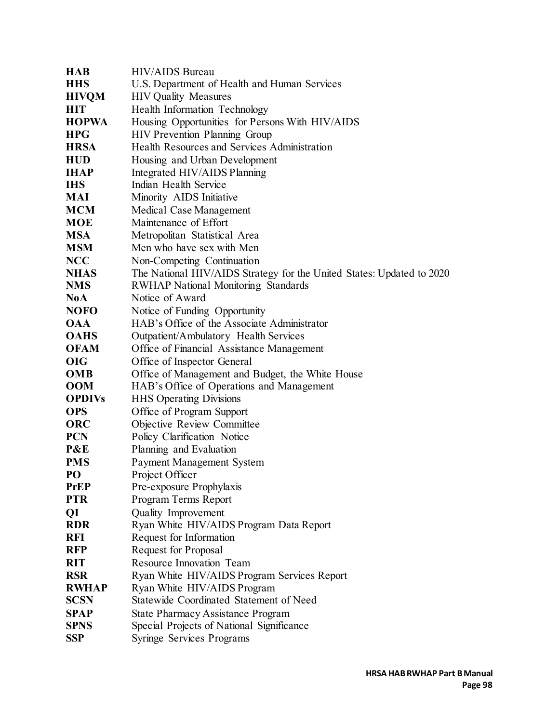| <b>HAB</b>    | <b>HIV/AIDS</b> Bureau                                                |
|---------------|-----------------------------------------------------------------------|
| <b>HHS</b>    | U.S. Department of Health and Human Services                          |
| <b>HIVQM</b>  | <b>HIV Quality Measures</b>                                           |
| <b>HIT</b>    | Health Information Technology                                         |
| <b>HOPWA</b>  | Housing Opportunities for Persons With HIV/AIDS                       |
| <b>HPG</b>    | HIV Prevention Planning Group                                         |
| <b>HRSA</b>   | Health Resources and Services Administration                          |
| <b>HUD</b>    | Housing and Urban Development                                         |
| <b>IHAP</b>   | Integrated HIV/AIDS Planning                                          |
| <b>IHS</b>    | Indian Health Service                                                 |
| MAI           | Minority AIDS Initiative                                              |
| <b>MCM</b>    | Medical Case Management                                               |
| <b>MOE</b>    | Maintenance of Effort                                                 |
| <b>MSA</b>    | Metropolitan Statistical Area                                         |
| <b>MSM</b>    | Men who have sex with Men                                             |
| <b>NCC</b>    | Non-Competing Continuation                                            |
| <b>NHAS</b>   | The National HIV/AIDS Strategy for the United States: Updated to 2020 |
| <b>NMS</b>    | <b>RWHAP National Monitoring Standards</b>                            |
| <b>NoA</b>    | Notice of Award                                                       |
| <b>NOFO</b>   | Notice of Funding Opportunity                                         |
| <b>OAA</b>    | HAB's Office of the Associate Administrator                           |
| <b>OAHS</b>   | Outpatient/Ambulatory Health Services                                 |
| <b>OFAM</b>   | Office of Financial Assistance Management                             |
| <b>OIG</b>    | Office of Inspector General                                           |
| <b>OMB</b>    | Office of Management and Budget, the White House                      |
| <b>OOM</b>    | HAB's Office of Operations and Management                             |
| <b>OPDIVs</b> | <b>HHS Operating Divisions</b>                                        |
| <b>OPS</b>    | Office of Program Support                                             |
| <b>ORC</b>    | Objective Review Committee                                            |
| <b>PCN</b>    | Policy Clarification Notice                                           |
| P&E           | Planning and Evaluation                                               |
| <b>PMS</b>    | Payment Management System                                             |
| PO            | Project Officer                                                       |
| <b>PrEP</b>   | Pre-exposure Prophylaxis                                              |
| <b>PTR</b>    | Program Terms Report                                                  |
| QI            | Quality Improvement                                                   |
| <b>RDR</b>    | Ryan White HIV/AIDS Program Data Report                               |
| <b>RFI</b>    | Request for Information                                               |
| <b>RFP</b>    | Request for Proposal                                                  |
| <b>RIT</b>    | Resource Innovation Team                                              |
| <b>RSR</b>    | Ryan White HIV/AIDS Program Services Report                           |
| <b>RWHAP</b>  | Ryan White HIV/AIDS Program                                           |
| <b>SCSN</b>   | Statewide Coordinated Statement of Need                               |
| <b>SPAP</b>   | <b>State Pharmacy Assistance Program</b>                              |
| <b>SPNS</b>   | Special Projects of National Significance                             |
| <b>SSP</b>    | <b>Syringe Services Programs</b>                                      |